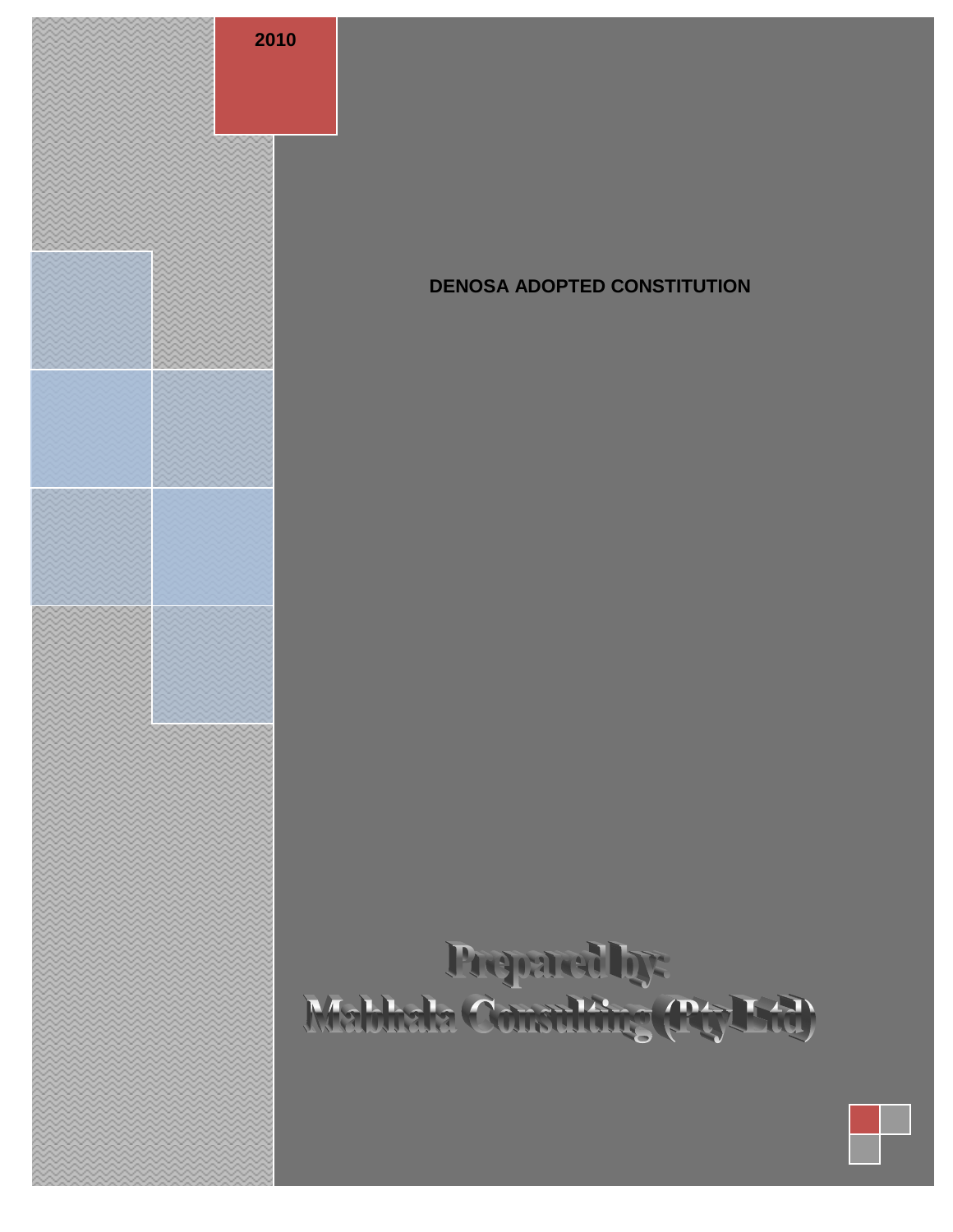

# **DENOSA ADOPTED CONSTITUTION**

# Proparally:<br>Mabhala Constitute (PtyLtd)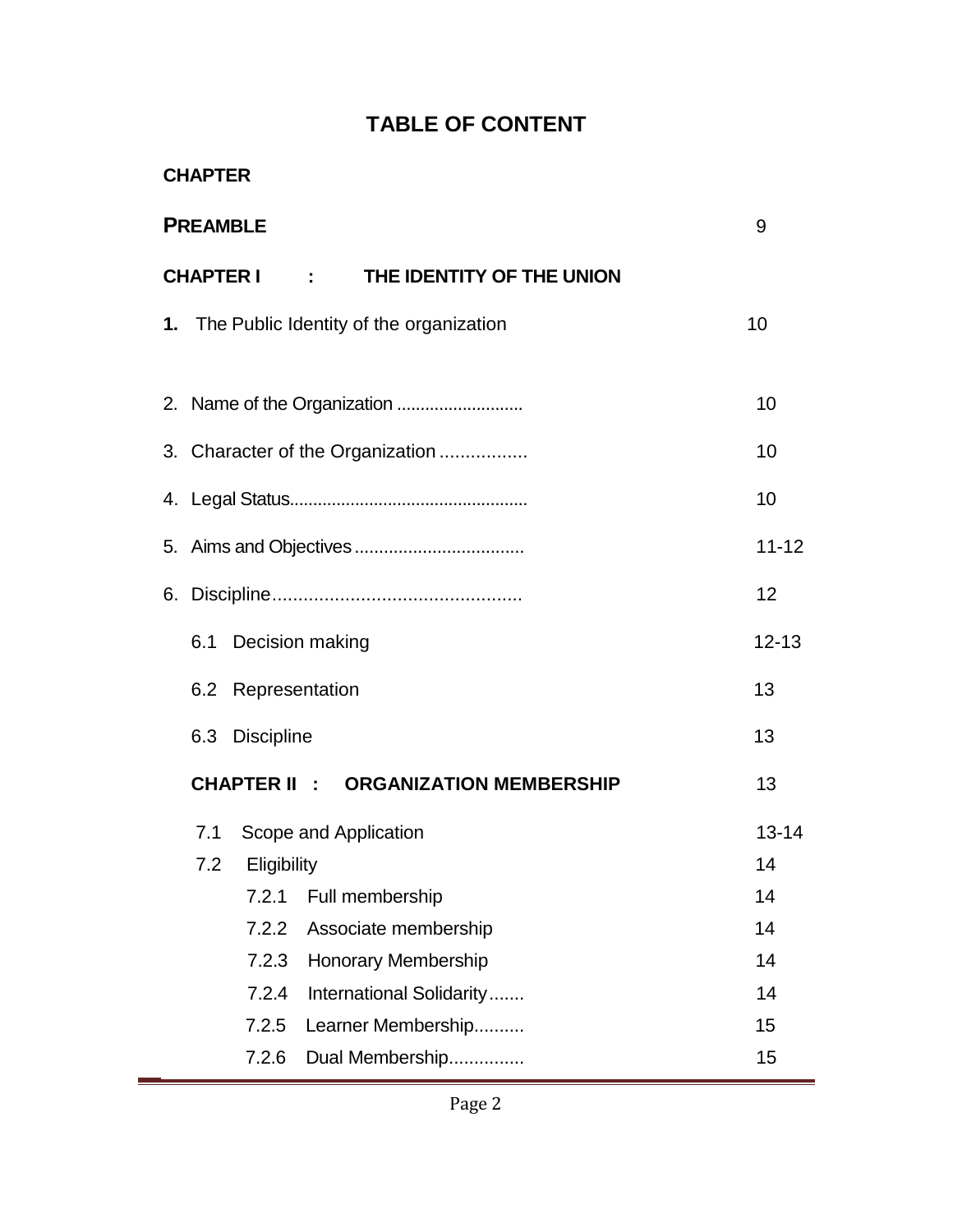# **TABLE OF CONTENT**

| <b>CHAPTER</b>                                   |                     |                          |                                  |           |  |  |  |
|--------------------------------------------------|---------------------|--------------------------|----------------------------------|-----------|--|--|--|
| <b>PREAMBLE</b><br>9                             |                     |                          |                                  |           |  |  |  |
| <b>CHAPTER I</b>                                 |                     | <b>Contract Contract</b> | THE IDENTITY OF THE UNION        |           |  |  |  |
| 10<br>1. The Public Identity of the organization |                     |                          |                                  |           |  |  |  |
|                                                  |                     |                          |                                  |           |  |  |  |
|                                                  |                     |                          |                                  | 10        |  |  |  |
|                                                  |                     |                          | 3. Character of the Organization | 10        |  |  |  |
|                                                  |                     |                          |                                  | 10        |  |  |  |
|                                                  |                     |                          |                                  | $11 - 12$ |  |  |  |
|                                                  |                     |                          |                                  | 12        |  |  |  |
| 6.1<br>Decision making                           | $12 - 13$           |                          |                                  |           |  |  |  |
| 6.2                                              | Representation      |                          |                                  | 13        |  |  |  |
|                                                  | 6.3 Discipline      |                          |                                  | 13        |  |  |  |
|                                                  | <b>CHAPTER II :</b> |                          | <b>ORGANIZATION MEMBERSHIP</b>   | 13        |  |  |  |
| 7.1                                              |                     |                          | Scope and Application            | 13-14     |  |  |  |
|                                                  | 7.2 Eligibility     |                          |                                  | 14        |  |  |  |
|                                                  | 7.2.1               |                          | Full membership                  | 14        |  |  |  |
|                                                  | 7.2.2               |                          | Associate membership             | 14        |  |  |  |
|                                                  | 7.2.3               |                          | <b>Honorary Membership</b>       | 14        |  |  |  |
|                                                  | 7.2.4               |                          | International Solidarity         | 14        |  |  |  |
|                                                  | 7.2.5               |                          | Learner Membership               | 15        |  |  |  |
|                                                  | 7.2.6               |                          | Dual Membership                  | 15        |  |  |  |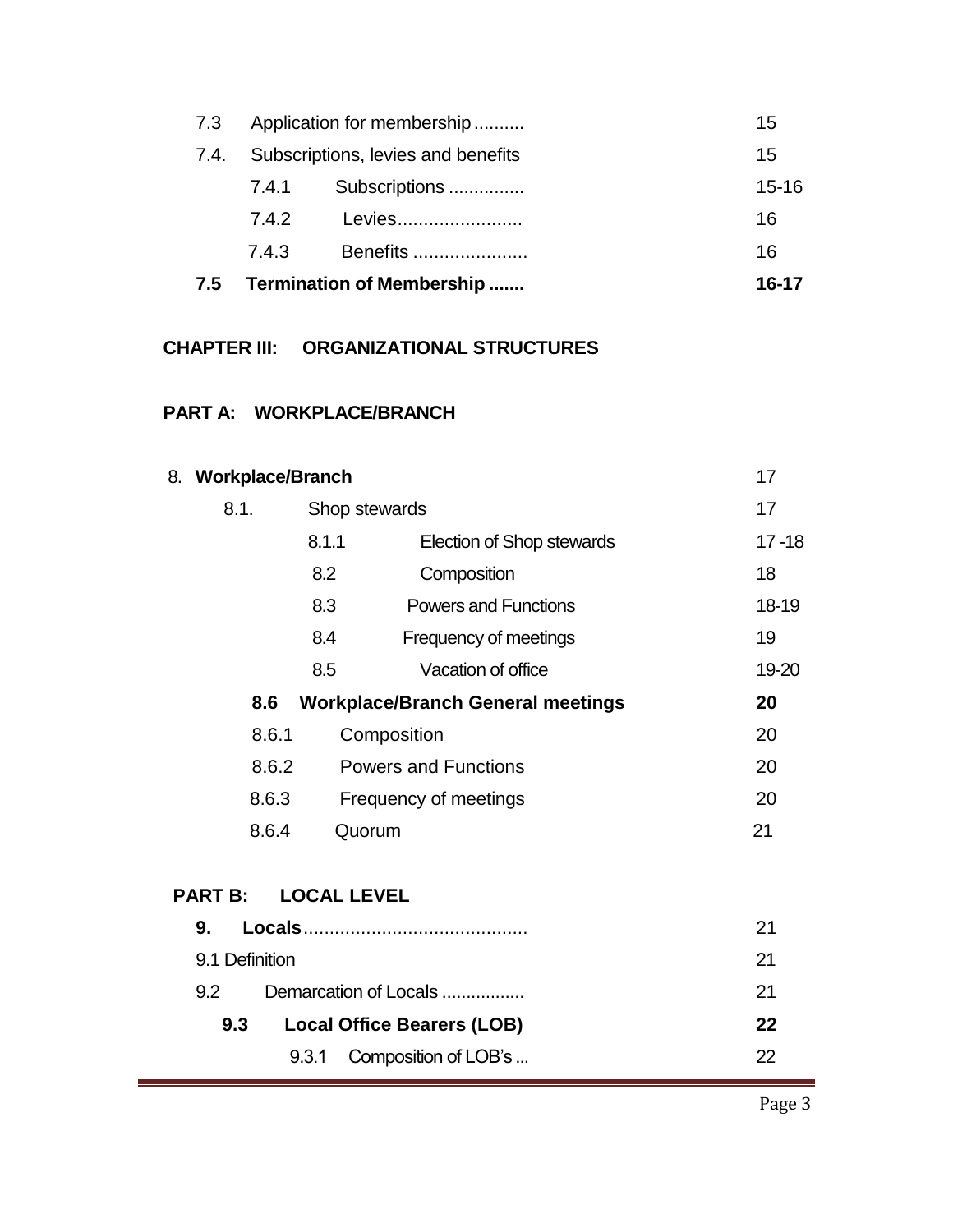| 7.5  | Termination of Membership<br>$16 - 17$ |               |           |  |  |
|------|----------------------------------------|---------------|-----------|--|--|
|      | 7.4.3                                  | Benefits      | 16        |  |  |
|      | 7.4.2                                  | Levies        | 16        |  |  |
|      | 7.4.1                                  | Subscriptions | $15 - 16$ |  |  |
| 7.4. | Subscriptions, levies and benefits     |               |           |  |  |
| 7.3  | Application for membership             |               |           |  |  |

# **CHAPTER III: ORGANIZATIONAL STRUCTURES**

# **PART A: WORKPLACE/BRANCH**

| 8. Workplace/Branch            | 17                 |                                          |           |  |
|--------------------------------|--------------------|------------------------------------------|-----------|--|
| 8.1.                           |                    | Shop stewards                            |           |  |
|                                | 8.1.1              | <b>Election of Shop stewards</b>         | $17 - 18$ |  |
|                                | 8.2                | Composition                              | 18        |  |
|                                | 8.3                | <b>Powers and Functions</b>              | 18-19     |  |
|                                | 8.4                | Frequency of meetings                    | 19        |  |
|                                | 8.5                | Vacation of office                       | 19-20     |  |
| 8.6                            |                    | <b>Workplace/Branch General meetings</b> | 20        |  |
| 8.6.1                          |                    | Composition                              | 20        |  |
| 8.6.2                          |                    | <b>Powers and Functions</b>              | 20        |  |
| 8.6.3<br>Frequency of meetings |                    |                                          | 20        |  |
| 8.6.4<br>Quorum                |                    |                                          | 21        |  |
| <b>PART B:</b>                 | <b>LOCAL LEVEL</b> |                                          |           |  |
| 9.                             |                    |                                          | 21        |  |
| 9.1 Definition                 |                    |                                          | 21        |  |
| 9.2                            |                    | Demarcation of Locals                    | 21        |  |
| 9.3                            |                    | <b>Local Office Bearers (LOB)</b>        | 22        |  |
|                                | 9.3.1              | Composition of LOB's                     | 22        |  |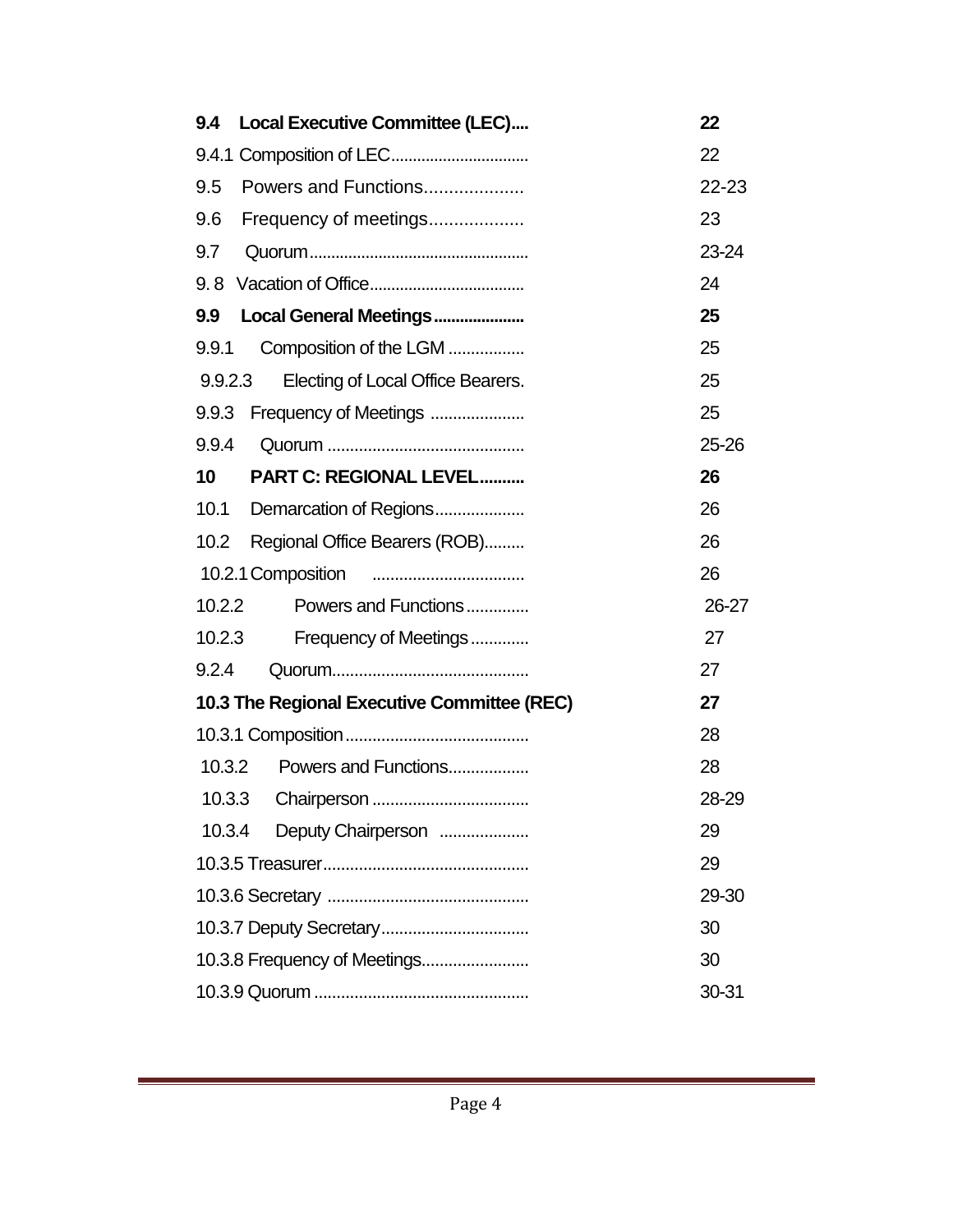| 9.4     | <b>Local Executive Committee (LEC)</b>      | 22    |
|---------|---------------------------------------------|-------|
|         |                                             | 22    |
| 9.5     | Powers and Functions                        | 22-23 |
| 9.6     | Frequency of meetings                       | 23    |
| 9.7     |                                             | 23-24 |
| 9.8     |                                             | 24    |
| 9.9     | Local General Meetings                      | 25    |
| 9.9.1   | Composition of the LGM                      | 25    |
| 9.9.2.3 | Electing of Local Office Bearers.           | 25    |
| 9.9.3   | Frequency of Meetings                       | 25    |
| 9.9.4   |                                             | 25-26 |
| 10      | <b>PART C: REGIONAL LEVEL</b>               | 26    |
| 10.1    | Demarcation of Regions                      | 26    |
| 10.2    | Regional Office Bearers (ROB)               | 26    |
|         | 10.2.1 Composition                          | 26    |
| 10.2.2  | Powers and Functions                        | 26-27 |
| 10.2.3  | Frequency of Meetings                       | 27    |
| 9.2.4   |                                             | 27    |
|         | 10.3 The Regional Executive Committee (REC) | 27    |
|         |                                             | 28    |
| 10.3.2  | Powers and Functions                        | 28    |
| 10.3.3  |                                             | 28-29 |
| 10.3.4  | Deputy Chairperson                          | 29    |
|         |                                             | 29    |
|         |                                             | 29-30 |
|         |                                             | 30    |
|         | 10.3.8 Frequency of Meetings                | 30    |
|         |                                             | 30-31 |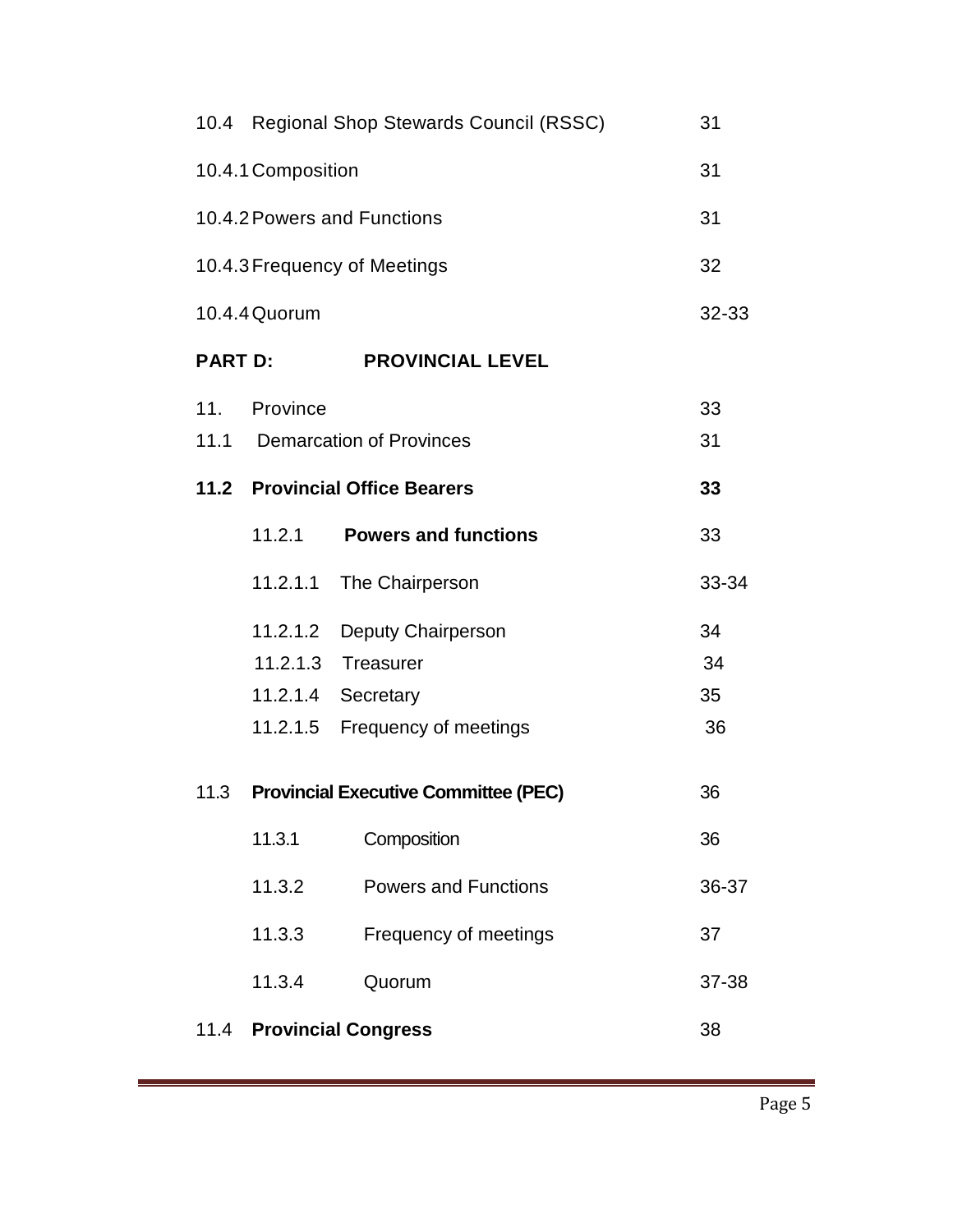|                | 10.4 Regional Shop Stewards Council (RSSC) |                                             |       |  |  |
|----------------|--------------------------------------------|---------------------------------------------|-------|--|--|
|                | 10.4.1 Composition                         |                                             |       |  |  |
|                |                                            | 10.4.2 Powers and Functions                 | 31    |  |  |
|                |                                            | 10.4.3 Frequency of Meetings                | 32    |  |  |
|                | 10.4.4 Quorum                              |                                             | 32-33 |  |  |
| <b>PART D:</b> |                                            | <b>PROVINCIAL LEVEL</b>                     |       |  |  |
| 11.            | Province                                   |                                             | 33    |  |  |
| 11.1           |                                            | <b>Demarcation of Provinces</b>             | 31    |  |  |
|                |                                            | 11.2 Provincial Office Bearers              | 33    |  |  |
|                | 11.2.1                                     | <b>Powers and functions</b>                 | 33    |  |  |
|                | 11.2.1.1                                   | The Chairperson                             | 33-34 |  |  |
|                | 11.2.1.2                                   | Deputy Chairperson                          | 34    |  |  |
|                | 11.2.1.3                                   | <b>Treasurer</b>                            | 34    |  |  |
|                | 11.2.1.4                                   | Secretary                                   | 35    |  |  |
|                | 11.2.1.5                                   | Frequency of meetings                       | 36    |  |  |
| 11.3           |                                            | <b>Provincial Executive Committee (PEC)</b> | 36    |  |  |
|                | 11.3.1                                     | Composition                                 | 36    |  |  |
|                | 11.3.2                                     | <b>Powers and Functions</b>                 | 36-37 |  |  |
|                | 11.3.3                                     | Frequency of meetings                       | 37    |  |  |
|                | 11.3.4                                     | Quorum                                      | 37-38 |  |  |
|                |                                            | 11.4 Provincial Congress                    | 38    |  |  |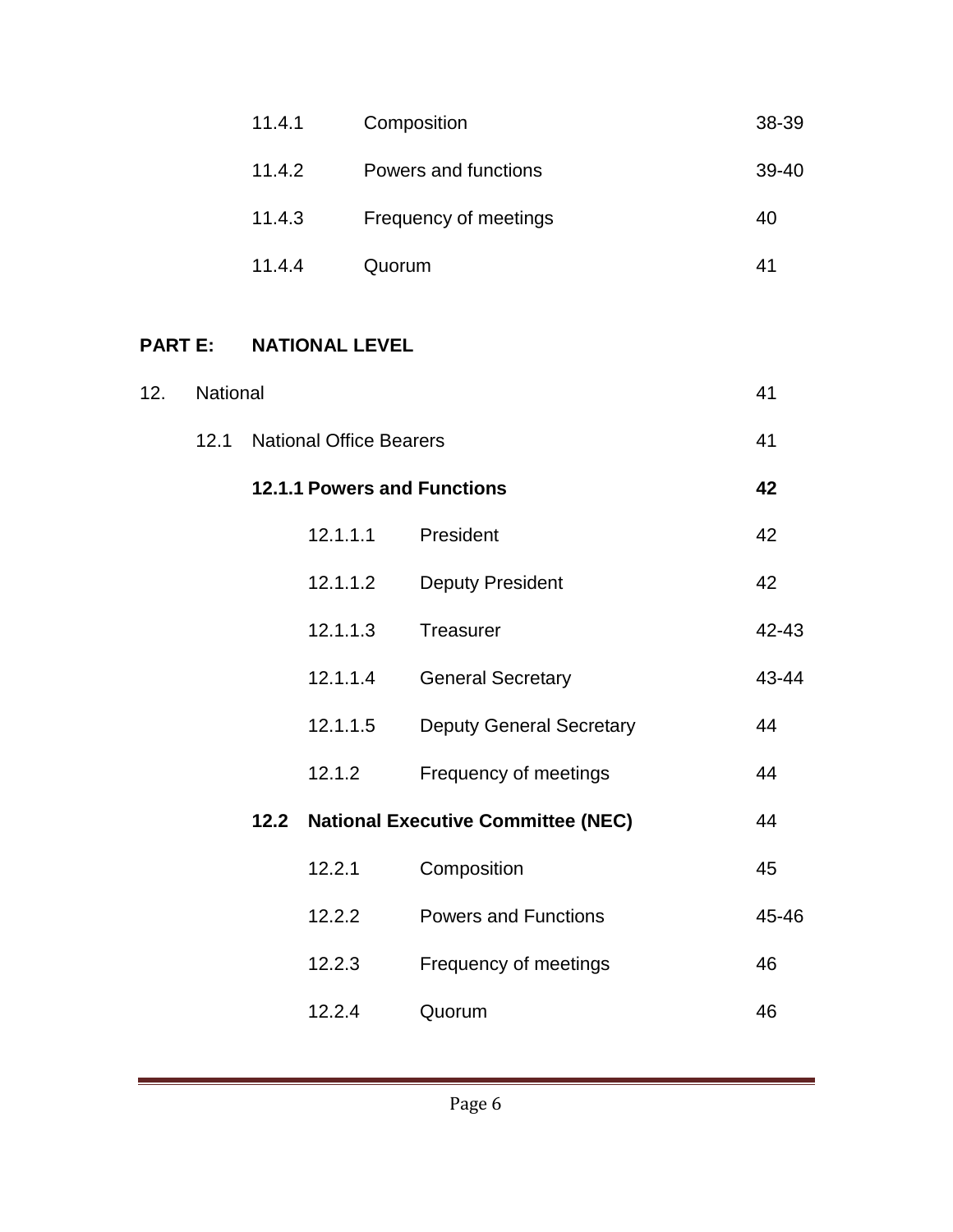| 11.4.1 | Composition           | 38-39 |
|--------|-----------------------|-------|
| 11.4.2 | Powers and functions  | 39-40 |
| 11.4.3 | Frequency of meetings | 40    |
| 11.4.4 | Quorum                | 41    |

# **PART E: NATIONAL LEVEL**

| 12. | National |      |                                    |                                           |       |
|-----|----------|------|------------------------------------|-------------------------------------------|-------|
|     | 12.1     |      | <b>National Office Bearers</b>     |                                           | 41    |
|     |          |      | <b>12.1.1 Powers and Functions</b> |                                           |       |
|     |          |      | 12.1.1.1                           | President                                 | 42    |
|     |          |      | 12.1.1.2                           | <b>Deputy President</b>                   | 42    |
|     |          |      | 12.1.1.3                           | Treasurer                                 | 42-43 |
|     |          |      | 12.1.1.4                           | <b>General Secretary</b>                  | 43-44 |
|     |          |      | 12.1.1.5                           | <b>Deputy General Secretary</b>           | 44    |
|     |          |      | 12.1.2                             | Frequency of meetings                     | 44    |
|     |          | 12.2 |                                    | <b>National Executive Committee (NEC)</b> | 44    |
|     |          |      | 12.2.1                             | Composition                               | 45    |
|     |          |      | 12.2.2                             | <b>Powers and Functions</b>               | 45-46 |
|     |          |      | 12.2.3                             | Frequency of meetings                     | 46    |
|     |          |      | 12.2.4                             | Quorum                                    | 46    |

a sa kacamatan ing Kabupatèn Kabupatèn Kabupatèn Kabupatèn Kabupatèn Kabupatèn Kabupatèn Kabupatèn Kabupatèn K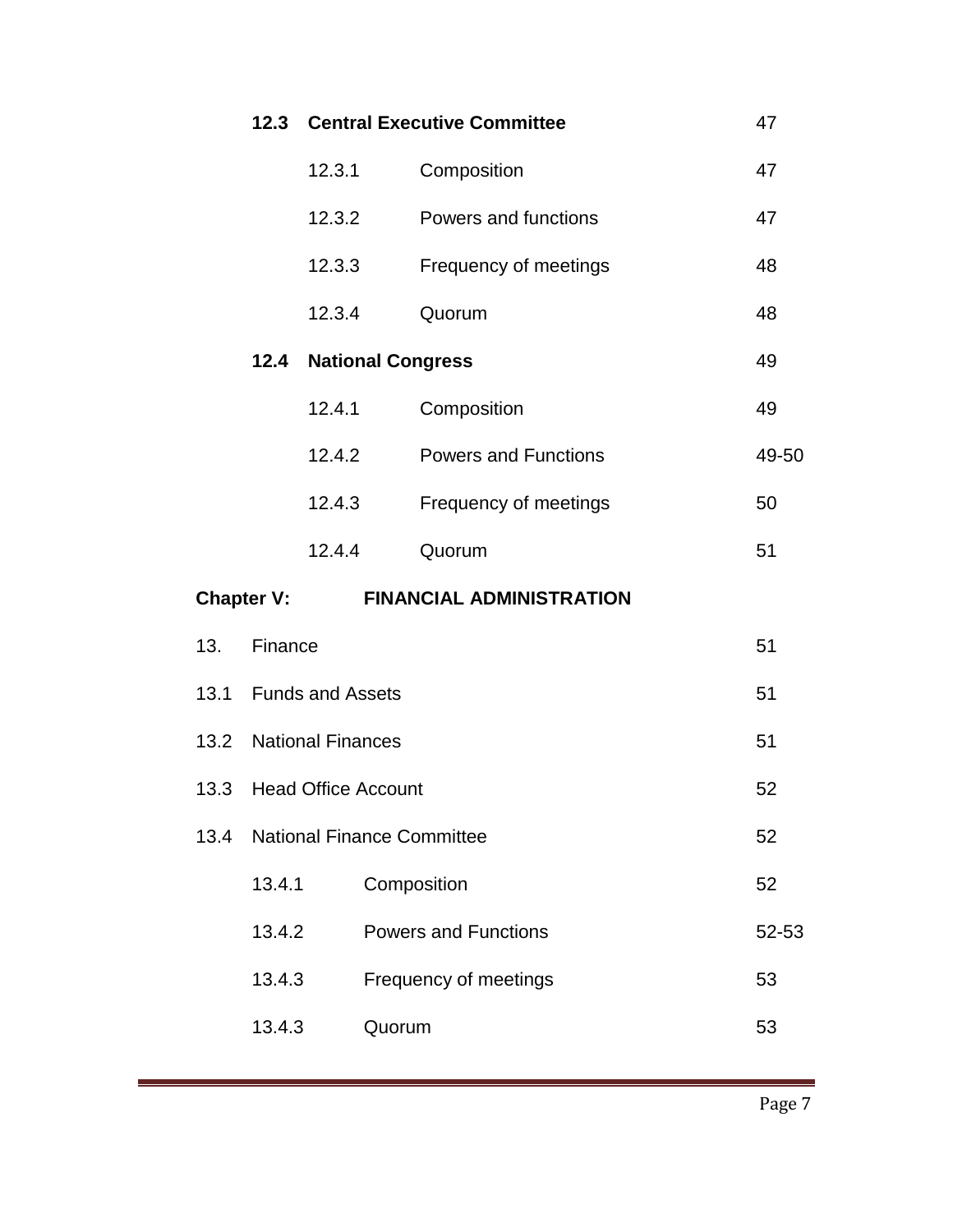|      |                          |                        |        | <b>12.3 Central Executive Committee</b> | 47    |
|------|--------------------------|------------------------|--------|-----------------------------------------|-------|
|      |                          | 12.3.1                 |        | Composition                             | 47    |
|      |                          | 12.3.2                 |        | Powers and functions                    | 47    |
|      |                          | 12.3.3                 |        | Frequency of meetings                   | 48    |
|      |                          | 12.3.4                 |        | Quorum                                  | 48    |
|      |                          |                        |        | <b>12.4 National Congress</b>           | 49    |
|      |                          | 12.4.1                 |        | Composition                             | 49    |
|      |                          | 12.4.2                 |        | <b>Powers and Functions</b>             | 49-50 |
|      |                          | 12.4.3                 |        | Frequency of meetings                   | 50    |
|      |                          | 12.4.4                 |        | Quorum                                  | 51    |
|      | <b>Chapter V:</b>        |                        |        | <b>FINANCIAL ADMINISTRATION</b>         |       |
| 13.  | Finance                  |                        |        |                                         | 51    |
|      | 13.1 Funds and Assets    |                        |        | 51                                      |       |
|      |                          | 13.2 National Finances |        |                                         | 51    |
|      | 13.3 Head Office Account |                        |        |                                         | 52    |
| 13.4 |                          |                        |        | <b>National Finance Committee</b>       | 52    |
|      | 13.4.1                   |                        |        | Composition                             | 52    |
|      | 13.4.2                   |                        |        | <b>Powers and Functions</b>             | 52-53 |
|      | 13.4.3                   |                        |        | Frequency of meetings                   | 53    |
|      | 13.4.3                   |                        | Quorum |                                         | 53    |
|      |                          |                        |        |                                         |       |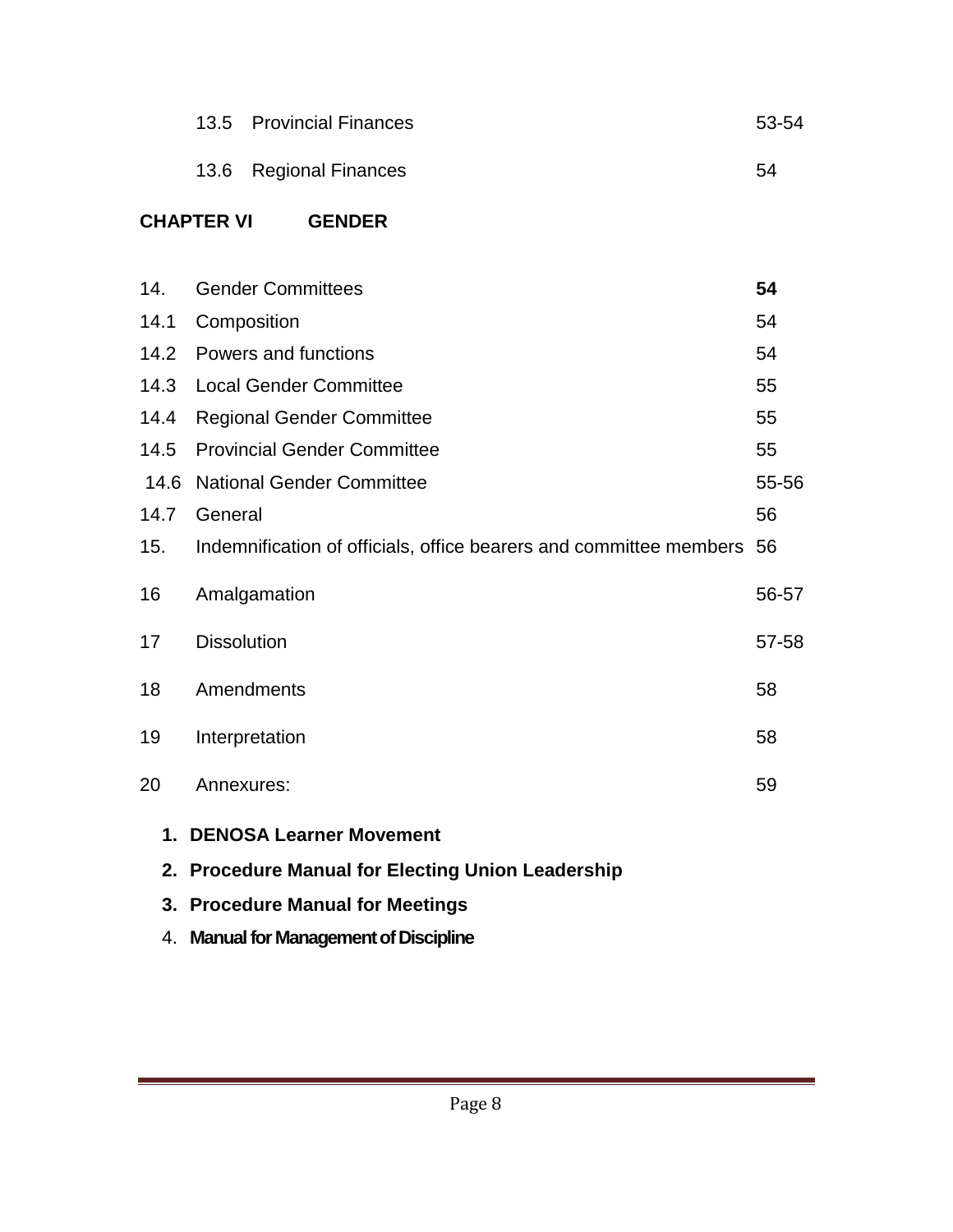|      | <b>Provincial Finances</b><br>13.5                                    | 53-54 |  |  |  |
|------|-----------------------------------------------------------------------|-------|--|--|--|
|      | 13.6<br><b>Regional Finances</b>                                      | 54    |  |  |  |
|      | <b>CHAPTER VI</b><br><b>GENDER</b>                                    |       |  |  |  |
| 14.  | <b>Gender Committees</b>                                              | 54    |  |  |  |
| 14.1 | Composition                                                           | 54    |  |  |  |
| 14.2 | <b>Powers and functions</b>                                           | 54    |  |  |  |
| 14.3 | <b>Local Gender Committee</b>                                         | 55    |  |  |  |
| 14.4 | <b>Regional Gender Committee</b>                                      | 55    |  |  |  |
| 14.5 | <b>Provincial Gender Committee</b>                                    | 55    |  |  |  |
| 14.6 | <b>National Gender Committee</b>                                      | 55-56 |  |  |  |
| 14.7 | General<br>56                                                         |       |  |  |  |
| 15.  | Indemnification of officials, office bearers and committee members 56 |       |  |  |  |
| 16   | Amalgamation                                                          | 56-57 |  |  |  |
| 17   | <b>Dissolution</b>                                                    | 57-58 |  |  |  |
| 18   | Amendments                                                            | 58    |  |  |  |
| 19   | Interpretation                                                        | 58    |  |  |  |
| 20   | Annexures:                                                            | 59    |  |  |  |
|      | 1. DENOSA Learner Movement                                            |       |  |  |  |
|      | 2. Procedure Manual for Electing Union Leadership                     |       |  |  |  |
|      | 3. Procedure Manual for Meetings                                      |       |  |  |  |
|      | 4. Manual for Management of Discipline                                |       |  |  |  |

÷.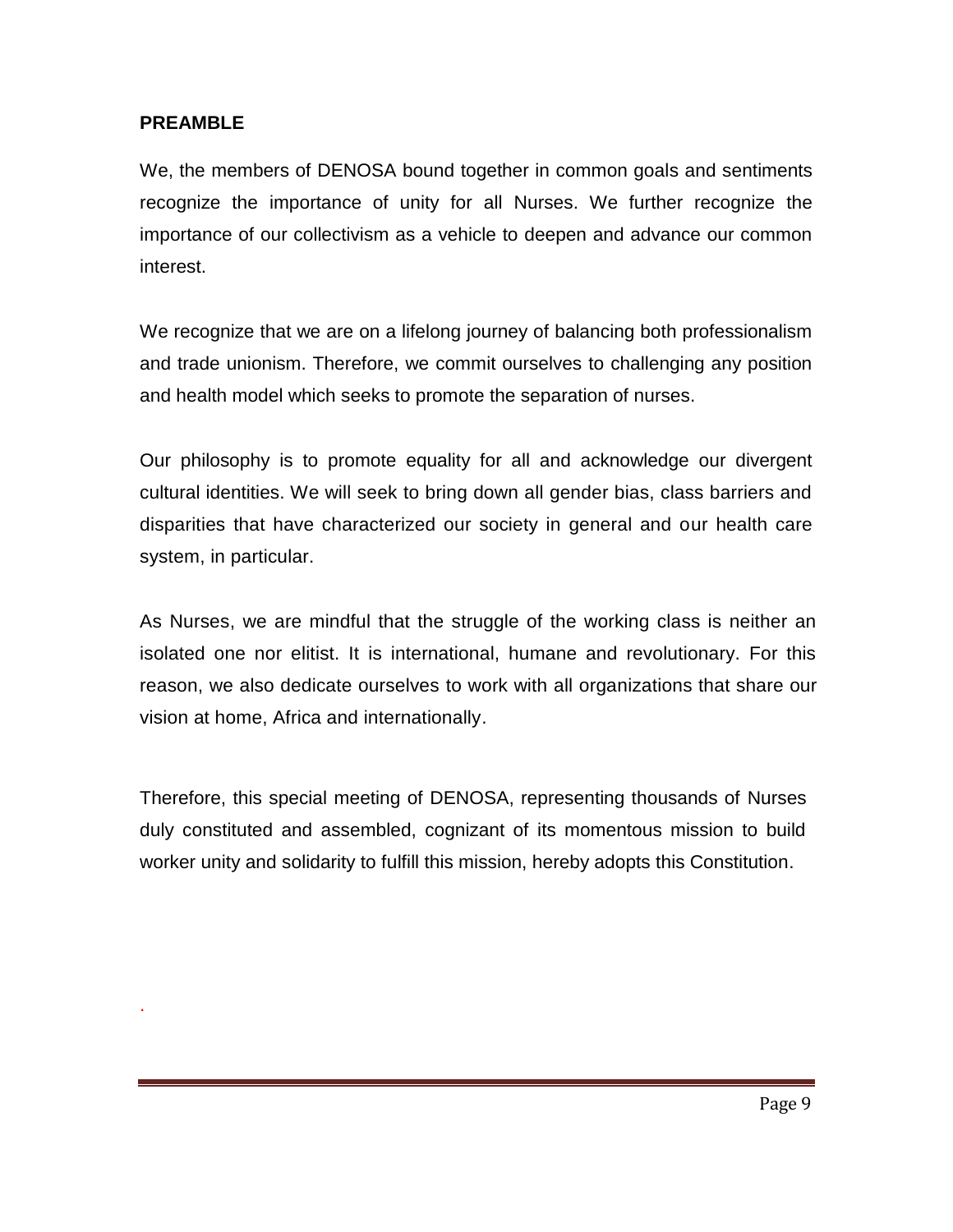#### **PREAMBLE**

.

We, the members of DENOSA bound together in common goals and sentiments recognize the importance of unity for all Nurses. We further recognize the importance of our collectivism as a vehicle to deepen and advance our common interest.

We recognize that we are on a lifelong journey of balancing both professionalism and trade unionism. Therefore, we commit ourselves to challenging any position and health model which seeks to promote the separation of nurses.

Our philosophy is to promote equality for all and acknowledge our divergent cultural identities. We will seek to bring down all gender bias, class barriers and disparities that have characterized our society in general and our health care system, in particular.

As Nurses, we are mindful that the struggle of the working class is neither an isolated one nor elitist. It is international, humane and revolutionary. For this reason, we also dedicate ourselves to work with all organizations that share our vision at home, Africa and internationally.

Therefore, this special meeting of DENOSA, representing thousands of Nurses duly constituted and assembled, cognizant of its momentous mission to build worker unity and solidarity to fulfill this mission, hereby adopts this Constitution.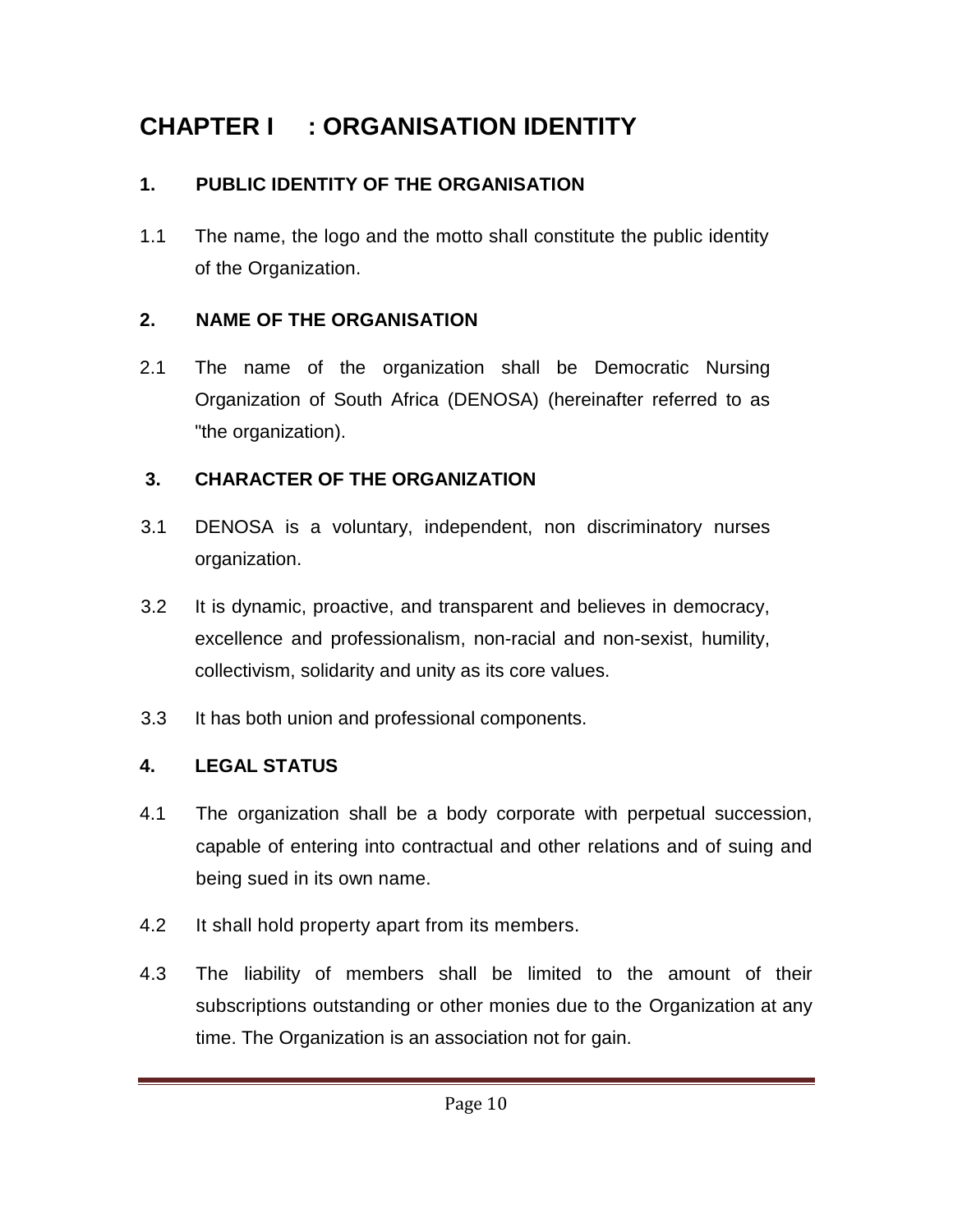# **CHAPTER I : ORGANISATION IDENTITY**

# **1. PUBLIC IDENTITY OF THE ORGANISATION**

1.1 The name, the logo and the motto shall constitute the public identity of the Organization.

# **2. NAME OF THE ORGANISATION**

2.1 The name of the organization shall be Democratic Nursing Organization of South Africa (DENOSA) (hereinafter referred to as "the organization).

# **3. CHARACTER OF THE ORGANIZATION**

- 3.1 DENOSA is a voluntary, independent, non discriminatory nurses organization.
- 3.2 It is dynamic, proactive, and transparent and believes in democracy, excellence and professionalism, non-racial and non-sexist, humility, collectivism, solidarity and unity as its core values.
- 3.3 It has both union and professional components.

# **4. LEGAL STATUS**

- 4.1 The organization shall be a body corporate with perpetual succession, capable of entering into contractual and other relations and of suing and being sued in its own name.
- 4.2 It shall hold property apart from its members.
- 4.3 The liability of members shall be limited to the amount of their subscriptions outstanding or other monies due to the Organization at any time. The Organization is an association not for gain.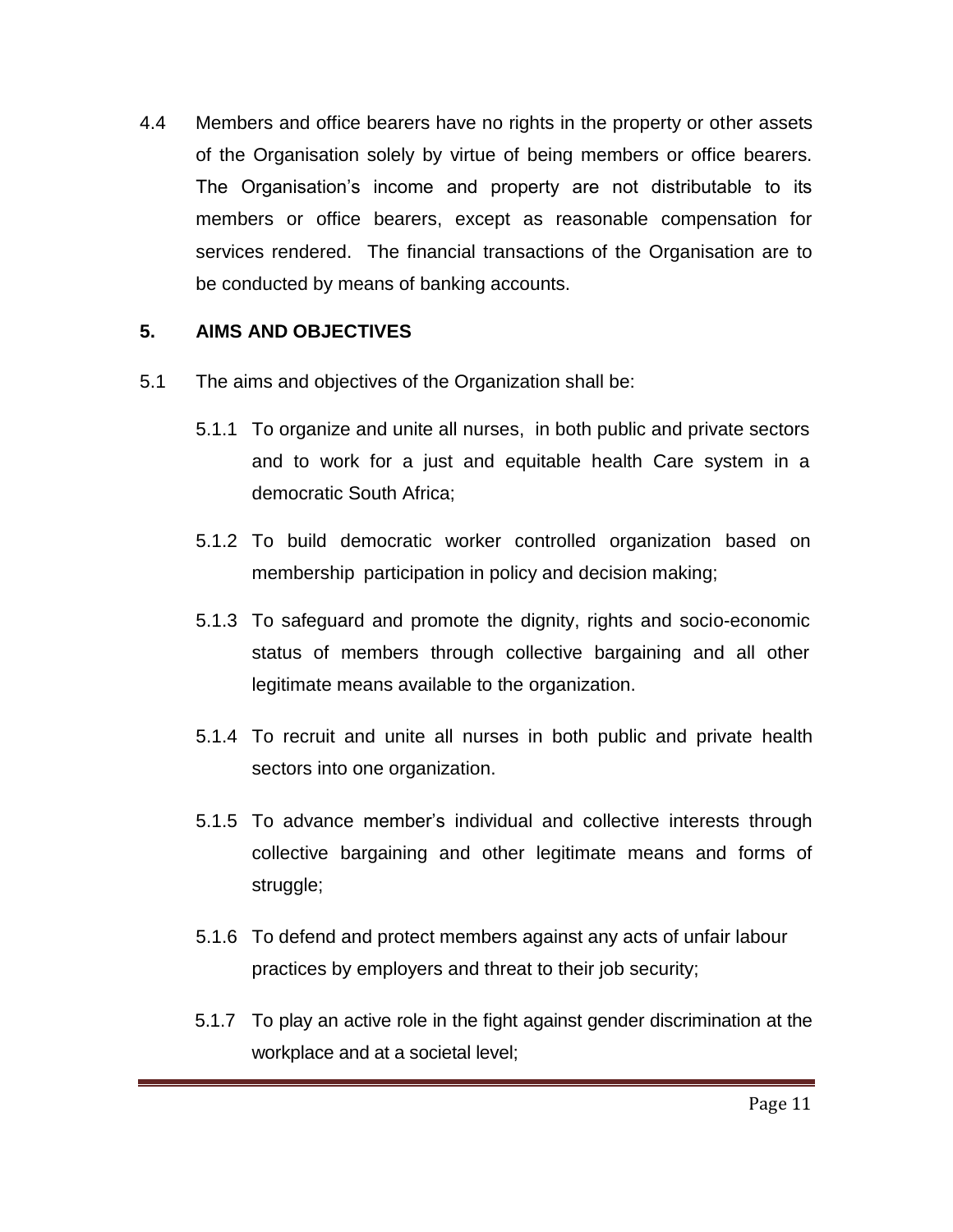4.4 Members and office bearers have no rights in the property or other assets of the Organisation solely by virtue of being members or office bearers. The Organisation's income and property are not distributable to its members or office bearers, except as reasonable compensation for services rendered. The financial transactions of the Organisation are to be conducted by means of banking accounts.

## **5. AIMS AND OBJECTIVES**

- 5.1 The aims and objectives of the Organization shall be:
	- 5.1.1 To organize and unite all nurses, in both public and private sectors and to work for a just and equitable health Care system in a democratic South Africa;
	- 5.1.2 To build democratic worker controlled organization based on membership participation in policy and decision making;
	- 5.1.3 To safeguard and promote the dignity, rights and socio-economic status of members through collective bargaining and all other legitimate means available to the organization.
	- 5.1.4 To recruit and unite all nurses in both public and private health sectors into one organization.
	- 5.1.5 To advance member's individual and collective interests through collective bargaining and other legitimate means and forms of struggle;
	- 5.1.6 To defend and protect members against any acts of unfair labour practices by employers and threat to their job security;
	- 5.1.7 To play an active role in the fight against gender discrimination at the workplace and at a societal level;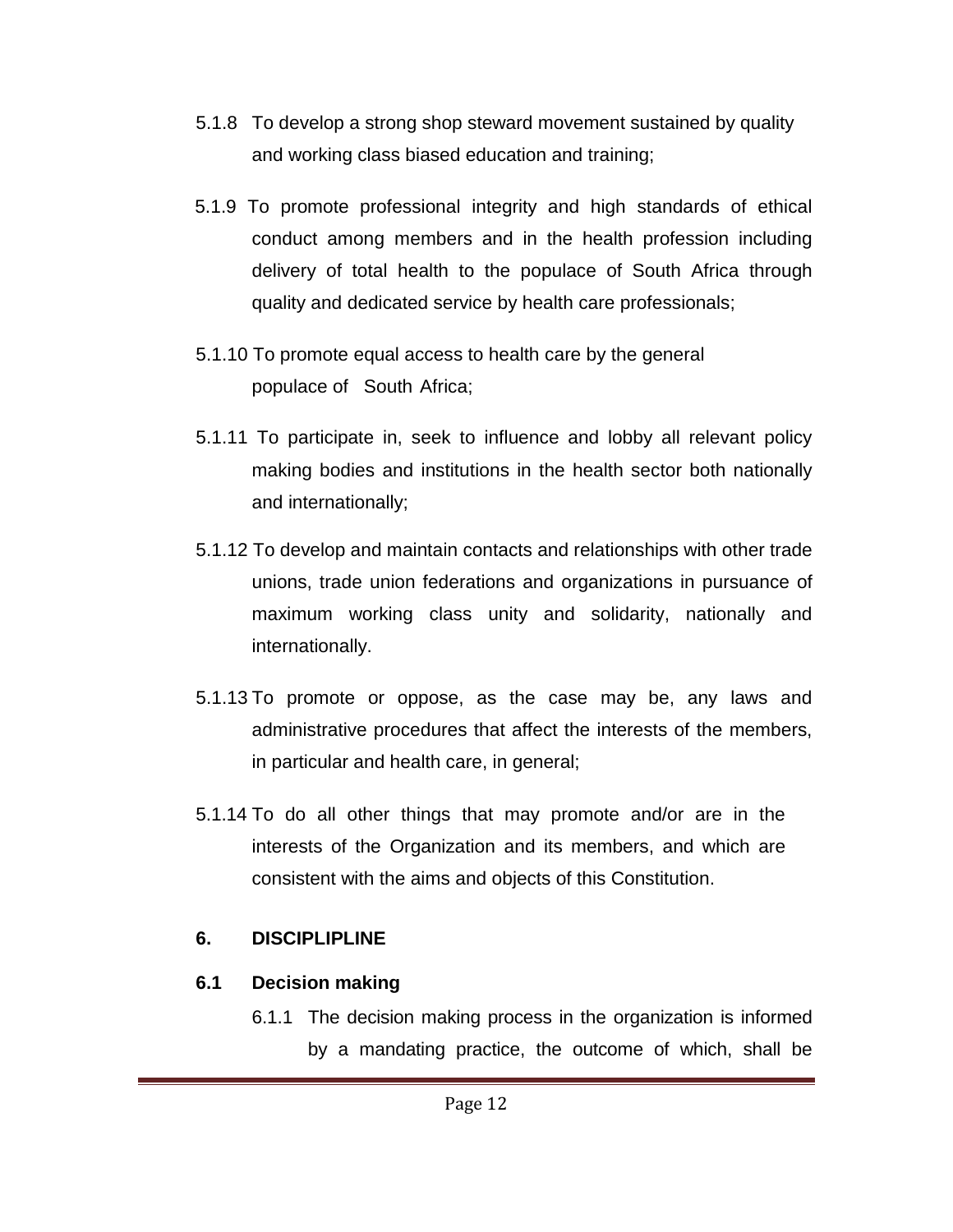- 5.1.8 To develop a strong shop steward movement sustained by quality and working class biased education and training;
- 5.1.9 To promote professional integrity and high standards of ethical conduct among members and in the health profession including delivery of total health to the populace of South Africa through quality and dedicated service by health care professionals;
- 5.1.10 To promote equal access to health care by the general populace of South Africa;
- 5.1.11 To participate in, seek to influence and lobby all relevant policy making bodies and institutions in the health sector both nationally and internationally;
- 5.1.12 To develop and maintain contacts and relationships with other trade unions, trade union federations and organizations in pursuance of maximum working class unity and solidarity, nationally and internationally.
- 5.1.13 To promote or oppose, as the case may be, any laws and administrative procedures that affect the interests of the members, in particular and health care, in general;
- 5.1.14 To do all other things that may promote and/or are in the interests of the Organization and its members, and which are consistent with the aims and objects of this Constitution.

## **6. DISCIPLIPLINE**

# **6.1 Decision making**

6.1.1 The decision making process in the organization is informed by a mandating practice, the outcome of which, shall be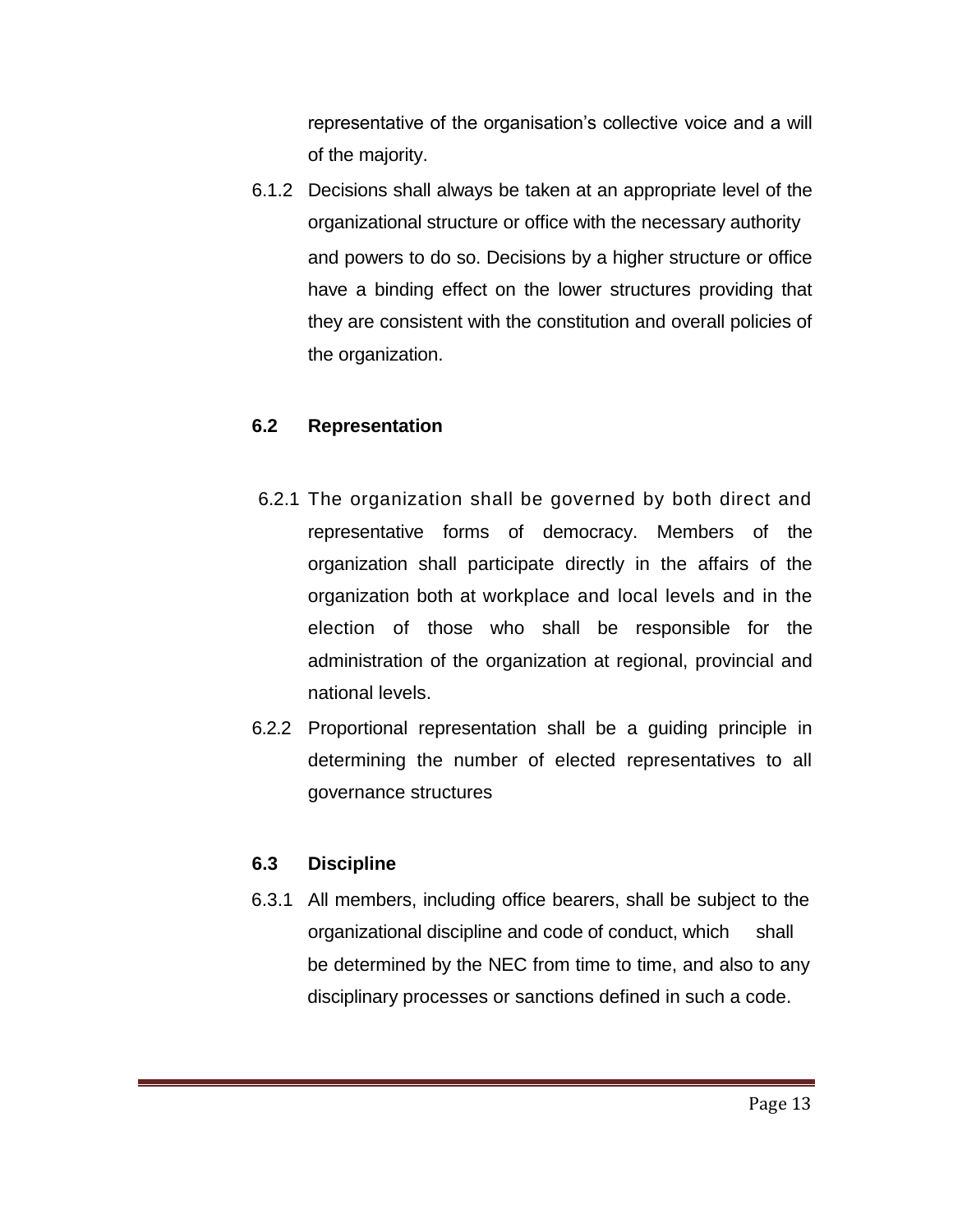representative of the organisation's collective voice and a will of the majority.

6.1.2 Decisions shall always be taken at an appropriate level of the organizational structure or office with the necessary authority and powers to do so. Decisions by a higher structure or office have a binding effect on the lower structures providing that they are consistent with the constitution and overall policies of the organization.

## **6.2 Representation**

- 6.2.1 The organization shall be governed by both direct and representative forms of democracy. Members of the organization shall participate directly in the affairs of the organization both at workplace and local levels and in the election of those who shall be responsible for the administration of the organization at regional, provincial and national levels.
- 6.2.2 Proportional representation shall be a guiding principle in determining the number of elected representatives to all governance structures

#### **6.3 Discipline**

6.3.1 All members, including office bearers, shall be subject to the organizational discipline and code of conduct, which shall be determined by the NEC from time to time, and also to any disciplinary processes or sanctions defined in such a code.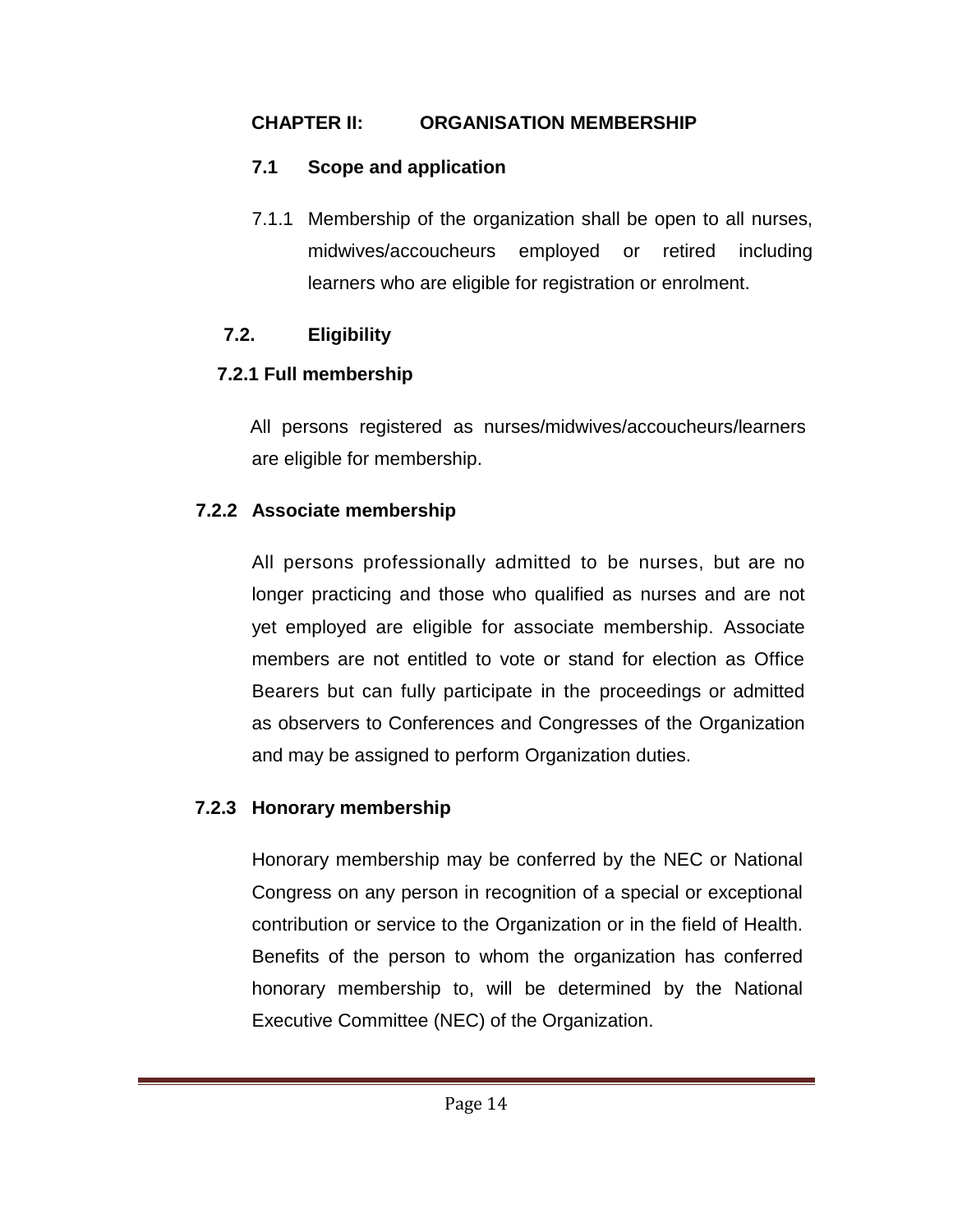## **CHAPTER II: ORGANISATION MEMBERSHIP**

# **7.1 Scope and application**

7.1.1 Membership of the organization shall be open to all nurses, midwives/accoucheurs employed or retired including learners who are eligible for registration or enrolment.

# **7.2. Eligibility**

# **7.2.1 Full membership**

All persons registered as nurses/midwives/accoucheurs/learners are eligible for membership.

# **7.2.2 Associate membership**

All persons professionally admitted to be nurses, but are no longer practicing and those who qualified as nurses and are not yet employed are eligible for associate membership. Associate members are not entitled to vote or stand for election as Office Bearers but can fully participate in the proceedings or admitted as observers to Conferences and Congresses of the Organization and may be assigned to perform Organization duties.

# **7.2.3 Honorary membership**

Honorary membership may be conferred by the NEC or National Congress on any person in recognition of a special or exceptional contribution or service to the Organization or in the field of Health. Benefits of the person to whom the organization has conferred honorary membership to, will be determined by the National Executive Committee (NEC) of the Organization.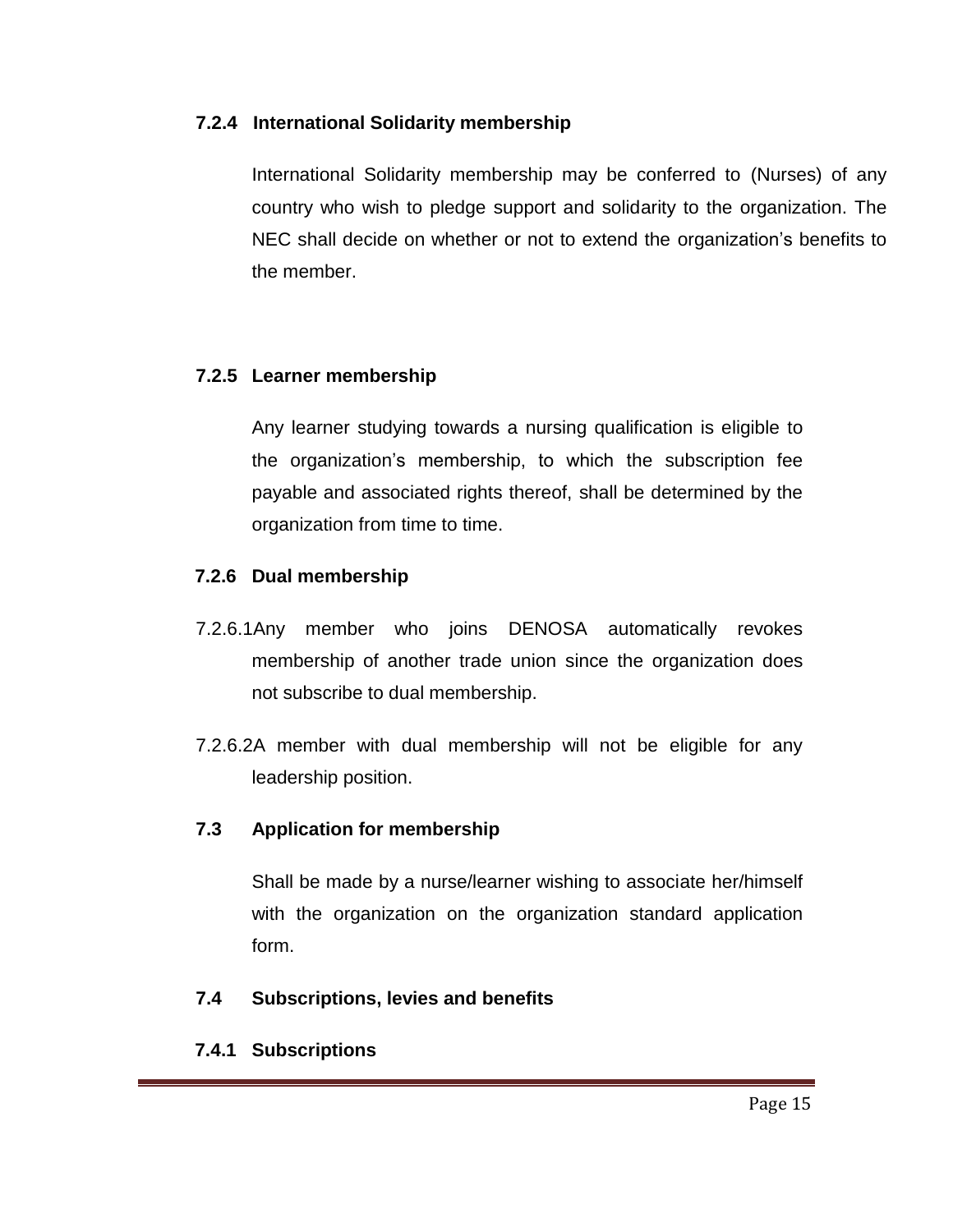#### **7.2.4 International Solidarity membership**

International Solidarity membership may be conferred to (Nurses) of any country who wish to pledge support and solidarity to the organization. The NEC shall decide on whether or not to extend the organization's benefits to the member.

## **7.2.5 Learner membership**

Any learner studying towards a nursing qualification is eligible to the organization's membership, to which the subscription fee payable and associated rights thereof, shall be determined by the organization from time to time.

## **7.2.6 Dual membership**

- 7.2.6.1Any member who joins DENOSA automatically revokes membership of another trade union since the organization does not subscribe to dual membership.
- 7.2.6.2A member with dual membership will not be eligible for any leadership position.

#### **7.3 Application for membership**

Shall be made by a nurse/learner wishing to associate her/himself with the organization on the organization standard application form.

#### **7.4 Subscriptions, levies and benefits**

## **7.4.1 Subscriptions**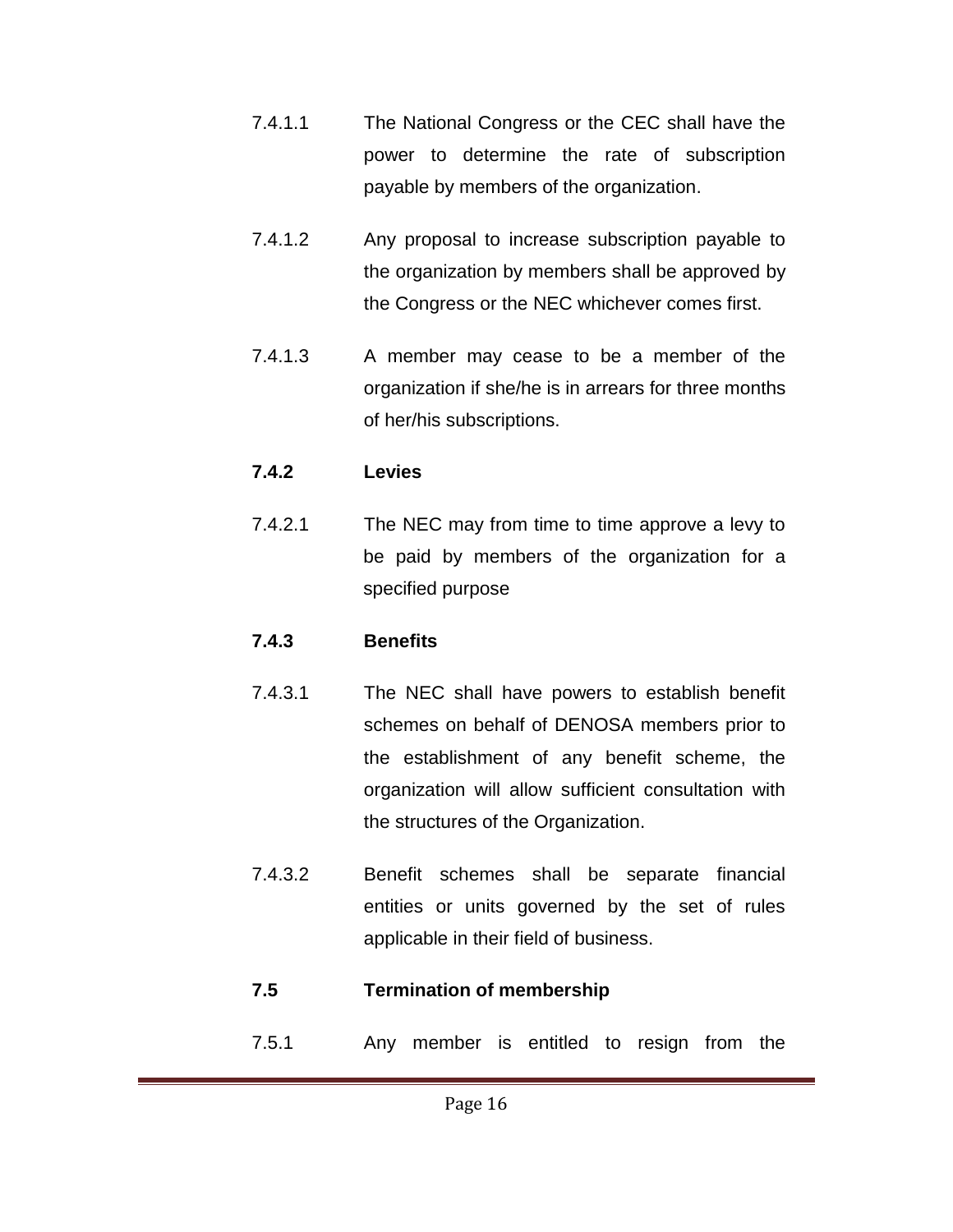- 7.4.1.1 The National Congress or the CEC shall have the power to determine the rate of subscription payable by members of the organization.
- 7.4.1.2 Any proposal to increase subscription payable to the organization by members shall be approved by the Congress or the NEC whichever comes first.
- 7.4.1.3 A member may cease to be a member of the organization if she/he is in arrears for three months of her/his subscriptions.

## **7.4.2 Levies**

7.4.2.1 The NEC may from time to time approve a levy to be paid by members of the organization for a specified purpose

## **7.4.3 Benefits**

- 7.4.3.1 The NEC shall have powers to establish benefit schemes on behalf of DENOSA members prior to the establishment of any benefit scheme, the organization will allow sufficient consultation with the structures of the Organization.
- 7.4.3.2 Benefit schemes shall be separate financial entities or units governed by the set of rules applicable in their field of business.

# **7.5 Termination of membership**

7.5.1 Any member is entitled to resign from the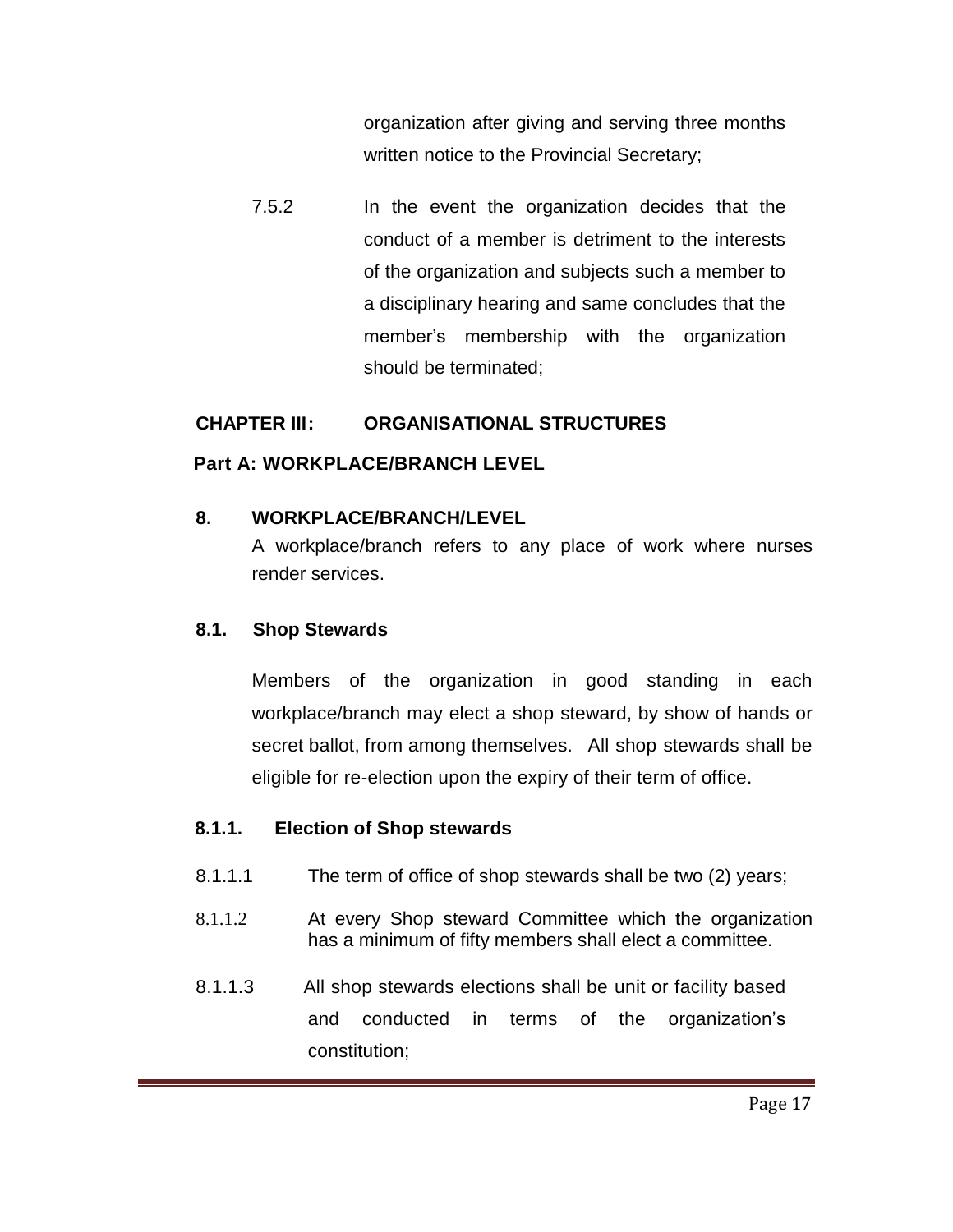organization after giving and serving three months written notice to the Provincial Secretary;

7.5.2 In the event the organization decides that the conduct of a member is detriment to the interests of the organization and subjects such a member to a disciplinary hearing and same concludes that the member's membership with the organization should be terminated;

#### **CHAPTER III: ORGANISATIONAL STRUCTURES**

## **Part A: WORKPLACE/BRANCH LEVEL**

## **8. WORKPLACE/BRANCH/LEVEL**

A workplace/branch refers to any place of work where nurses render services.

## **8.1. Shop Stewards**

Members of the organization in good standing in each workplace/branch may elect a shop steward, by show of hands or secret ballot, from among themselves. All shop stewards shall be eligible for re-election upon the expiry of their term of office.

## **8.1.1. Election of Shop stewards**

- 8.1.1.1 The term of office of shop stewards shall be two (2) years;
- 8.1.1.2 At every Shop steward Committee which the organization has a minimum of fifty members shall elect a committee.
- 8.1.1.3 All shop stewards elections shall be unit or facility based and conducted in terms of the organization's constitution;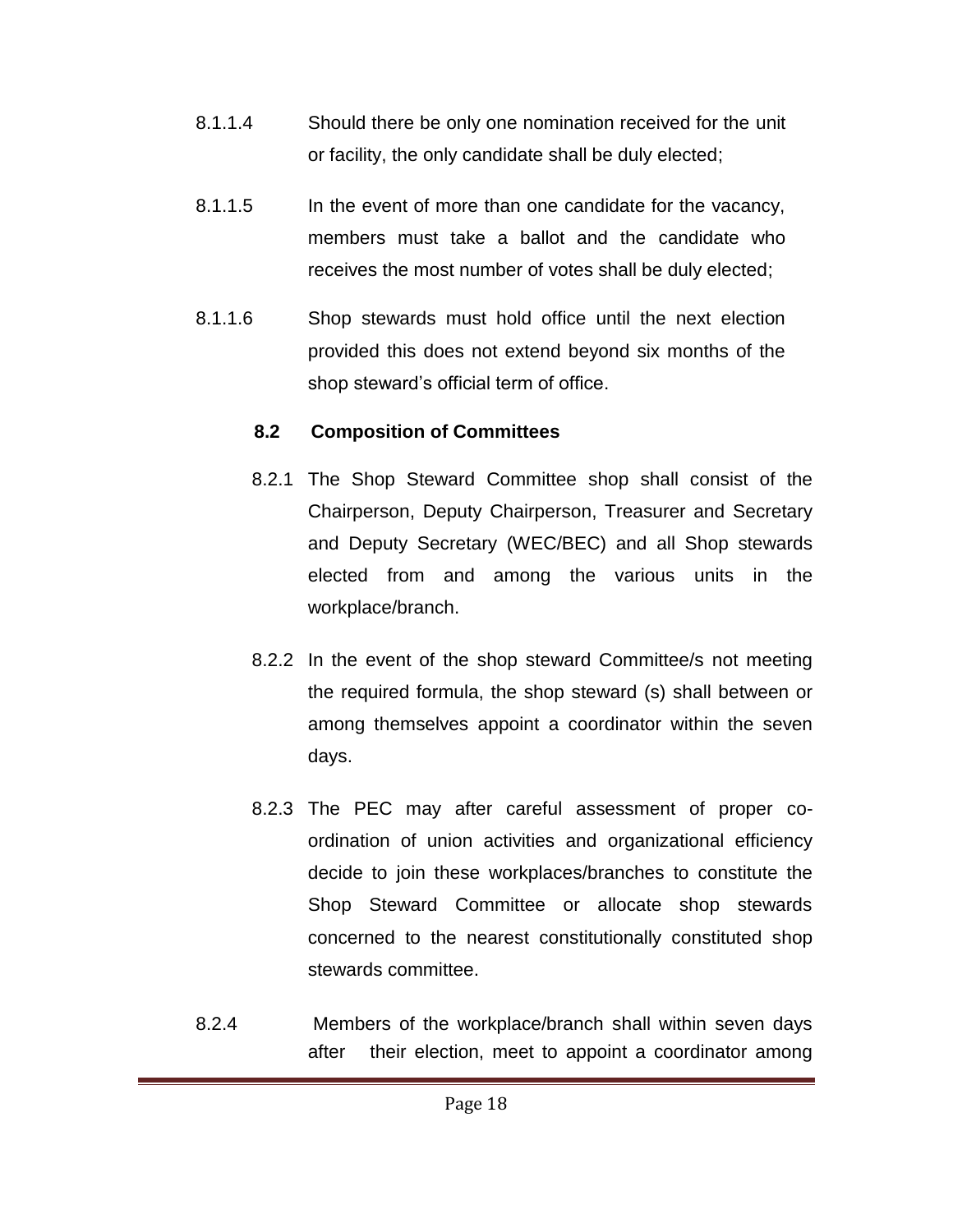- 8.1.1.4 Should there be only one nomination received for the unit or facility, the only candidate shall be duly elected;
- 8.1.1.5 In the event of more than one candidate for the vacancy, members must take a ballot and the candidate who receives the most number of votes shall be duly elected;
- 8.1.1.6 Shop stewards must hold office until the next election provided this does not extend beyond six months of the shop steward's official term of office.

## **8.2 Composition of Committees**

- 8.2.1 The Shop Steward Committee shop shall consist of the Chairperson, Deputy Chairperson, Treasurer and Secretary and Deputy Secretary (WEC/BEC) and all Shop stewards elected from and among the various units in the workplace/branch.
- 8.2.2 In the event of the shop steward Committee/s not meeting the required formula, the shop steward (s) shall between or among themselves appoint a coordinator within the seven days.
- 8.2.3 The PEC may after careful assessment of proper coordination of union activities and organizational efficiency decide to join these workplaces/branches to constitute the Shop Steward Committee or allocate shop stewards concerned to the nearest constitutionally constituted shop stewards committee.
- 8.2.4 Members of the workplace/branch shall within seven days after their election, meet to appoint a coordinator among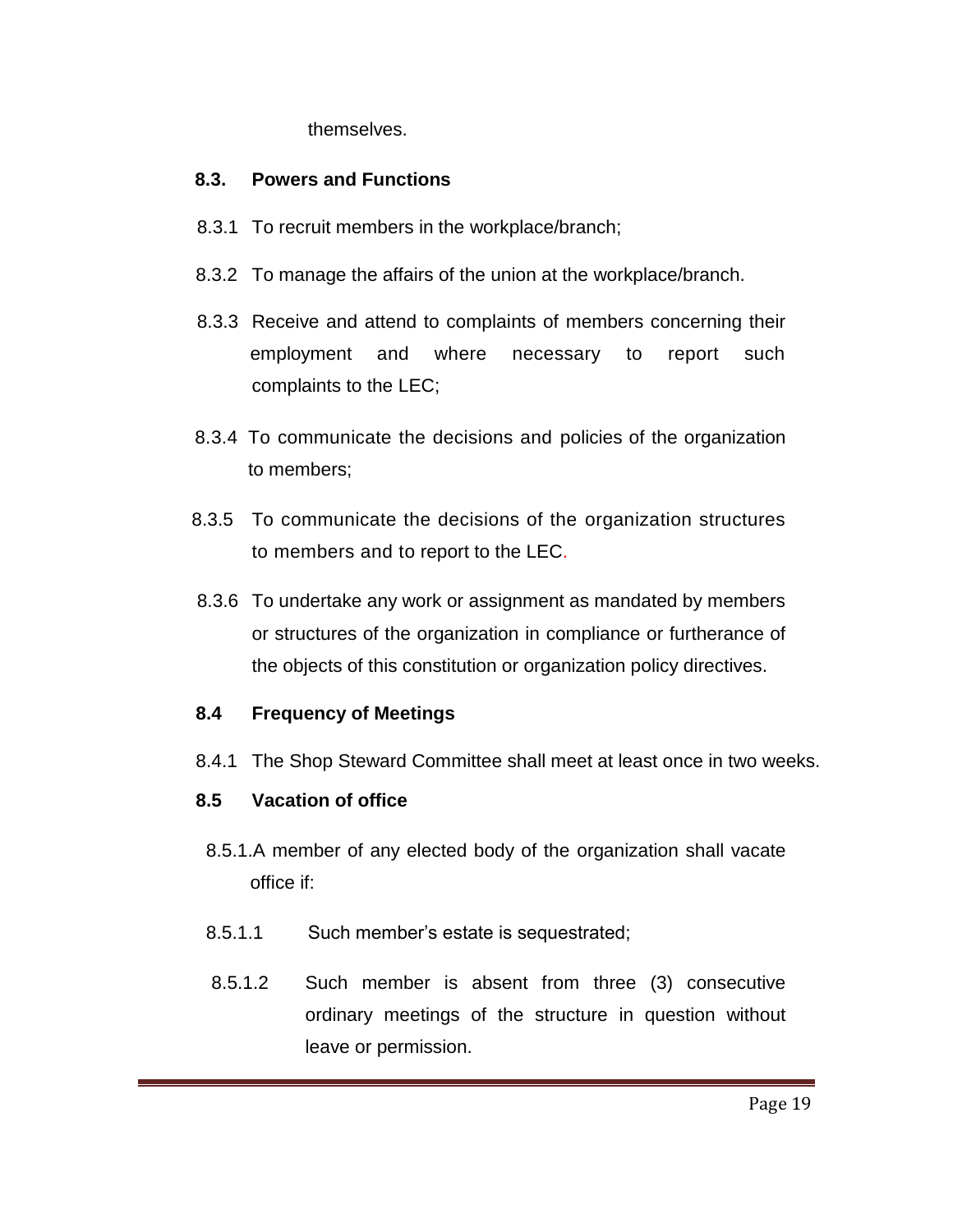themselves.

#### **8.3. Powers and Functions**

- 8.3.1 To recruit members in the workplace/branch;
- 8.3.2 To manage the affairs of the union at the workplace/branch.
- 8.3.3 Receive and attend to complaints of members concerning their employment and where necessary to report such complaints to the LEC;
- 8.3.4 To communicate the decisions and policies of the organization to members;
- 8.3.5 To communicate the decisions of the organization structures to members and to report to the LEC.
- 8.3.6 To undertake any work or assignment as mandated by members or structures of the organization in compliance or furtherance of the objects of this constitution or organization policy directives.

## **8.4 Frequency of Meetings**

8.4.1 The Shop Steward Committee shall meet at least once in two weeks.

## **8.5 Vacation of office**

- 8.5.1.A member of any elected body of the organization shall vacate office if:
- 8.5.1.1 Such member's estate is sequestrated;
- 8.5.1.2 Such member is absent from three (3) consecutive ordinary meetings of the structure in question without leave or permission.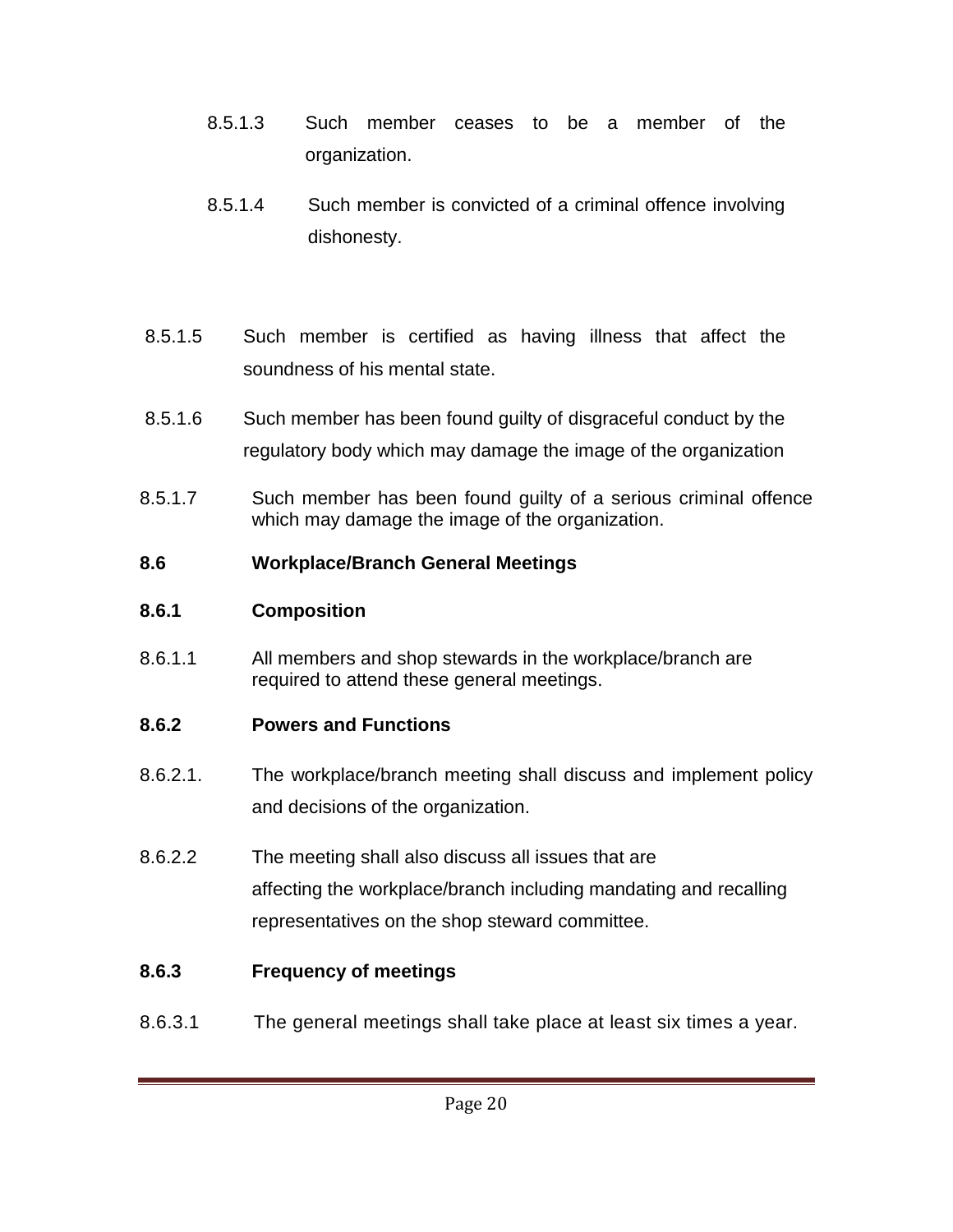- 8.5.1.3 Such member ceases to be a member of the organization.
- 8.5.1.4 Such member is convicted of a criminal offence involving dishonesty.
- 8.5.1.5 Such member is certified as having illness that affect the soundness of his mental state.
- 8.5.1.6 Such member has been found guilty of disgraceful conduct by the regulatory body which may damage the image of the organization
- 8.5.1.7 Such member has been found guilty of a serious criminal offence which may damage the image of the organization.

# **8.6 Workplace/Branch General Meetings**

# **8.6.1 Composition**

8.6.1.1 All members and shop stewards in the workplace/branch are required to attend these general meetings.

# **8.6.2 Powers and Functions**

- 8.6.2.1. The workplace/branch meeting shall discuss and implement policy and decisions of the organization.
- 8.6.2.2 The meeting shall also discuss all issues that are affecting the workplace/branch including mandating and recalling representatives on the shop steward committee.

# **8.6.3 Frequency of meetings**

8.6.3.1 The general meetings shall take place at least six times a year.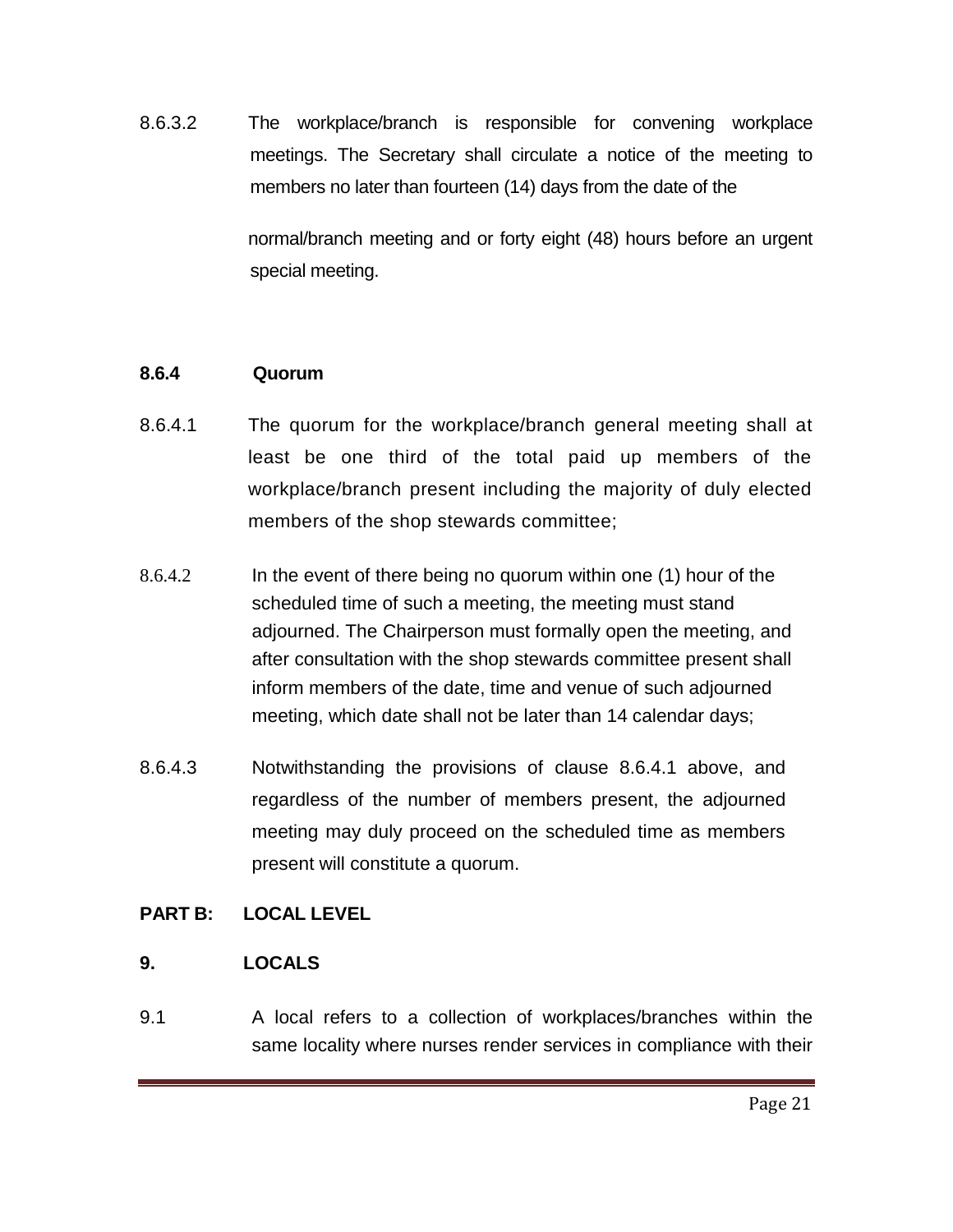8.6.3.2 The workplace/branch is responsible for convening workplace meetings. The Secretary shall circulate a notice of the meeting to members no later than fourteen (14) days from the date of the

> normal/branch meeting and or forty eight (48) hours before an urgent special meeting.

#### **8.6.4 Quorum**

- 8.6.4.1 The quorum for the workplace/branch general meeting shall at least be one third of the total paid up members of the workplace/branch present including the majority of duly elected members of the shop stewards committee;
- 8.6.4.2 In the event of there being no quorum within one (1) hour of the scheduled time of such a meeting, the meeting must stand adjourned. The Chairperson must formally open the meeting, and after consultation with the shop stewards committee present shall inform members of the date, time and venue of such adjourned meeting, which date shall not be later than 14 calendar days;
- 8.6.4.3 Notwithstanding the provisions of clause 8.6.4.1 above, and regardless of the number of members present, the adjourned meeting may duly proceed on the scheduled time as members present will constitute a quorum.

#### **PART B: LOCAL LEVEL**

#### **9. LOCALS**

9.1 A local refers to a collection of workplaces/branches within the same locality where nurses render services in compliance with their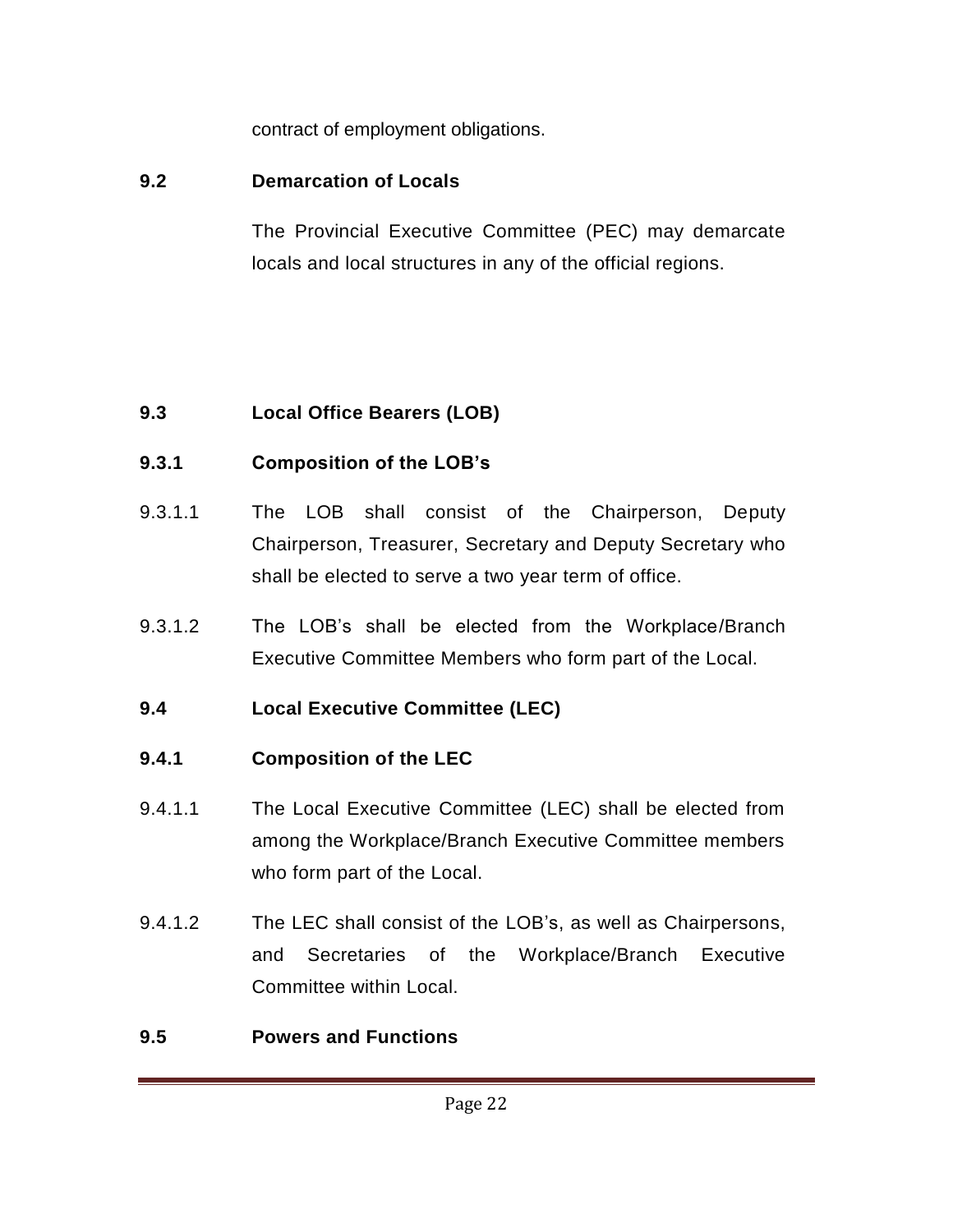contract of employment obligations.

# **9.2 Demarcation of Locals**

The Provincial Executive Committee (PEC) may demarcate locals and local structures in any of the official regions.

# **9.3 Local Office Bearers (LOB)**

# **9.3.1 Composition of the LOB's**

- 9.3.1.1 The LOB shall consist of the Chairperson, Deputy Chairperson, Treasurer, Secretary and Deputy Secretary who shall be elected to serve a two year term of office.
- 9.3.1.2 The LOB's shall be elected from the Workplace/Branch Executive Committee Members who form part of the Local.

# **9.4 Local Executive Committee (LEC)**

# **9.4.1 Composition of the LEC**

- 9.4.1.1 The Local Executive Committee (LEC) shall be elected from among the Workplace/Branch Executive Committee members who form part of the Local.
- 9.4.1.2 The LEC shall consist of the LOB's, as well as Chairpersons, and Secretaries of the Workplace/Branch Executive Committee within Local.

# **9.5 Powers and Functions**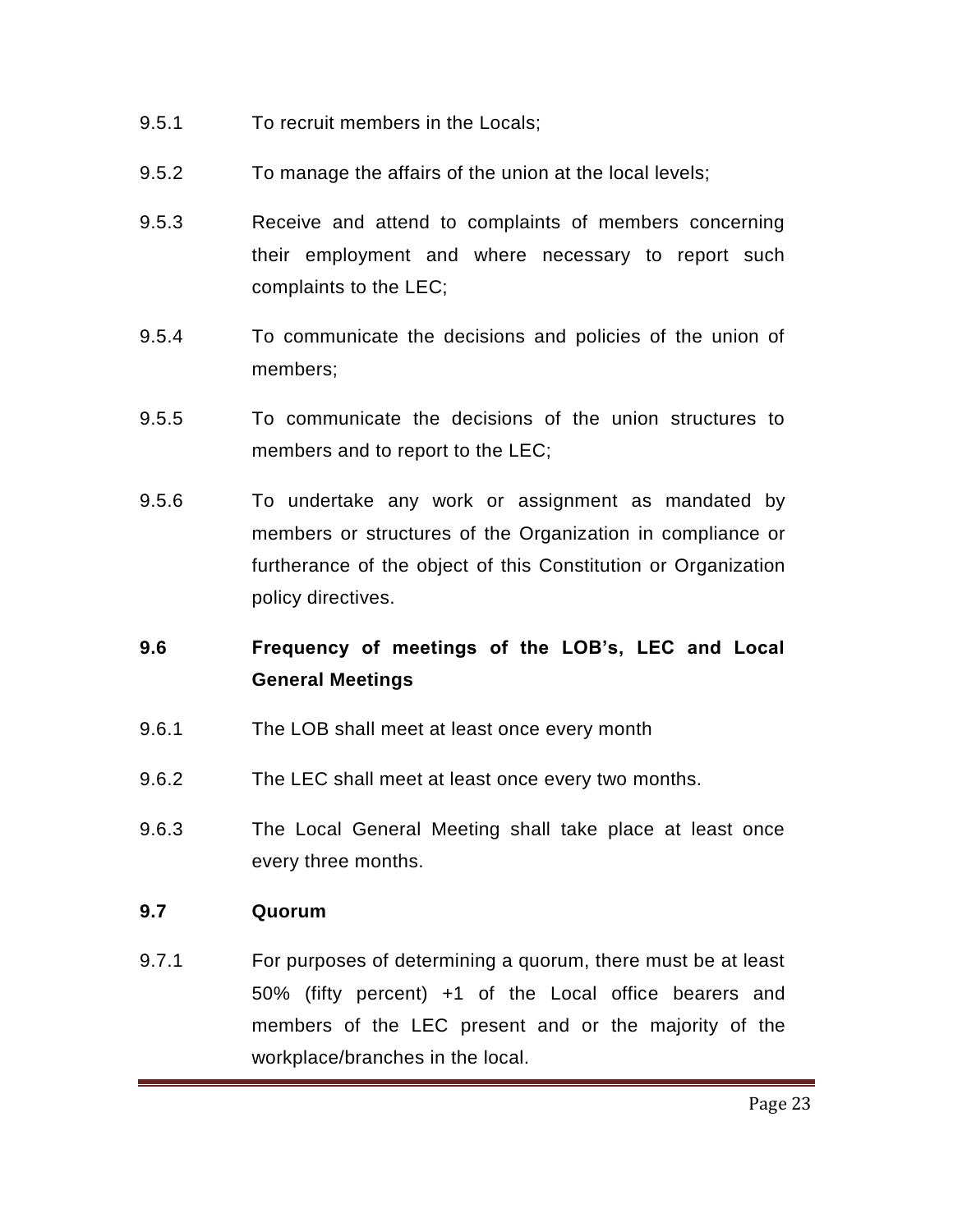- 9.5.1 To recruit members in the Locals;
- 9.5.2 To manage the affairs of the union at the local levels;
- 9.5.3 Receive and attend to complaints of members concerning their employment and where necessary to report such complaints to the LEC;
- 9.5.4 To communicate the decisions and policies of the union of members;
- 9.5.5 To communicate the decisions of the union structures to members and to report to the LEC;
- 9.5.6 To undertake any work or assignment as mandated by members or structures of the Organization in compliance or furtherance of the object of this Constitution or Organization policy directives.

# **9.6 Frequency of meetings of the LOB's, LEC and Local General Meetings**

- 9.6.1 The LOB shall meet at least once every month
- 9.6.2 The LEC shall meet at least once every two months.
- 9.6.3 The Local General Meeting shall take place at least once every three months.

#### **9.7 Quorum**

9.7.1 For purposes of determining a quorum, there must be at least 50% (fifty percent) +1 of the Local office bearers and members of the LEC present and or the majority of the workplace/branches in the local.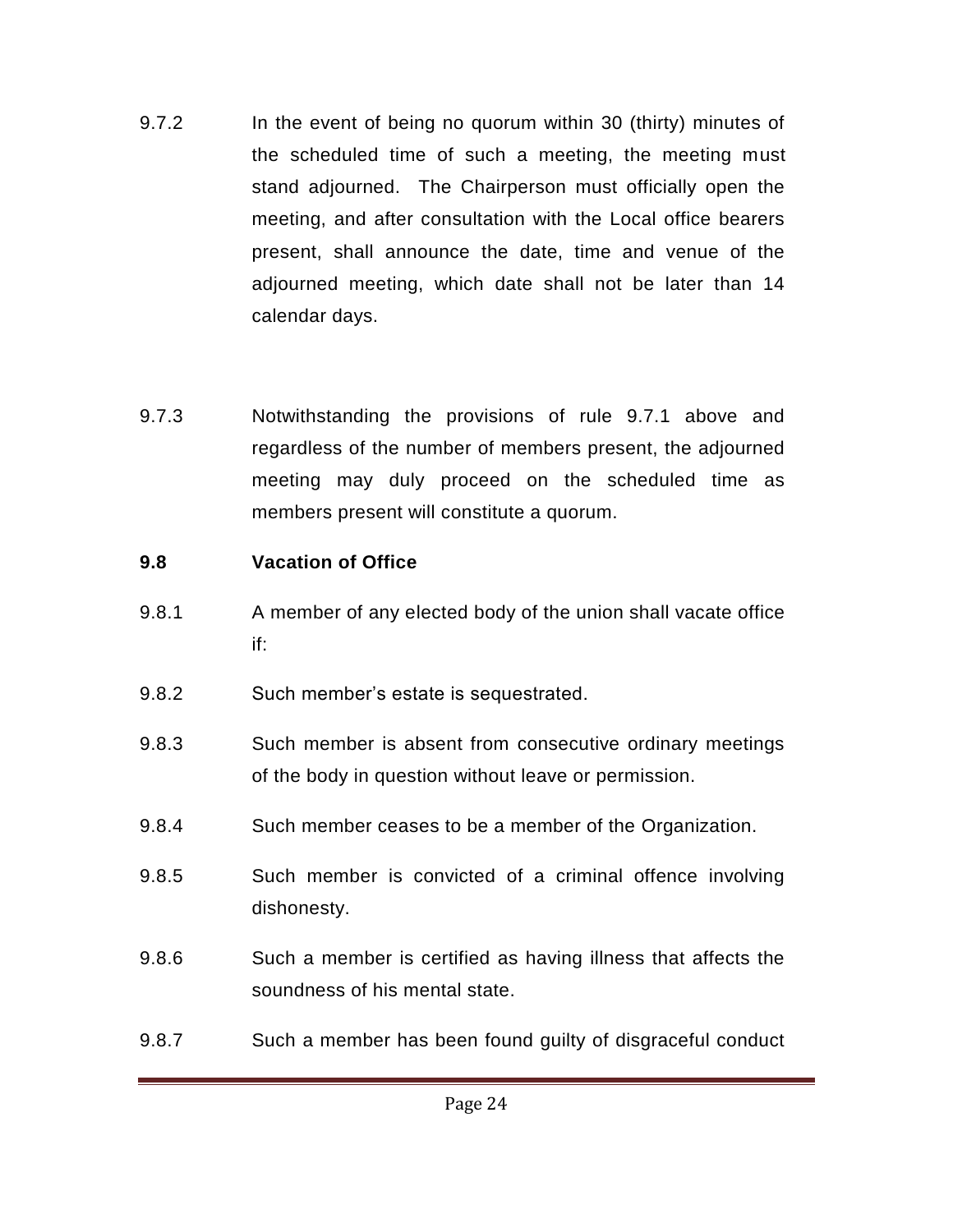- 9.7.2 In the event of being no quorum within 30 (thirty) minutes of the scheduled time of such a meeting, the meeting must stand adjourned. The Chairperson must officially open the meeting, and after consultation with the Local office bearers present, shall announce the date, time and venue of the adjourned meeting, which date shall not be later than 14 calendar days.
- 9.7.3 Notwithstanding the provisions of rule 9.7.1 above and regardless of the number of members present, the adjourned meeting may duly proceed on the scheduled time as members present will constitute a quorum.

## **9.8 Vacation of Office**

- 9.8.1 A member of any elected body of the union shall vacate office if:
- 9.8.2 Such member's estate is sequestrated.
- 9.8.3 Such member is absent from consecutive ordinary meetings of the body in question without leave or permission.
- 9.8.4 Such member ceases to be a member of the Organization.
- 9.8.5 Such member is convicted of a criminal offence involving dishonesty.
- 9.8.6 Such a member is certified as having illness that affects the soundness of his mental state.
- 9.8.7 Such a member has been found guilty of disgraceful conduct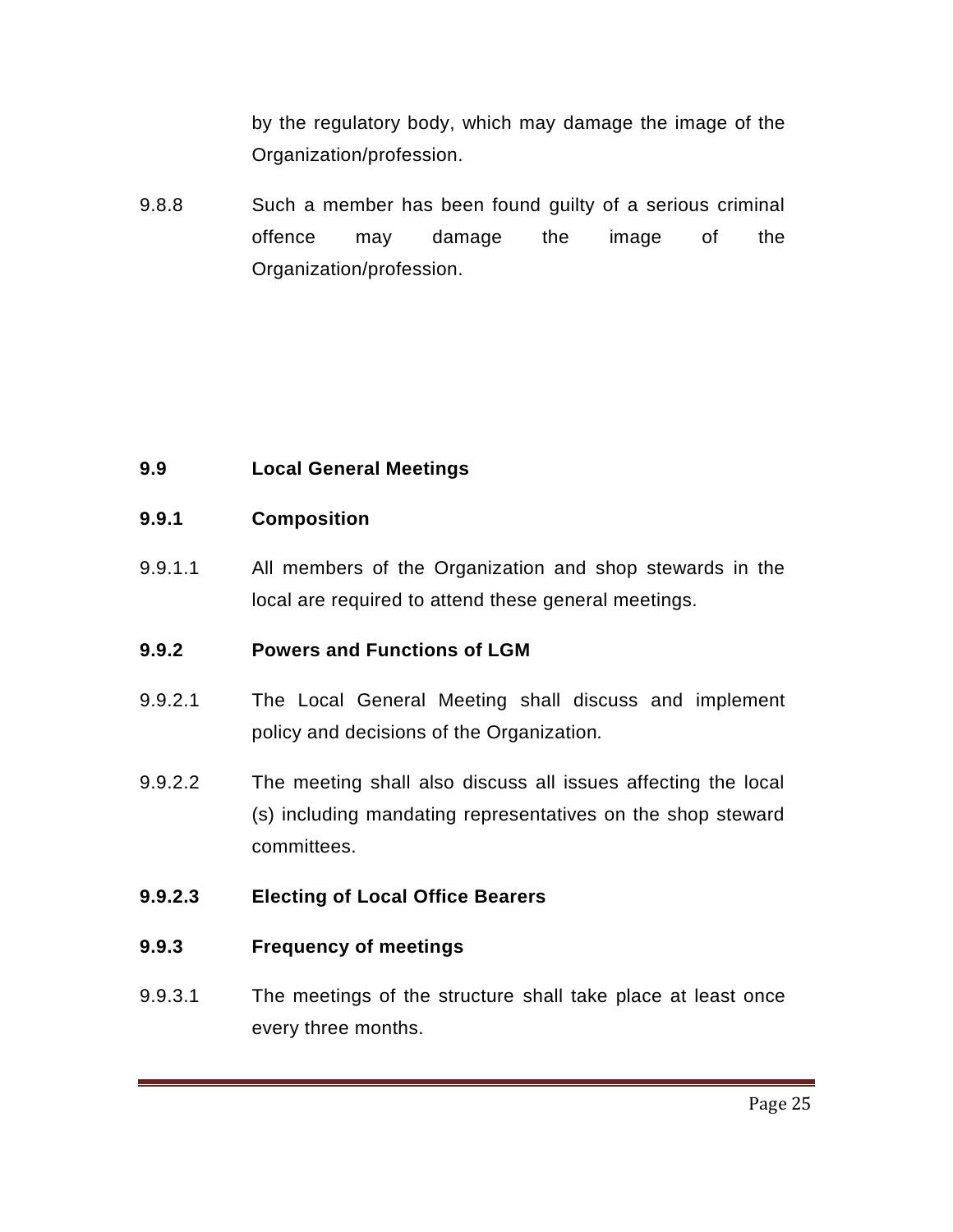by the regulatory body, which may damage the image of the Organization/profession.

9.8.8 Such a member has been found guilty of a serious criminal offence may damage the image of the Organization/profession.

## **9.9 Local General Meetings**

#### **9.9.1 Composition**

9.9.1.1 All members of the Organization and shop stewards in the local are required to attend these general meetings.

## **9.9.2 Powers and Functions of LGM**

- 9.9.2.1 The Local General Meeting shall discuss and implement policy and decisions of the Organization*.*
- 9.9.2.2 The meeting shall also discuss all issues affecting the local (s) including mandating representatives on the shop steward committees.

## **9.9.2.3 Electing of Local Office Bearers**

#### **9.9.3 Frequency of meetings**

9.9.3.1 The meetings of the structure shall take place at least once every three months.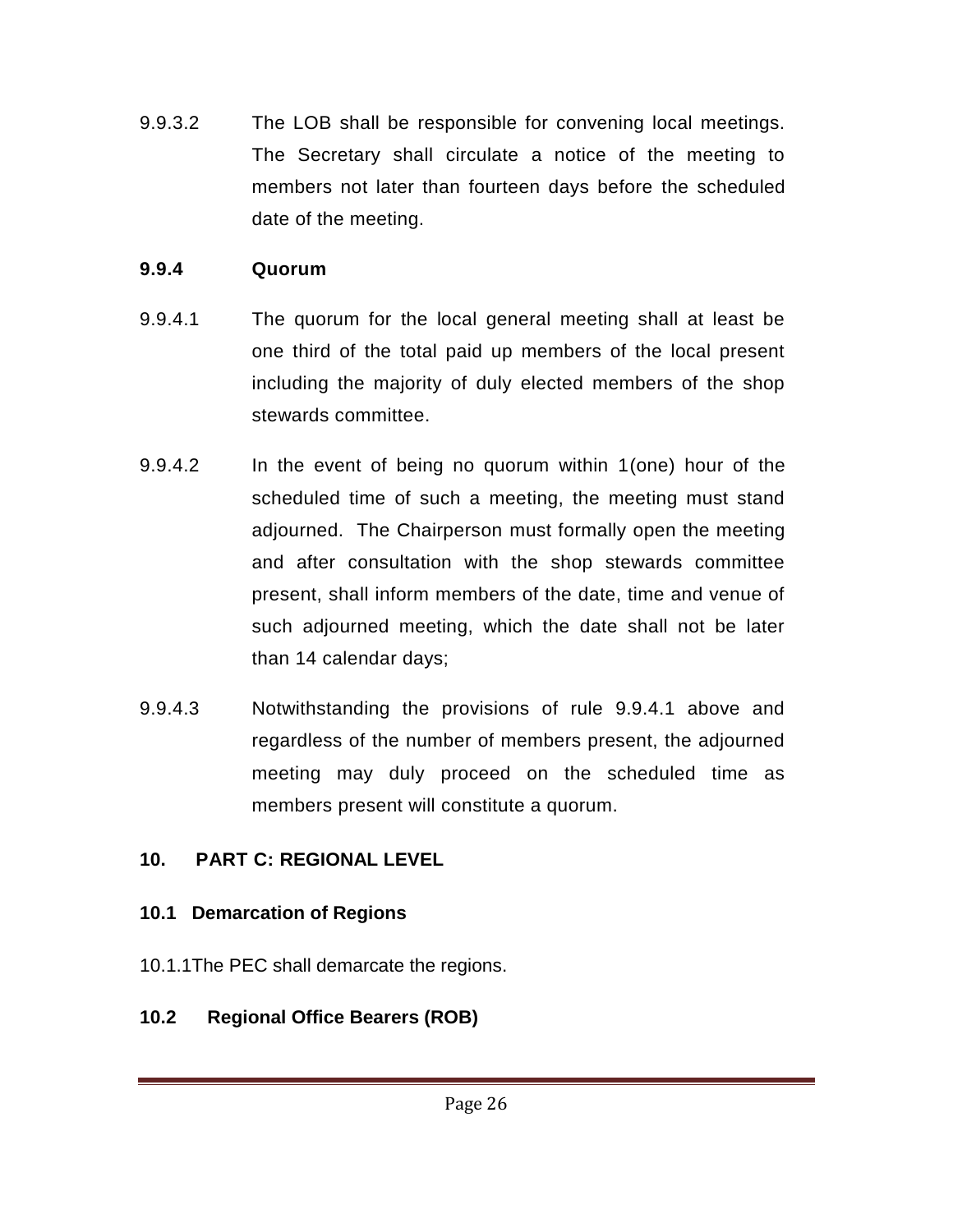9.9.3.2 The LOB shall be responsible for convening local meetings. The Secretary shall circulate a notice of the meeting to members not later than fourteen days before the scheduled date of the meeting.

# **9.9.4 Quorum**

- 9.9.4.1 The quorum for the local general meeting shall at least be one third of the total paid up members of the local present including the majority of duly elected members of the shop stewards committee.
- 9.9.4.2 In the event of being no quorum within 1(one) hour of the scheduled time of such a meeting, the meeting must stand adjourned. The Chairperson must formally open the meeting and after consultation with the shop stewards committee present, shall inform members of the date, time and venue of such adjourned meeting, which the date shall not be later than 14 calendar days;
- 9.9.4.3 Notwithstanding the provisions of rule 9.9.4.1 above and regardless of the number of members present, the adjourned meeting may duly proceed on the scheduled time as members present will constitute a quorum.

# **10. PART C: REGIONAL LEVEL**

# **10.1 Demarcation of Regions**

10.1.1The PEC shall demarcate the regions.

# **10.2****Regional Office Bearers (ROB)**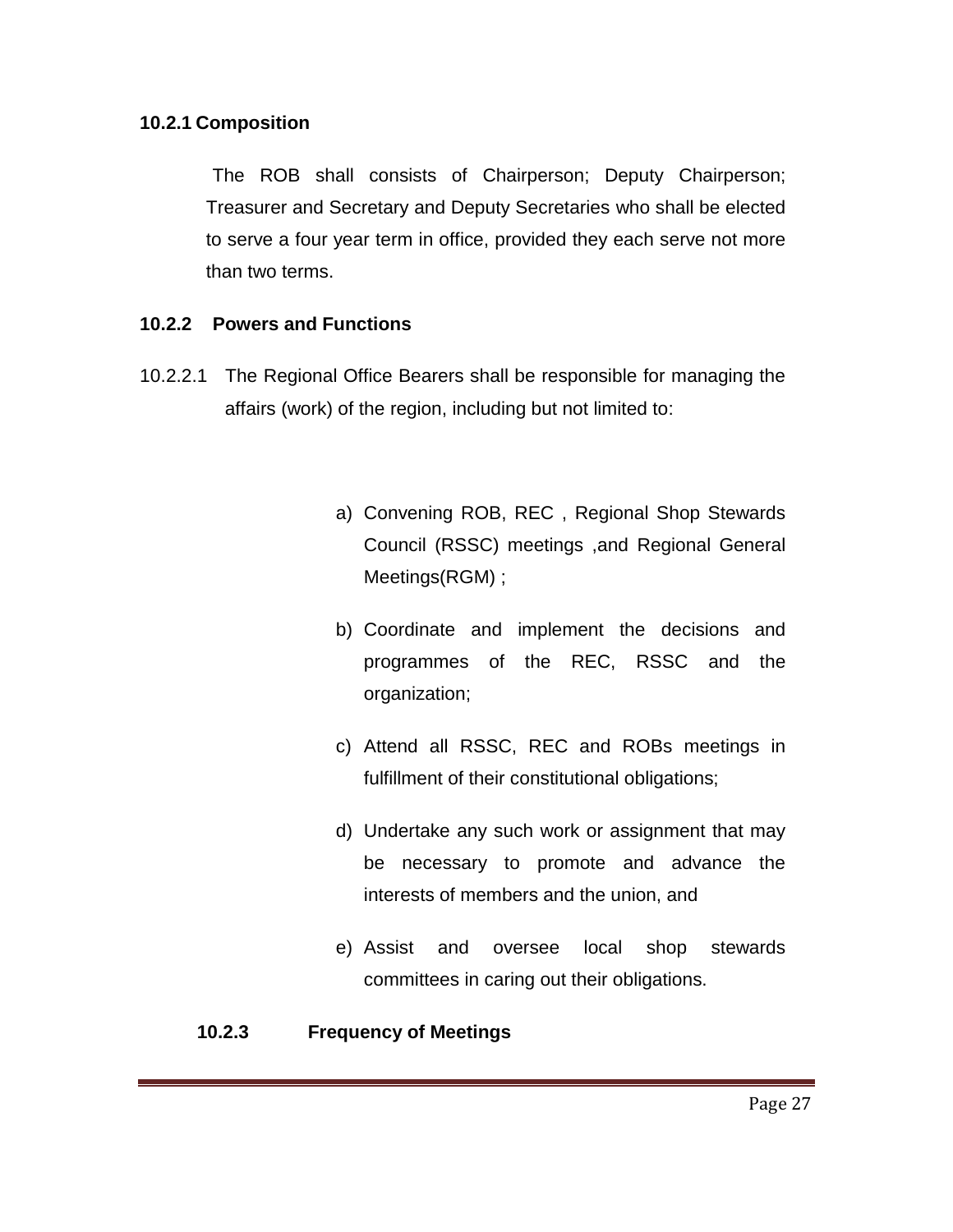#### **10.2.1 Composition**

 The ROB shall consists of Chairperson; Deputy Chairperson; Treasurer and Secretary and Deputy Secretaries who shall be elected to serve a four year term in office, provided they each serve not more than two terms.

#### **10.2.2 Powers and Functions**

- 10.2.2.1 The Regional Office Bearers shall be responsible for managing the affairs (work) of the region, including but not limited to:
	- a) Convening ROB, REC , Regional Shop Stewards Council (RSSC) meetings ,and Regional General Meetings(RGM) ;
	- b) Coordinate and implement the decisions and programmes of the REC, RSSC and the organization;
	- c) Attend all RSSC, REC and ROBs meetings in fulfillment of their constitutional obligations;
	- d) Undertake any such work or assignment that may be necessary to promote and advance the interests of members and the union, and
	- e) Assist and oversee local shop stewards committees in caring out their obligations.

#### **10.2.3 Frequency of Meetings**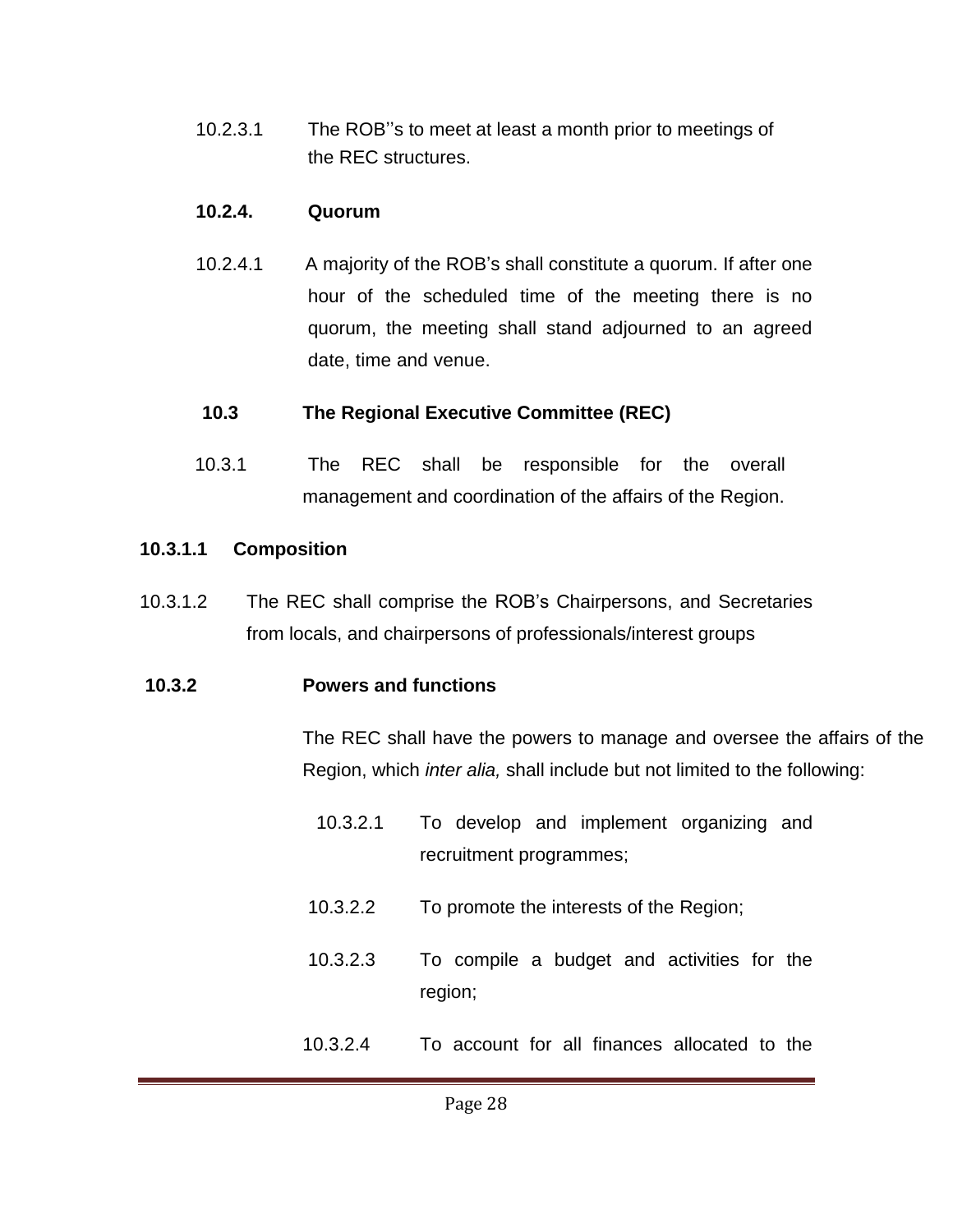10.2.3.1 The ROB''s to meet at least a month prior to meetings of the REC structures.

#### **10.2.4. Quorum**

10.2.4.1 A majority of the ROB's shall constitute a quorum. If after one hour of the scheduled time of the meeting there is no quorum, the meeting shall stand adjourned to an agreed date, time and venue.

#### **10.3 The Regional Executive Committee (REC)**

10.3.1 The REC shall be responsible for the overall management and coordination of the affairs of the Region.

#### **10.3.1.1 Composition**

10.3.1.2 The REC shall comprise the ROB's Chairpersons, and Secretaries from locals, and chairpersons of professionals/interest groups

#### **10.3.2 Powers and functions**

The REC shall have the powers to manage and oversee the affairs of the Region, which *inter alia,* shall include but not limited to the following:

- 10.3.2.1 To develop and implement organizing and recruitment programmes;
- 10.3.2.2 To promote the interests of the Region;
- 10.3.2.3 To compile a budget and activities for the region;
- 10.3.2.4 To account for all finances allocated to the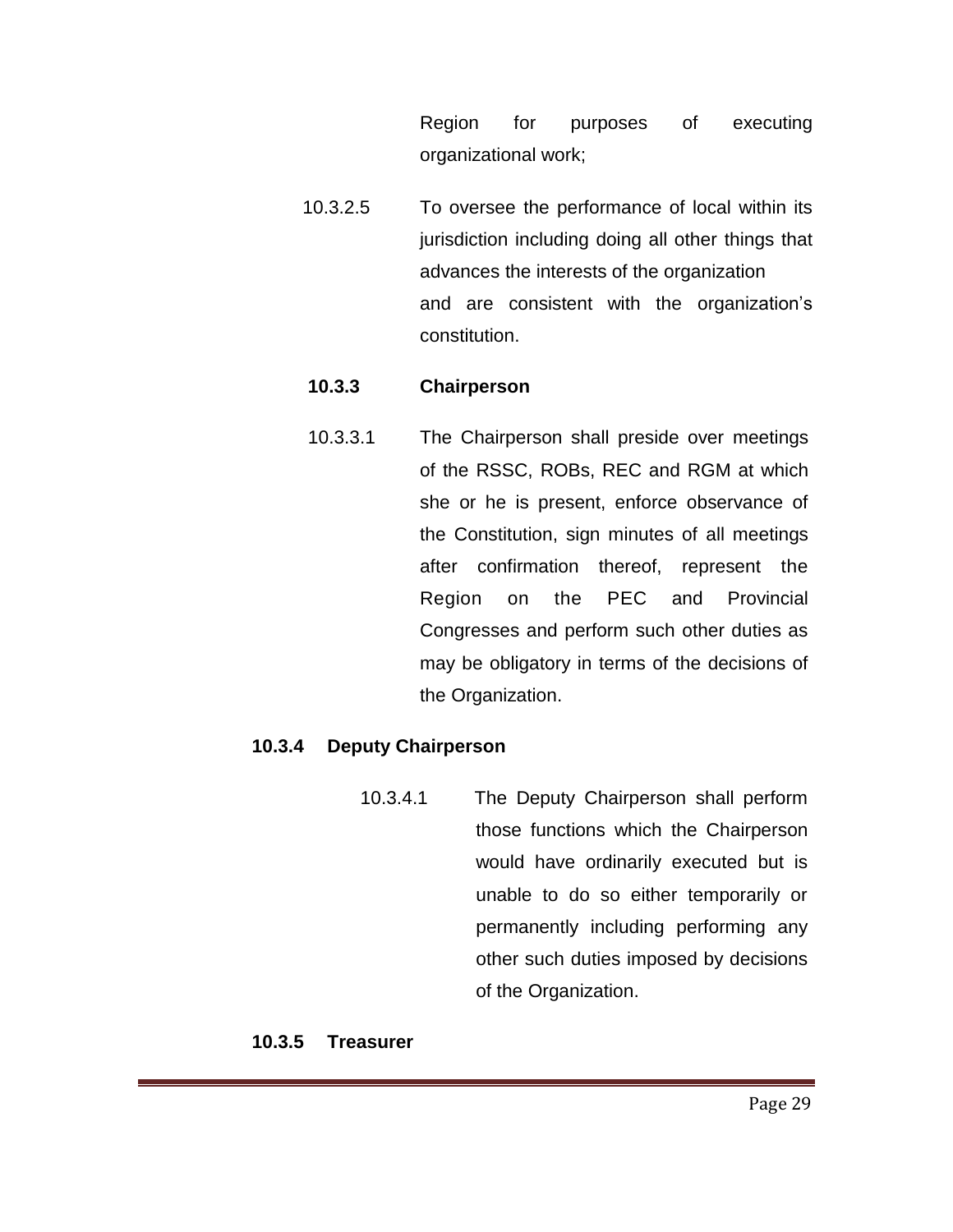Region for purposes of executing organizational work;

10.3.2.5 To oversee the performance of local within its jurisdiction including doing all other things that advances the interests of the organization and are consistent with the organization's constitution.

#### **10.3.3 Chairperson**

10.3.3.1 The Chairperson shall preside over meetings of the RSSC, ROBs, REC and RGM at which she or he is present, enforce observance of the Constitution, sign minutes of all meetings after confirmation thereof, represent the Region on the PEC and Provincial Congresses and perform such other duties as may be obligatory in terms of the decisions of the Organization.

#### **10.3.4 Deputy Chairperson**

10.3.4.1 The Deputy Chairperson shall perform those functions which the Chairperson would have ordinarily executed but is unable to do so either temporarily or permanently including performing any other such duties imposed by decisions of the Organization.

#### **10.3.5 Treasurer**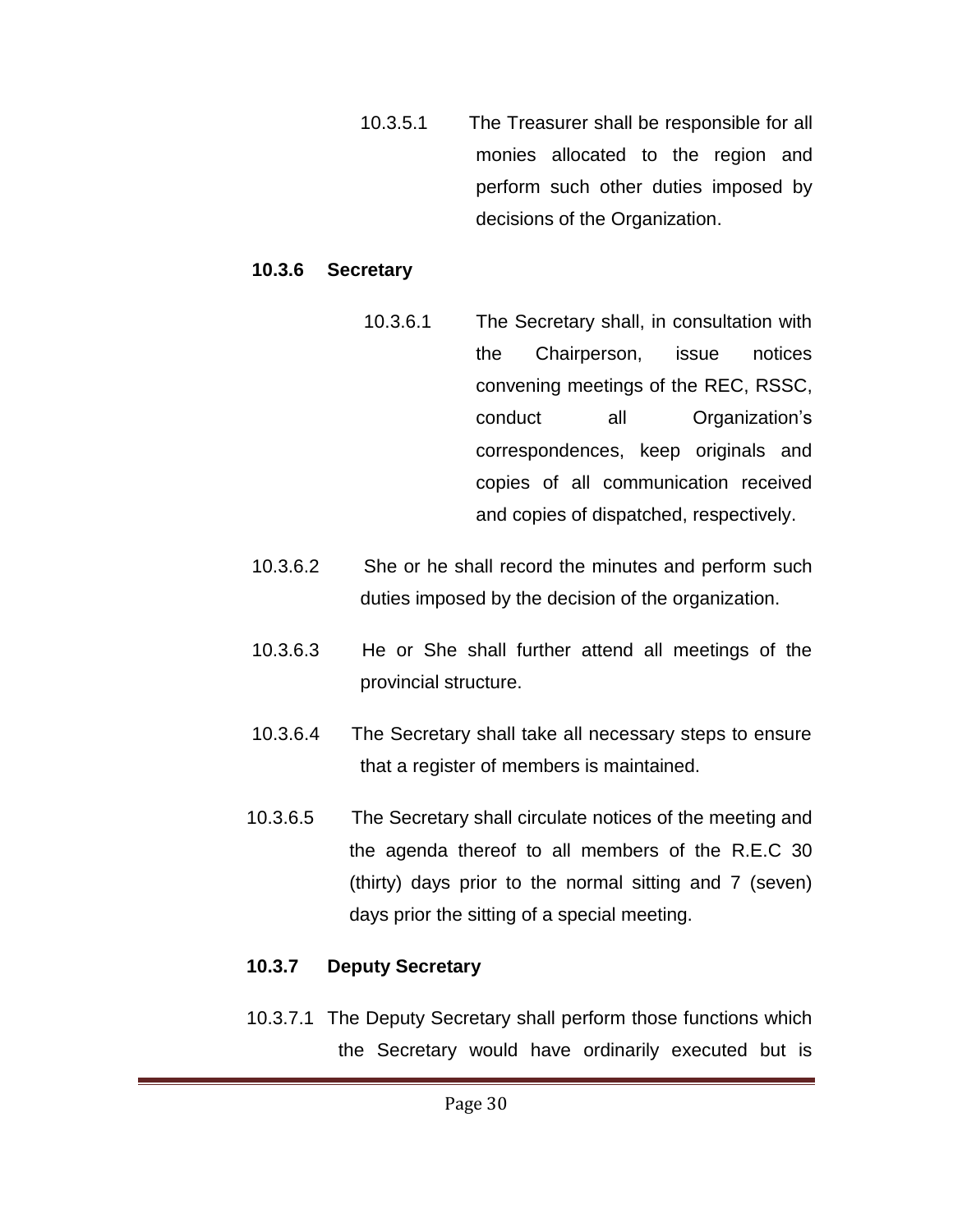10.3.5.1 The Treasurer shall be responsible for all monies allocated to the region and perform such other duties imposed by decisions of the Organization.

#### **10.3.6 Secretary**

- 10.3.6.1 The Secretary shall, in consultation with the Chairperson, issue notices convening meetings of the REC, RSSC, conduct all Organization's correspondences, keep originals and copies of all communication received and copies of dispatched, respectively.
- 10.3.6.2 She or he shall record the minutes and perform such duties imposed by the decision of the organization.
- 10.3.6.3 He or She shall further attend all meetings of the provincial structure.
- 10.3.6.4 The Secretary shall take all necessary steps to ensure that a register of members is maintained.
- 10.3.6.5 The Secretary shall circulate notices of the meeting and the agenda thereof to all members of the R.E.C 30 (thirty) days prior to the normal sitting and 7 (seven) days prior the sitting of a special meeting.

## **10.3.7 Deputy Secretary**

10.3.7.1 The Deputy Secretary shall perform those functions which the Secretary would have ordinarily executed but is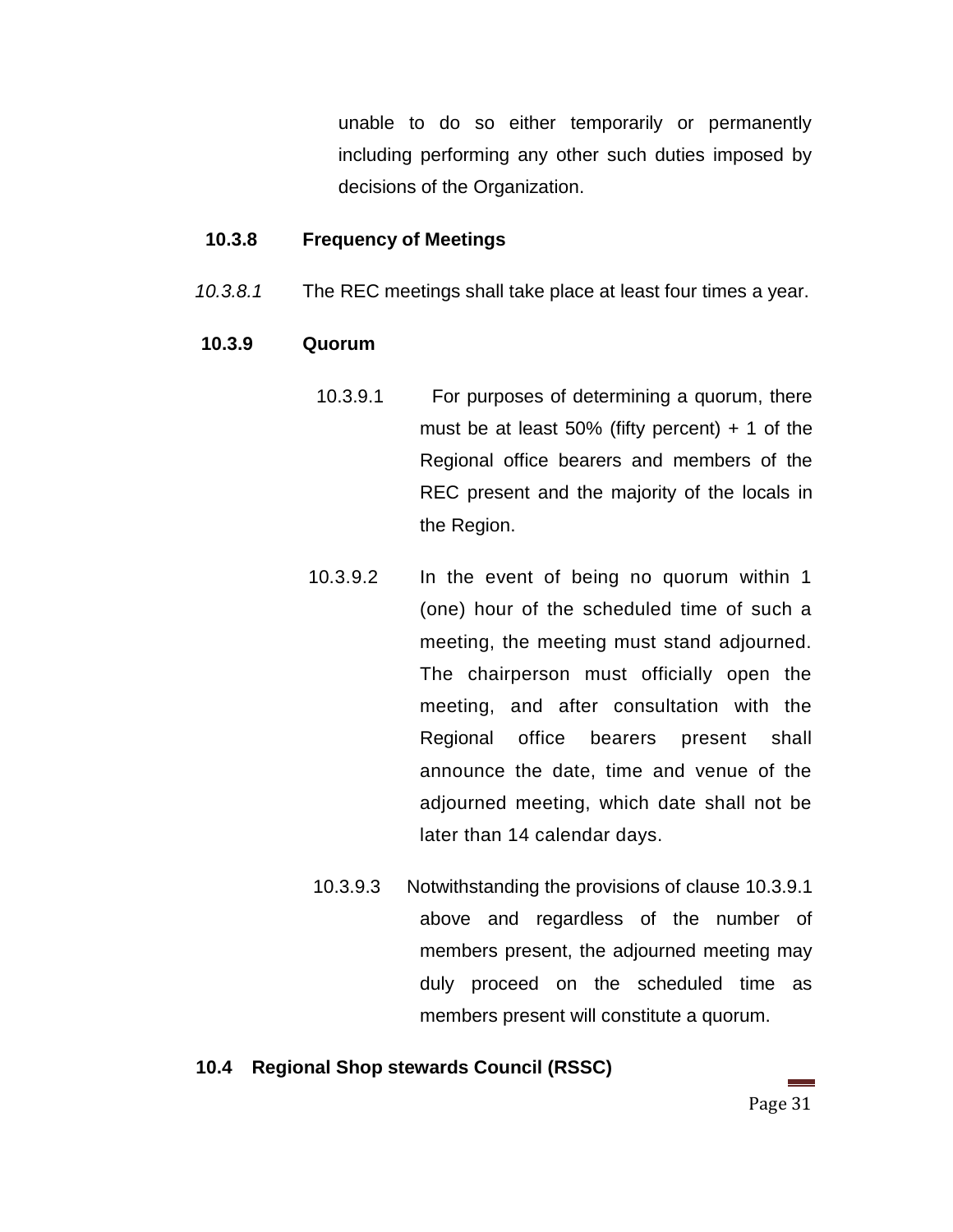unable to do so either temporarily or permanently including performing any other such duties imposed by decisions of the Organization.

#### **10.3.8 Frequency of Meetings**

*10.3.8.1* The REC meetings shall take place at least four times a year.

#### **10.3.9 Quorum**

- 10.3.9.1 For purposes of determining a quorum, there must be at least 50% (fifty percent)  $+1$  of the Regional office bearers and members of the REC present and the majority of the locals in the Region.
- 10.3.9.2 In the event of being no quorum within 1 (one) hour of the scheduled time of such a meeting, the meeting must stand adjourned. The chairperson must officially open the meeting, and after consultation with the Regional office bearers present shall announce the date, time and venue of the adjourned meeting, which date shall not be later than 14 calendar days.
- 10.3.9.3 Notwithstanding the provisions of clause 10.3.9.1 above and regardless of the number of members present, the adjourned meeting may duly proceed on the scheduled time as members present will constitute a quorum.

#### **10.4 Regional Shop stewards Council (RSSC)**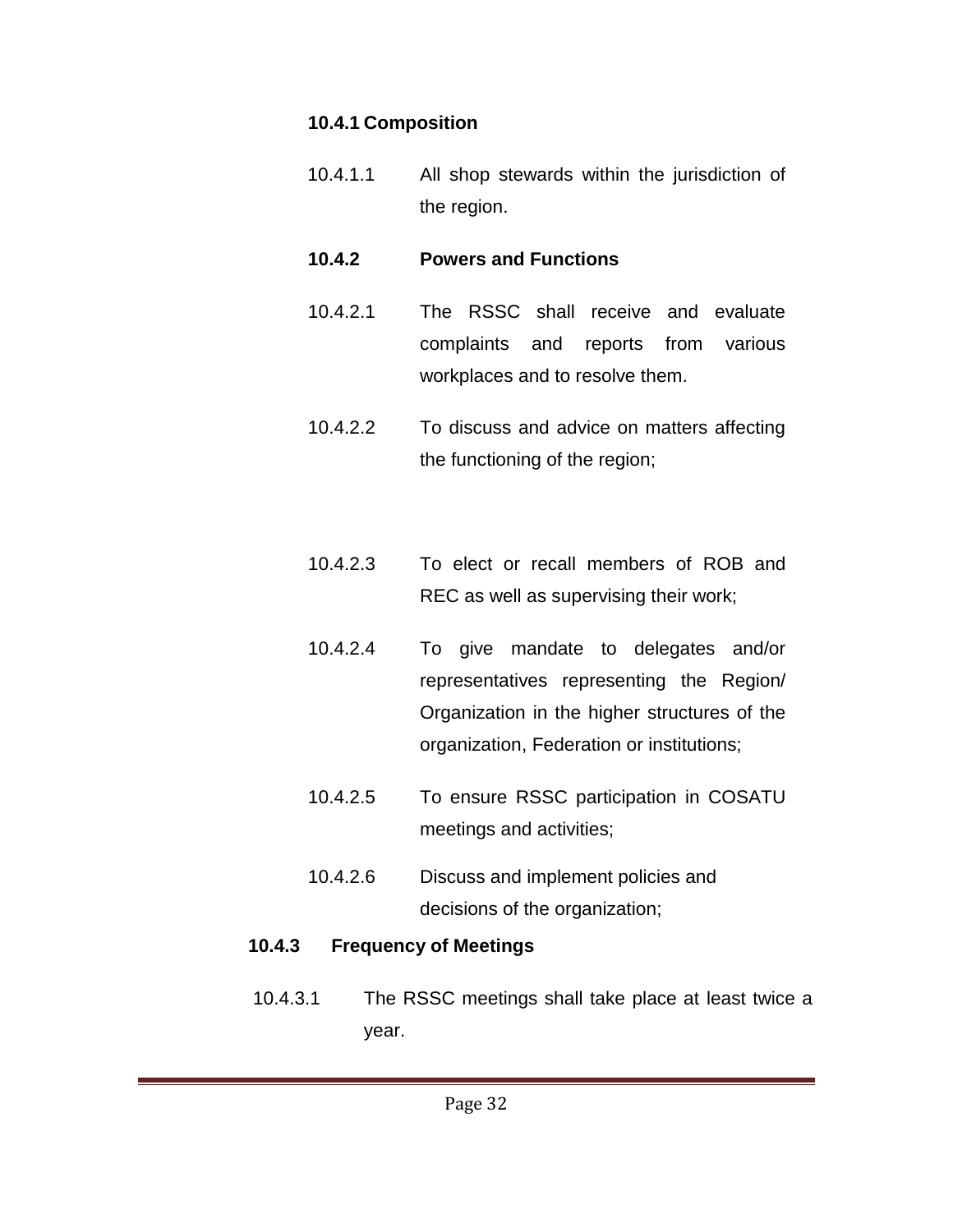## **10.4.1 Composition**

10.4.1.1 All shop stewards within the jurisdiction of the region.

#### **10.4.2 Powers and Functions**

- 10.4.2.1 The RSSC shall receive and evaluate complaints and reports from various workplaces and to resolve them.
- 10.4.2.2 To discuss and advice on matters affecting the functioning of the region;
- 10.4.2.3 To elect or recall members of ROB and REC as well as supervising their work;
- 10.4.2.4 To give mandate to delegates and/or representatives representing the Region/ Organization in the higher structures of the organization, Federation or institutions;
- 10.4.2.5 To ensure RSSC participation in COSATU meetings and activities;
- 10.4.2.6 Discuss and implement policies and decisions of the organization;

## **10.4.3 Frequency of Meetings**

 10.4.3.1 The RSSC meetings shall take place at least twice a year.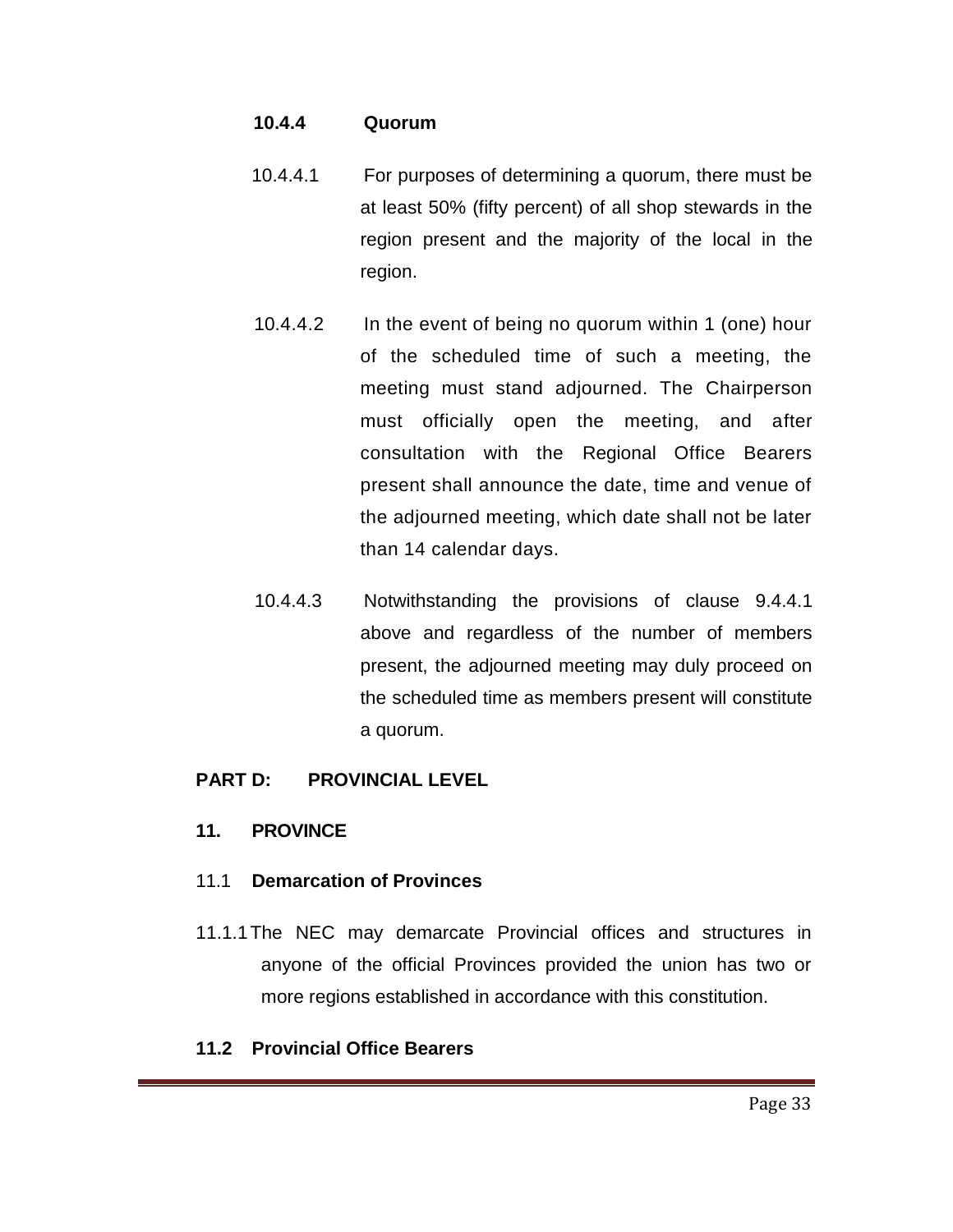#### **10.4.4 Quorum**

- 10.4.4.1 For purposes of determining a quorum, there must be at least 50% (fifty percent) of all shop stewards in the region present and the majority of the local in the region.
- 10.4.4.2 In the event of being no quorum within 1 (one) hour of the scheduled time of such a meeting, the meeting must stand adjourned. The Chairperson must officially open the meeting, and after consultation with the Regional Office Bearers present shall announce the date, time and venue of the adjourned meeting, which date shall not be later than 14 calendar days.
- 10.4.4.3 Notwithstanding the provisions of clause 9.4.4.1 above and regardless of the number of members present, the adjourned meeting may duly proceed on the scheduled time as members present will constitute a quorum.

#### **PART D: PROVINCIAL LEVEL**

#### **11. PROVINCE**

#### 11.1 **Demarcation of Provinces**

11.1.1The NEC may demarcate Provincial offices and structures in anyone of the official Provinces provided the union has two or more regions established in accordance with this constitution.

## **11.2 Provincial Office Bearers**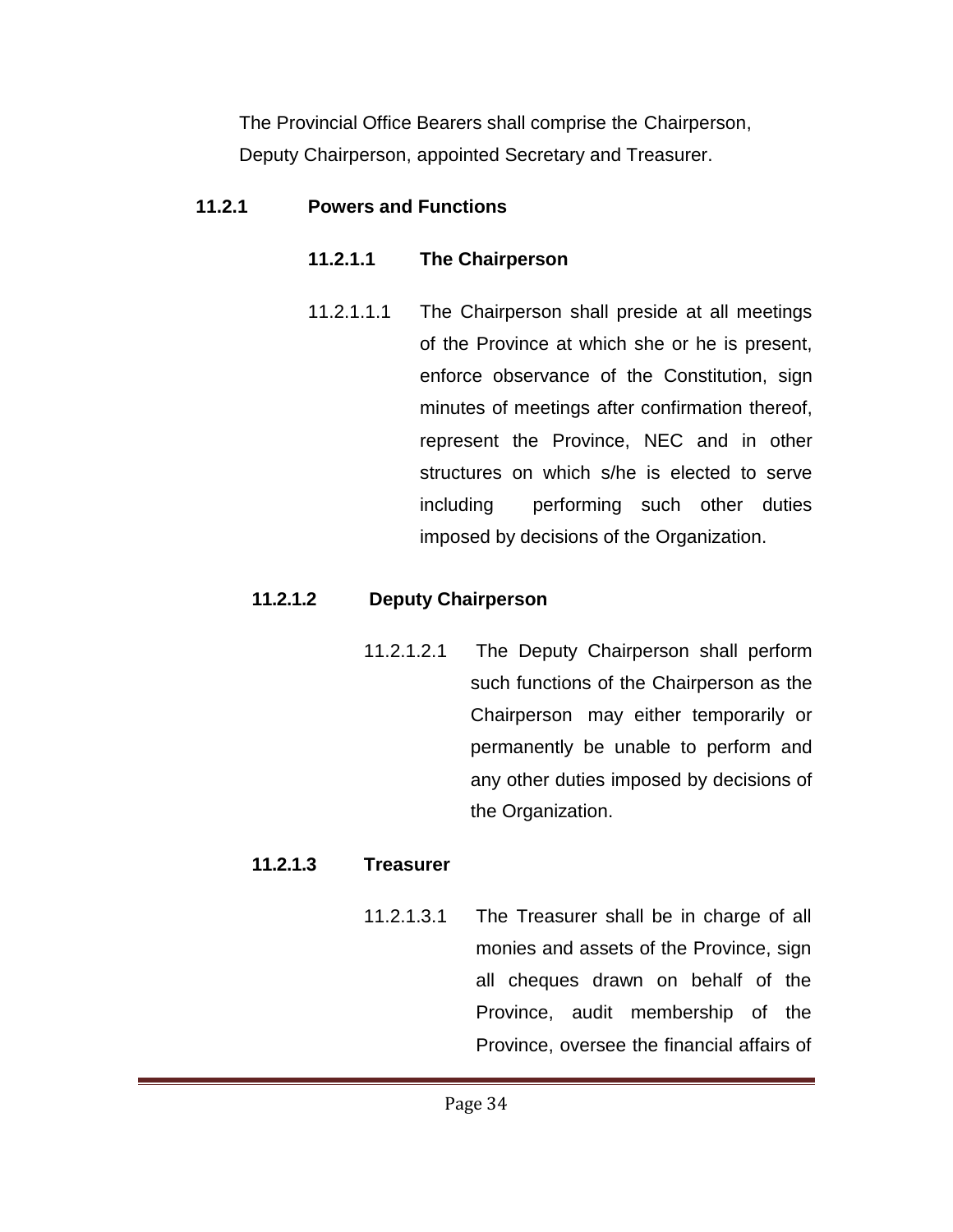The Provincial Office Bearers shall comprise the Chairperson, Deputy Chairperson, appointed Secretary and Treasurer.

## **11.2.1 Powers and Functions**

# **11.2.1.1 The Chairperson**

11.2.1.1.1 The Chairperson shall preside at all meetings of the Province at which she or he is present, enforce observance of the Constitution, sign minutes of meetings after confirmation thereof, represent the Province, NEC and in other structures on which s/he is elected to serve including performing such other duties imposed by decisions of the Organization.

# **11.2.1.2 Deputy Chairperson**

11.2.1.2.1 The Deputy Chairperson shall perform such functions of the Chairperson as the Chairperson may either temporarily or permanently be unable to perform and any other duties imposed by decisions of the Organization.

# **11.2.1.3 Treasurer**

11.2.1.3.1 The Treasurer shall be in charge of all monies and assets of the Province, sign all cheques drawn on behalf of the Province, audit membership of the Province, oversee the financial affairs of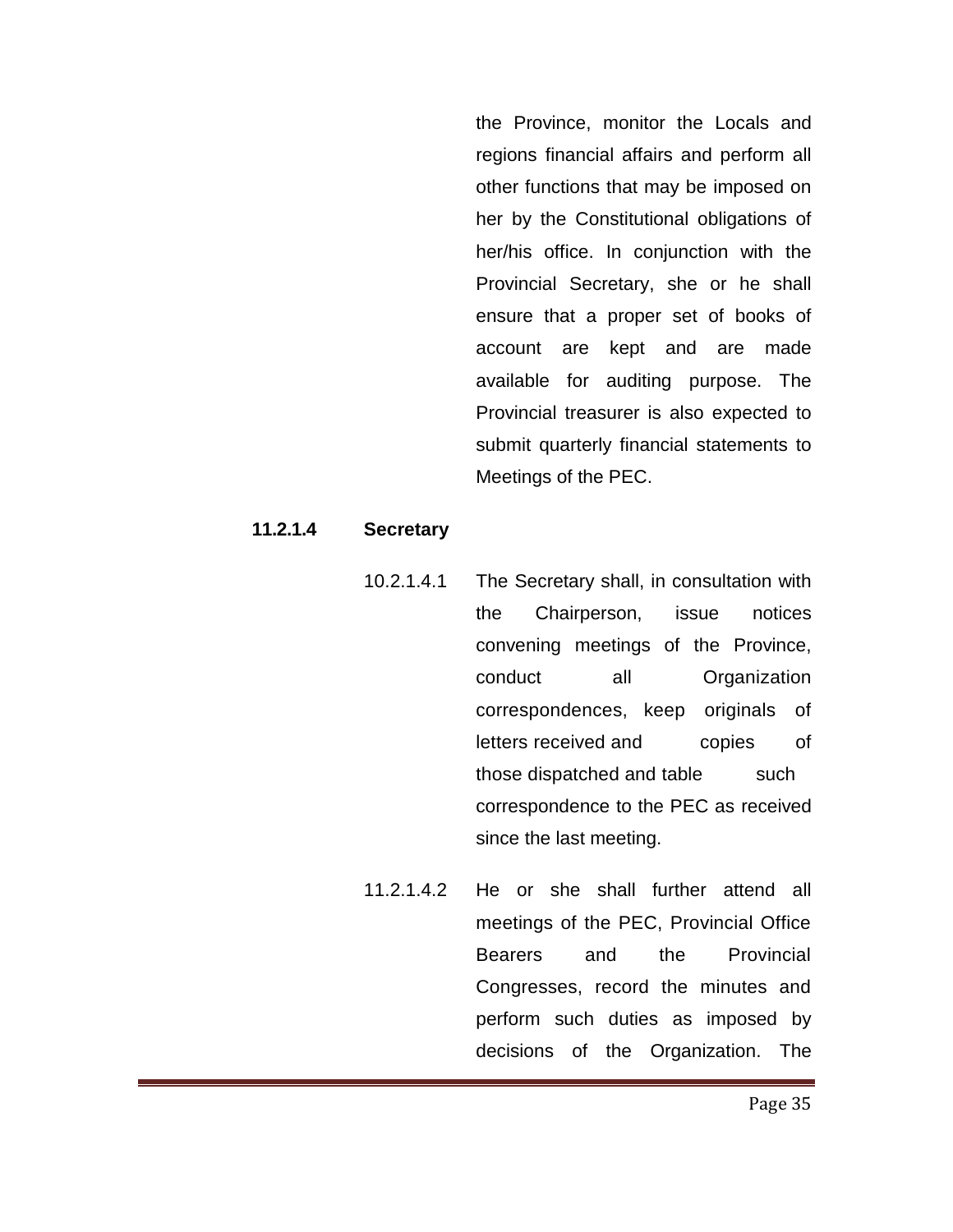the Province, monitor the Locals and regions financial affairs and perform all other functions that may be imposed on her by the Constitutional obligations of her/his office. In conjunction with the Provincial Secretary, she or he shall ensure that a proper set of books of account are kept and are made available for auditing purpose. The Provincial treasurer is also expected to submit quarterly financial statements to Meetings of the PEC.

#### **11.2.1.4 Secretary**

- 10.2.1.4.1 The Secretary shall, in consultation with the Chairperson, issue notices convening meetings of the Province, conduct all Organization correspondences, keep originals of letters received and copies of those dispatched and table such correspondence to the PEC as received since the last meeting.
- 11.2.1.4.2 He or she shall further attend all meetings of the PEC, Provincial Office Bearers and the Provincial Congresses, record the minutes and perform such duties as imposed by decisions of the Organization. The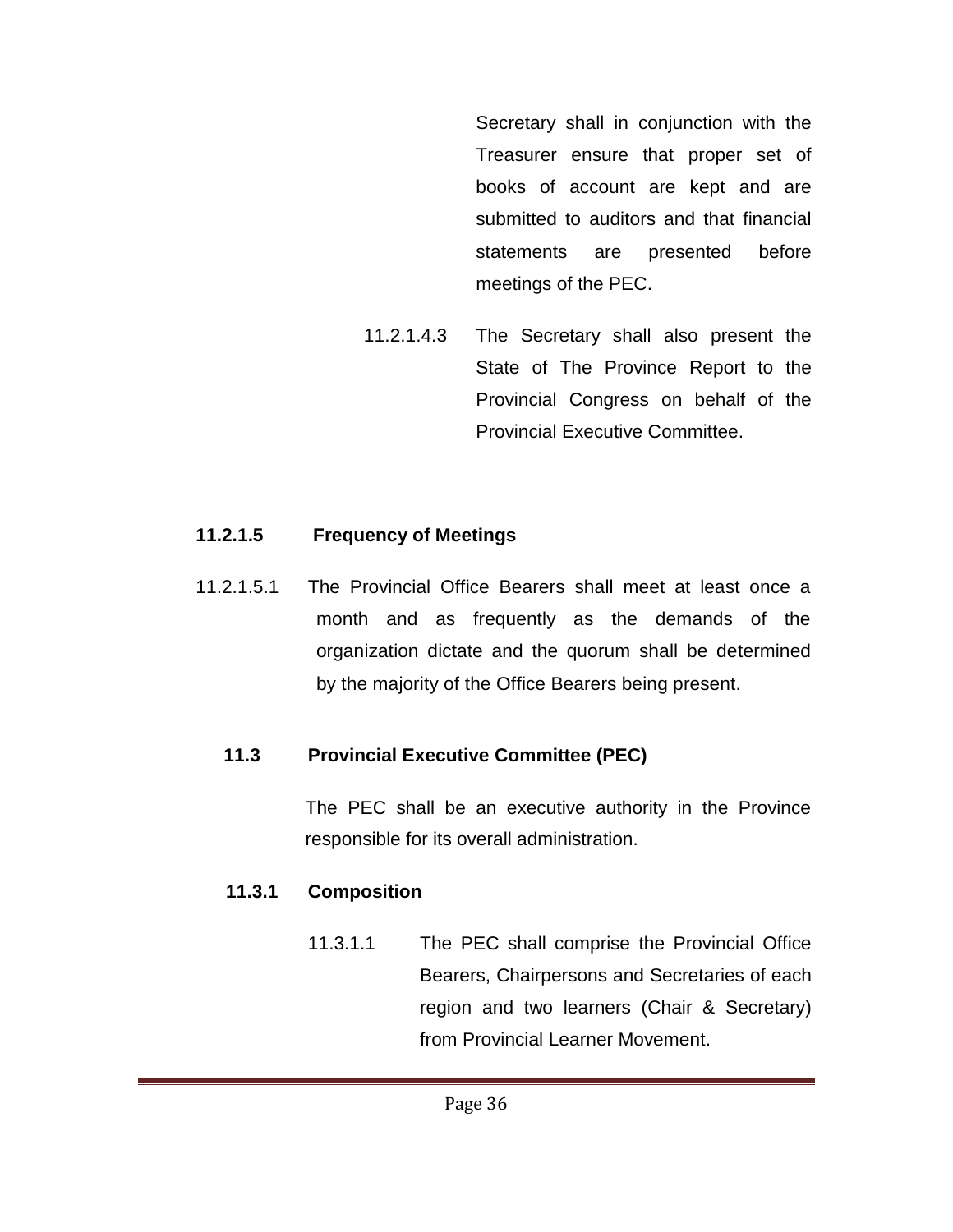Secretary shall in conjunction with the Treasurer ensure that proper set of books of account are kept and are submitted to auditors and that financial statements are presented before meetings of the PEC.

11.2.1.4.3 The Secretary shall also present the State of The Province Report to the Provincial Congress on behalf of the Provincial Executive Committee.

## **11.2.1.5 Frequency of Meetings**

11.2.1.5.1 The Provincial Office Bearers shall meet at least once a month and as frequently as the demands of the organization dictate and the quorum shall be determined by the majority of the Office Bearers being present.

## **11.3 Provincial Executive Committee (PEC)**

The PEC shall be an executive authority in the Province responsible for its overall administration.

## **11.3.1 Composition**

11.3.1.1 The PEC shall comprise the Provincial Office Bearers, Chairpersons and Secretaries of each region and two learners (Chair & Secretary) from Provincial Learner Movement.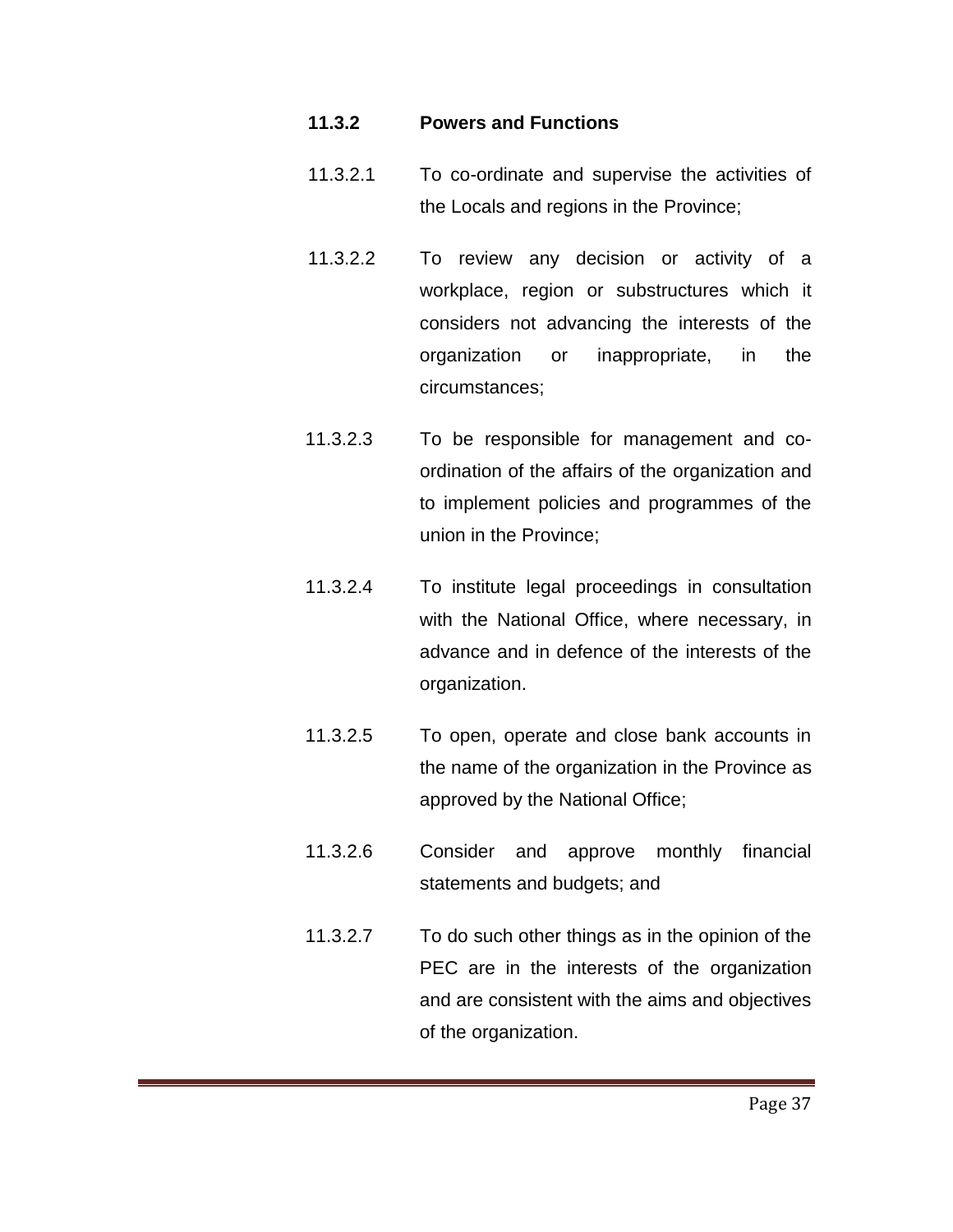#### **11.3.2 Powers and Functions**

- 11.3.2.1 To co-ordinate and supervise the activities of the Locals and regions in the Province;
- 11.3.2.2 To review any decision or activity of a workplace, region or substructures which it considers not advancing the interests of the organization or inappropriate, in the circumstances;
- 11.3.2.3 To be responsible for management and coordination of the affairs of the organization and to implement policies and programmes of the union in the Province;
- 11.3.2.4 To institute legal proceedings in consultation with the National Office, where necessary, in advance and in defence of the interests of the organization.
- 11.3.2.5 To open, operate and close bank accounts in the name of the organization in the Province as approved by the National Office;
- 11.3.2.6 Consider and approve monthly financial statements and budgets; and
- 11.3.2.7 To do such other things as in the opinion of the PEC are in the interests of the organization and are consistent with the aims and objectives of the organization.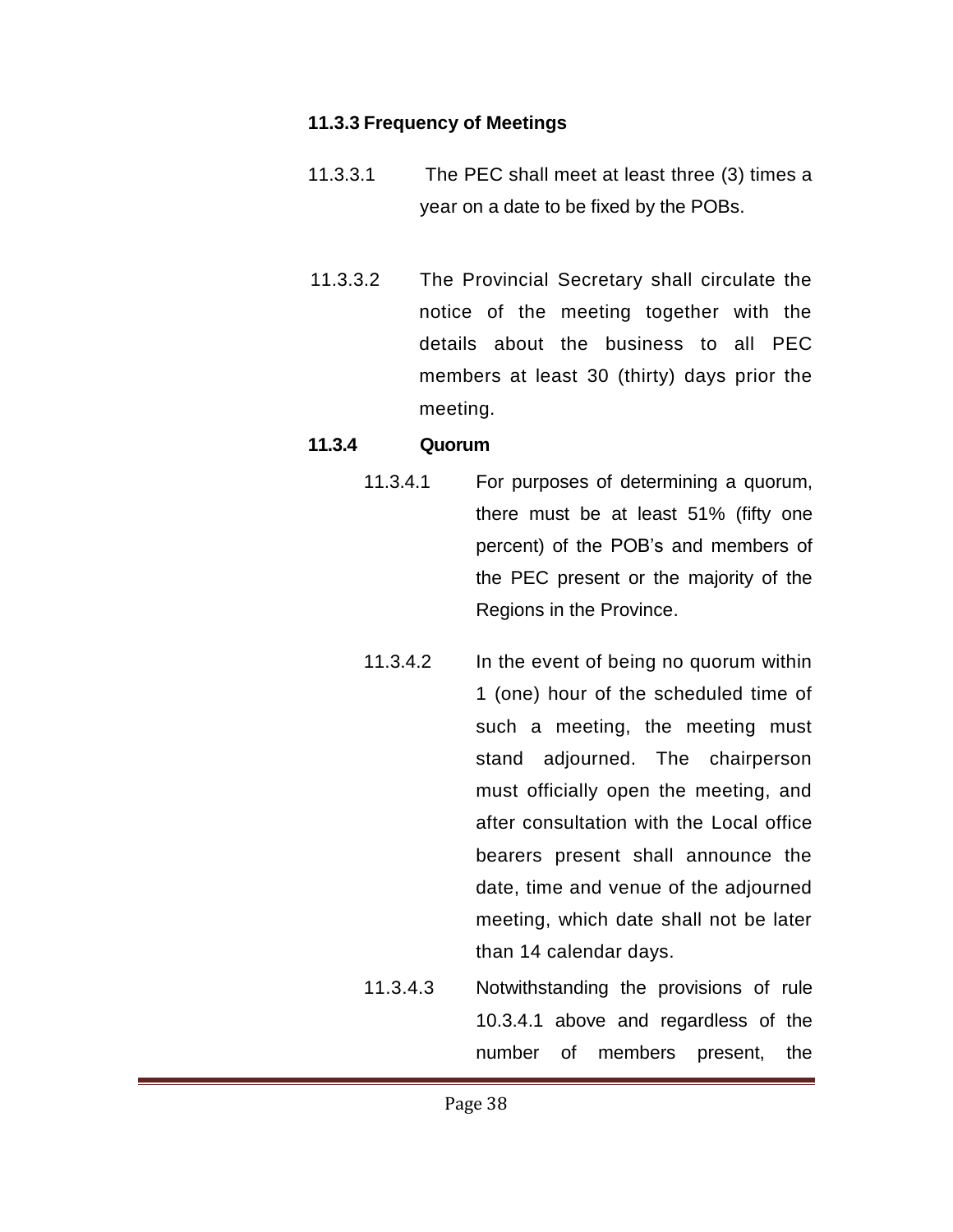#### **11.3.3 Frequency of Meetings**

- 11.3.3.1 The PEC shall meet at least three (3) times a year on a date to be fixed by the POBs.
- 11.3.3.2 The Provincial Secretary shall circulate the notice of the meeting together with the details about the business to all PEC members at least 30 (thirty) days prior the meeting.

#### **11.3.4 Quorum**

- 11.3.4.1 For purposes of determining a quorum, there must be at least 51% (fifty one percent) of the POB's and members of the PEC present or the majority of the Regions in the Province.
	- 11.3.4.2 In the event of being no quorum within 1 (one) hour of the scheduled time of such a meeting, the meeting must stand adjourned. The chairperson must officially open the meeting, and after consultation with the Local office bearers present shall announce the date, time and venue of the adjourned meeting, which date shall not be later than 14 calendar days.
	- 11.3.4.3 Notwithstanding the provisions of rule 10.3.4.1 above and regardless of the number of members present, the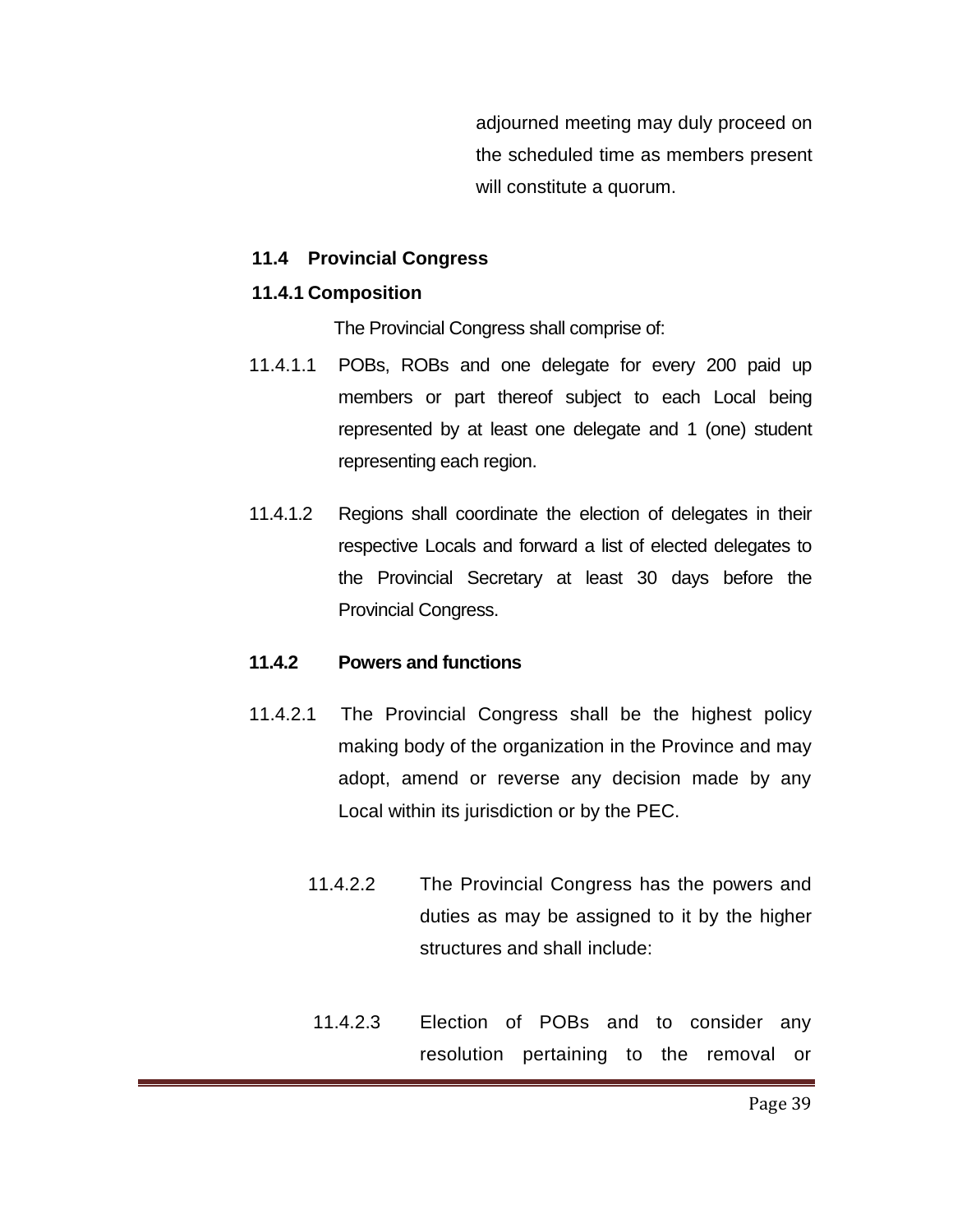adjourned meeting may duly proceed on the scheduled time as members present will constitute a quorum.

#### **11.4 Provincial Congress**

#### **11.4.1 Composition**

The Provincial Congress shall comprise of:

- 11.4.1.1 POBs, ROBs and one delegate for every 200 paid up members or part thereof subject to each Local being represented by at least one delegate and 1 (one) student representing each region.
- 11.4.1.2 Regions shall coordinate the election of delegates in their respective Locals and forward a list of elected delegates to the Provincial Secretary at least 30 days before the Provincial Congress.

#### **11.4.2 Powers and functions**

- 11.4.2.1 The Provincial Congress shall be the highest policy making body of the organization in the Province and may adopt, amend or reverse any decision made by any Local within its jurisdiction or by the PEC.
	- 11.4.2.2 The Provincial Congress has the powers and duties as may be assigned to it by the higher structures and shall include:
	- 11.4.2.3 Election of POBs and to consider any resolution pertaining to the removal or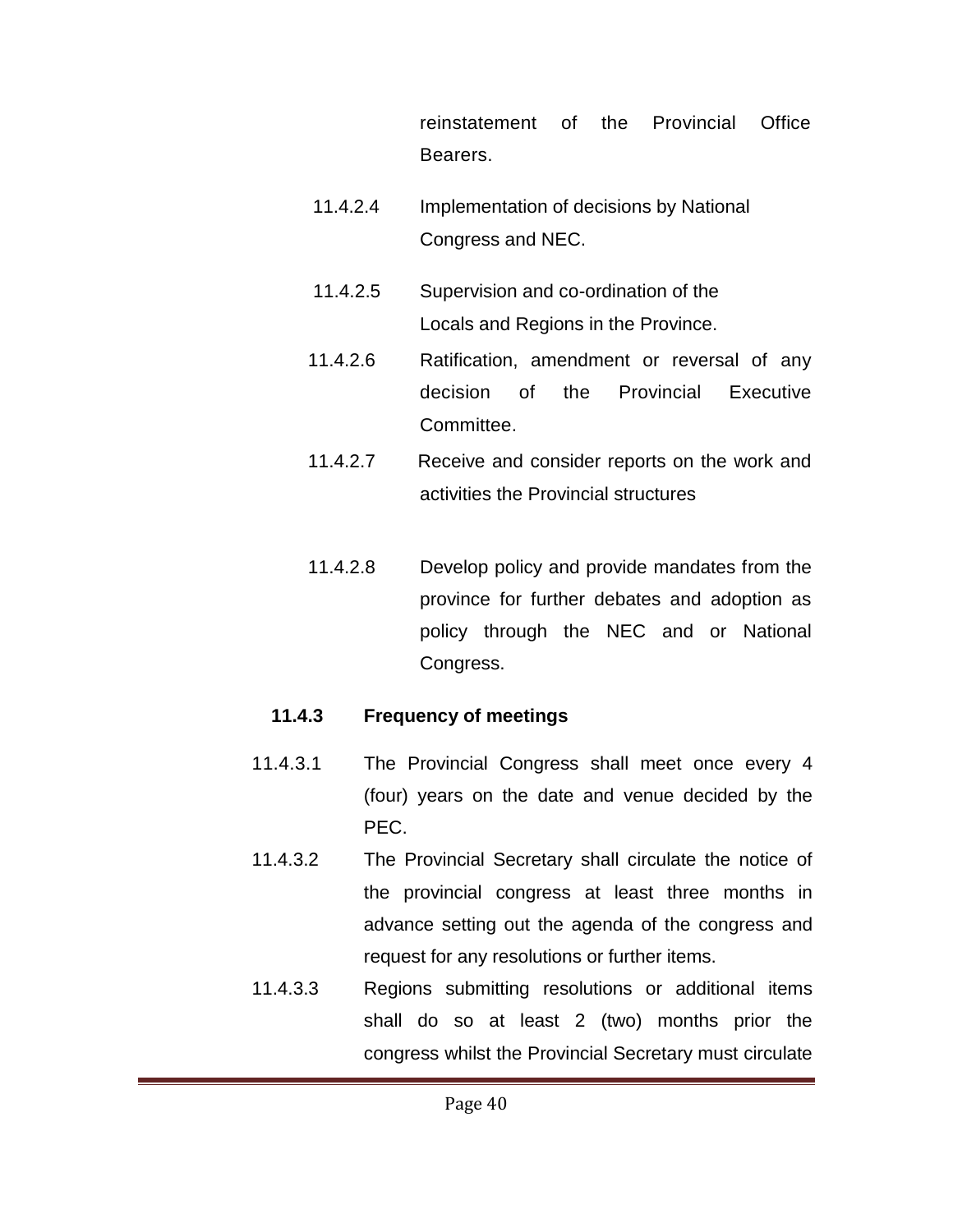reinstatement of the Provincial Office Bearers.

- 11.4.2.4 Implementation of decisions by National Congress and NEC.
- 11.4.2.5 Supervision and co-ordination of the Locals and Regions in the Province.
- 11.4.2.6 Ratification, amendment or reversal of any decision of the Provincial Executive Committee.
- 11.4.2.7 Receive and consider reports on the work and activities the Provincial structures
- 11.4.2.8 Develop policy and provide mandates from the province for further debates and adoption as policy through the NEC and or National Congress.

#### **11.4.3 Frequency of meetings**

- 11.4.3.1 The Provincial Congress shall meet once every 4 (four) years on the date and venue decided by the PEC.
- 11.4.3.2 The Provincial Secretary shall circulate the notice of the provincial congress at least three months in advance setting out the agenda of the congress and request for any resolutions or further items.
- 11.4.3.3 Regions submitting resolutions or additional items shall do so at least 2 (two) months prior the congress whilst the Provincial Secretary must circulate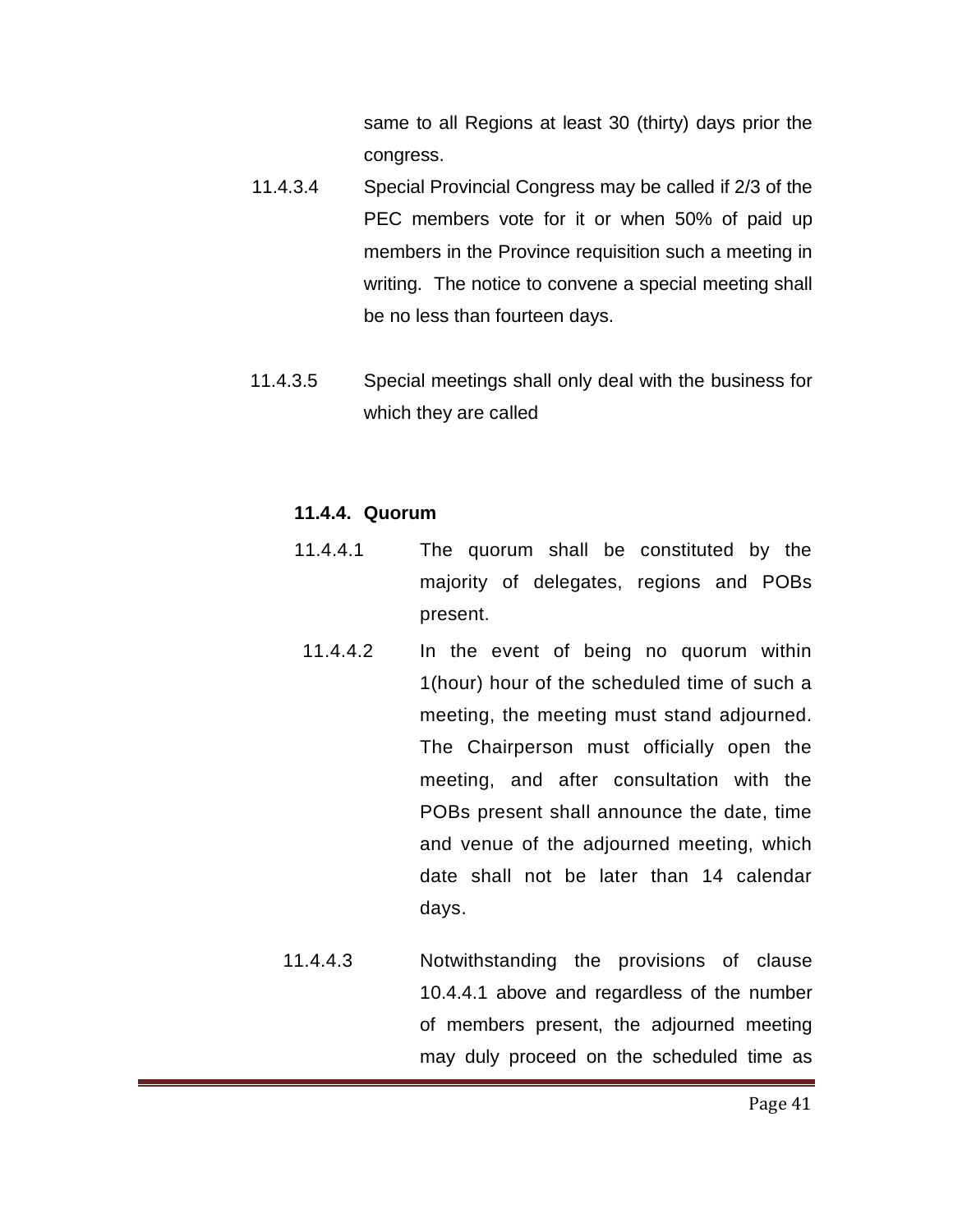same to all Regions at least 30 (thirty) days prior the congress.

- 11.4.3.4 Special Provincial Congress may be called if 2/3 of the PEC members vote for it or when 50% of paid up members in the Province requisition such a meeting in writing. The notice to convene a special meeting shall be no less than fourteen days.
- 11.4.3.5 Special meetings shall only deal with the business for which they are called

#### **11.4.4. Quorum**

- 11.4.4.1 The quorum shall be constituted by the majority of delegates, regions and POBs present.
	- 11.4.4.2 In the event of being no quorum within 1(hour) hour of the scheduled time of such a meeting, the meeting must stand adjourned. The Chairperson must officially open the meeting, and after consultation with the POBs present shall announce the date, time and venue of the adjourned meeting, which date shall not be later than 14 calendar days.
- 11.4.4.3 Notwithstanding the provisions of clause 10.4.4.1 above and regardless of the number of members present, the adjourned meeting may duly proceed on the scheduled time as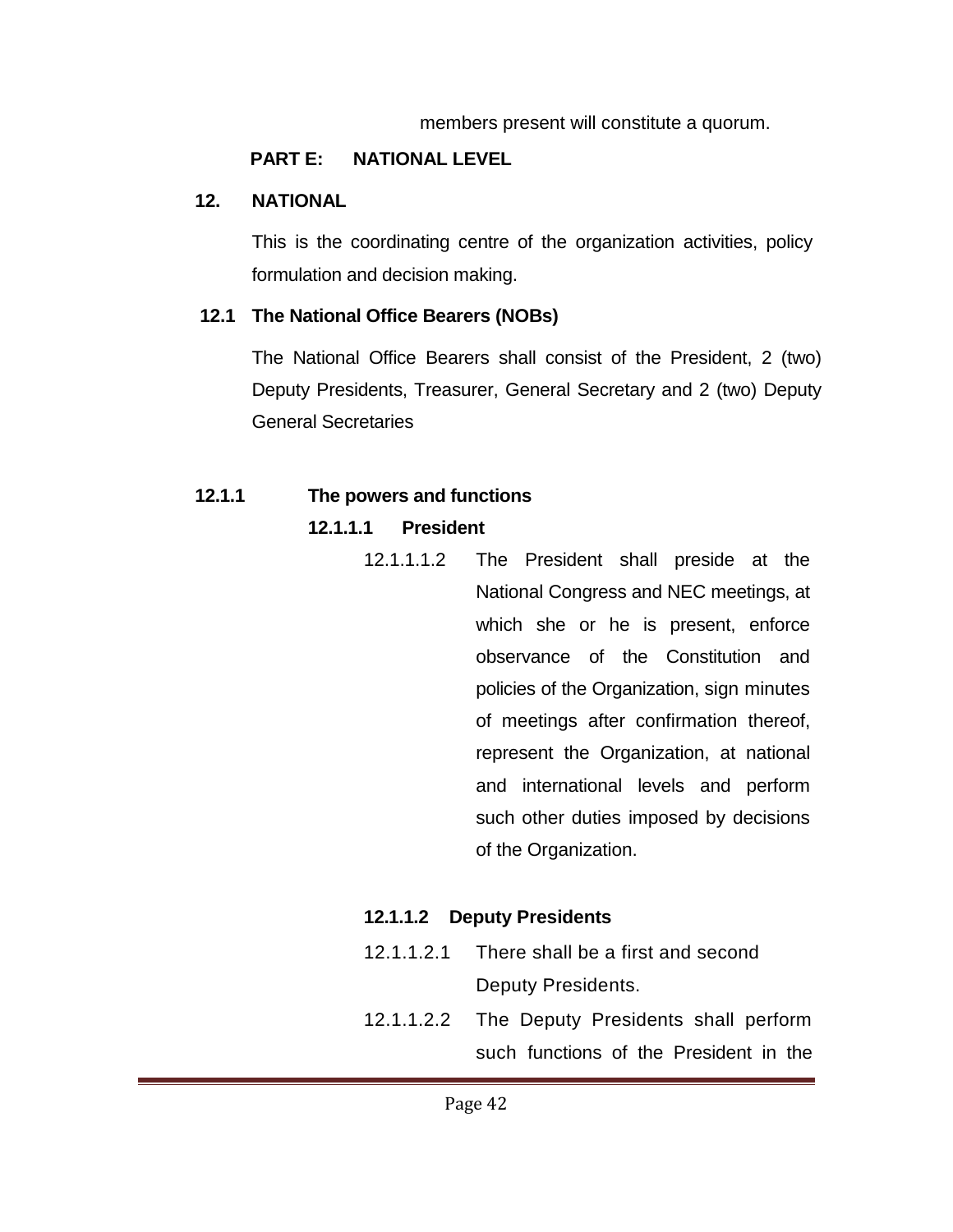#### members present will constitute a quorum.

## **PART E: NATIONAL LEVEL**

#### **12. NATIONAL**

This is the coordinating centre of the organization activities, policy formulation and decision making.

## **12.1 The National Office Bearers (NOBs)**

The National Office Bearers shall consist of the President, 2 (two) Deputy Presidents, Treasurer, General Secretary and 2 (two) Deputy General Secretaries

## **12.1.1 The powers and functions**

## **12.1.1.1 President**

12.1.1.1.2 The President shall preside at the National Congress and NEC meetings, at which she or he is present, enforce observance of the Constitution and policies of the Organization, sign minutes of meetings after confirmation thereof, represent the Organization, at national and international levels and perform such other duties imposed by decisions of the Organization.

## **12.1.1.2 Deputy Presidents**

- 12.1.1.2.1 There shall be a first and second Deputy Presidents.
- 12.1.1.2.2 The Deputy Presidents shall perform such functions of the President in the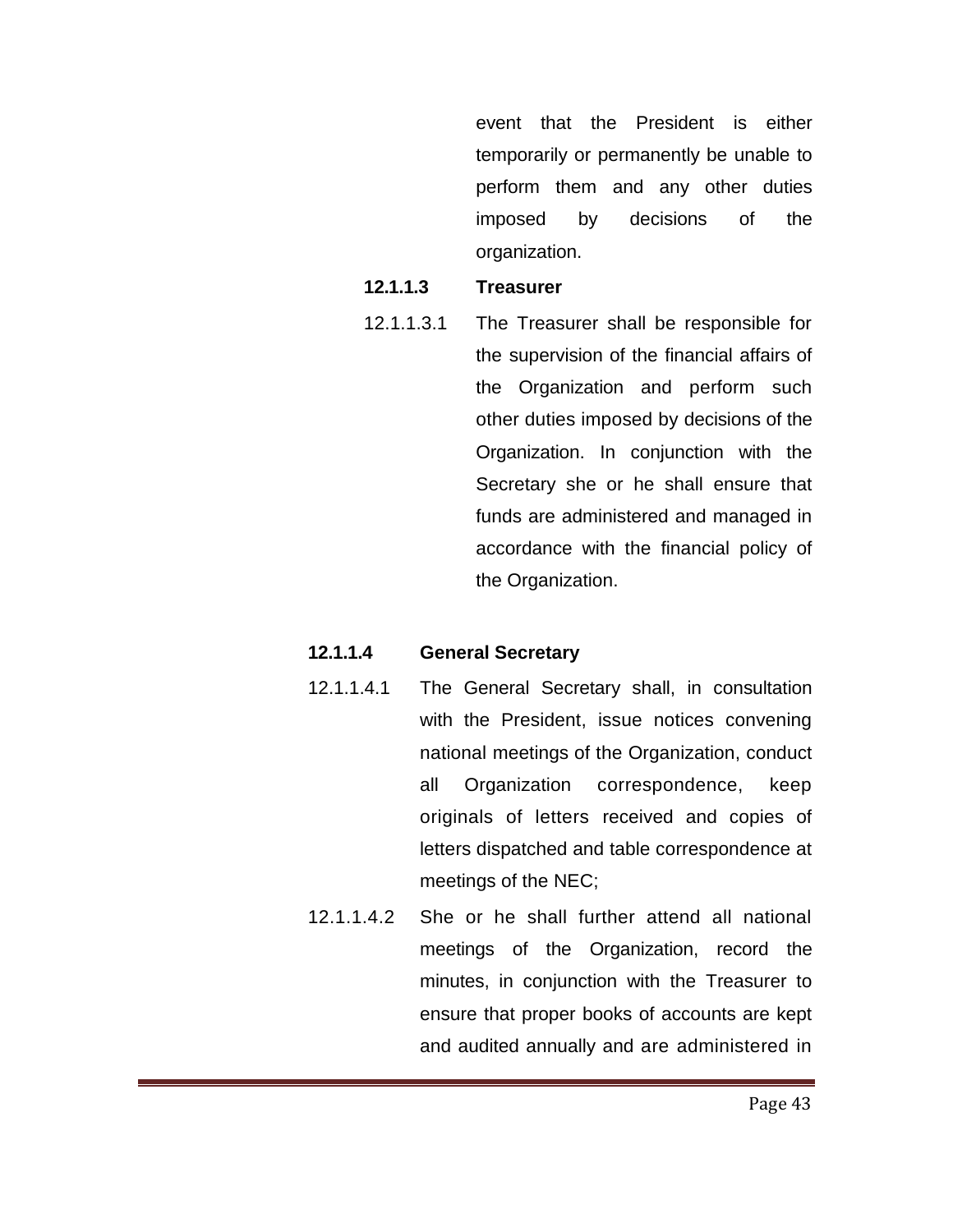event that the President is either temporarily or permanently be unable to perform them and any other duties imposed by decisions of the organization.

#### **12.1.1.3 Treasurer**

12.1.1.3.1 The Treasurer shall be responsible for the supervision of the financial affairs of the Organization and perform such other duties imposed by decisions of the Organization. In conjunction with the Secretary she or he shall ensure that funds are administered and managed in accordance with the financial policy of the Organization.

#### **12.1.1.4 General Secretary**

- 12.1.1.4.1 The General Secretary shall, in consultation with the President, issue notices convening national meetings of the Organization, conduct all Organization correspondence, keep originals of letters received and copies of letters dispatched and table correspondence at meetings of the NEC;
- 12.1.1.4.2 She or he shall further attend all national meetings of the Organization, record the minutes, in conjunction with the Treasurer to ensure that proper books of accounts are kept and audited annually and are administered in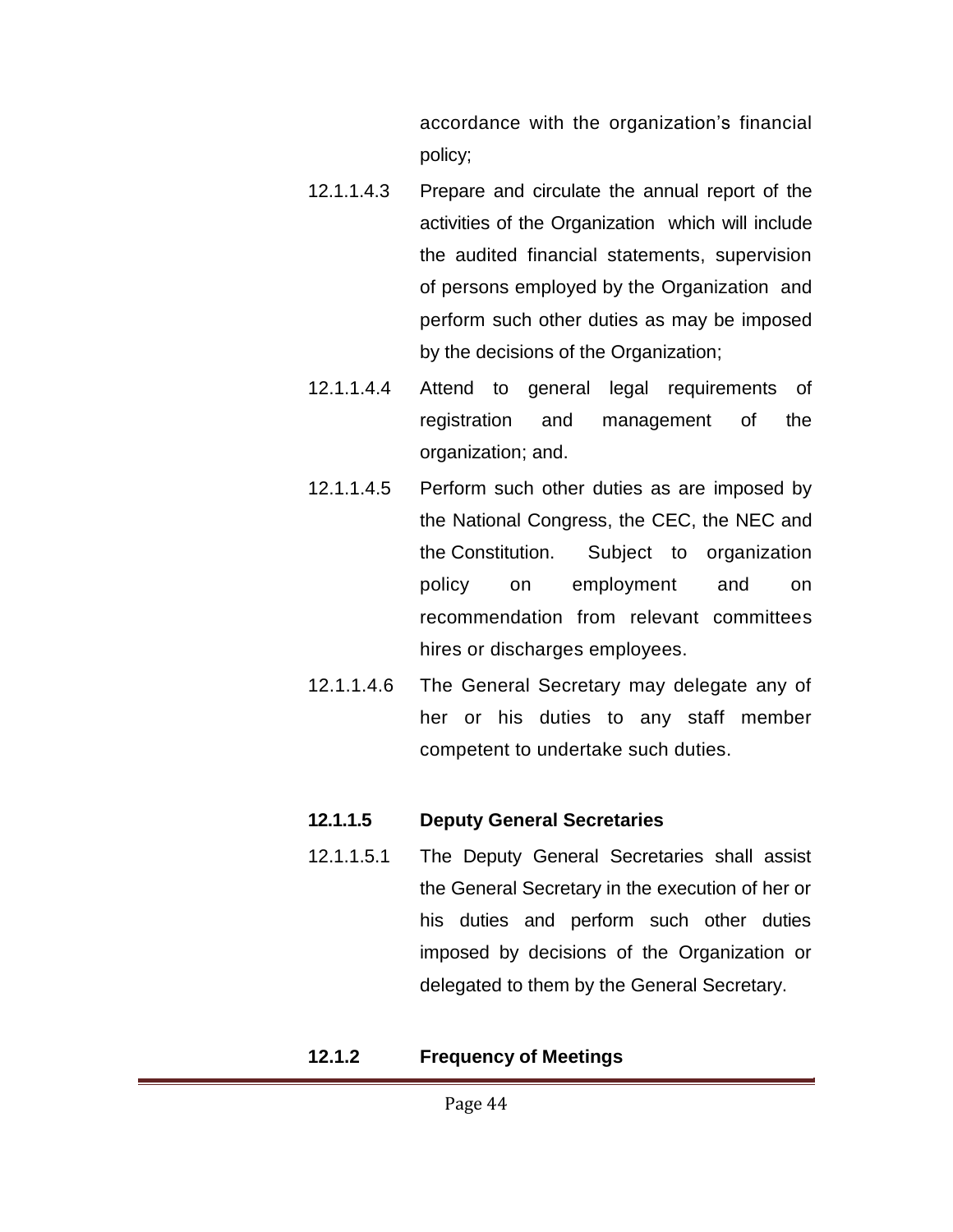accordance with the organization's financial policy;

- 12.1.1.4.3 Prepare and circulate the annual report of the activities of the Organization which will include the audited financial statements, supervision of persons employed by the Organization and perform such other duties as may be imposed by the decisions of the Organization;
- 12.1.1.4.4 Attend to general legal requirements of registration and management of the organization; and.
- 12.1.1.4.5 Perform such other duties as are imposed by the National Congress, the CEC, the NEC and the Constitution. Subject to organization policy on employment and on recommendation from relevant committees hires or discharges employees.
- 12.1.1.4.6 The General Secretary may delegate any of her or his duties to any staff member competent to undertake such duties.

#### **12.1.1.5 Deputy General Secretaries**

12.1.1.5.1 The Deputy General Secretaries shall assist the General Secretary in the execution of her or his duties and perform such other duties imposed by decisions of the Organization or delegated to them by the General Secretary.

#### **12.1.2 Frequency of Meetings**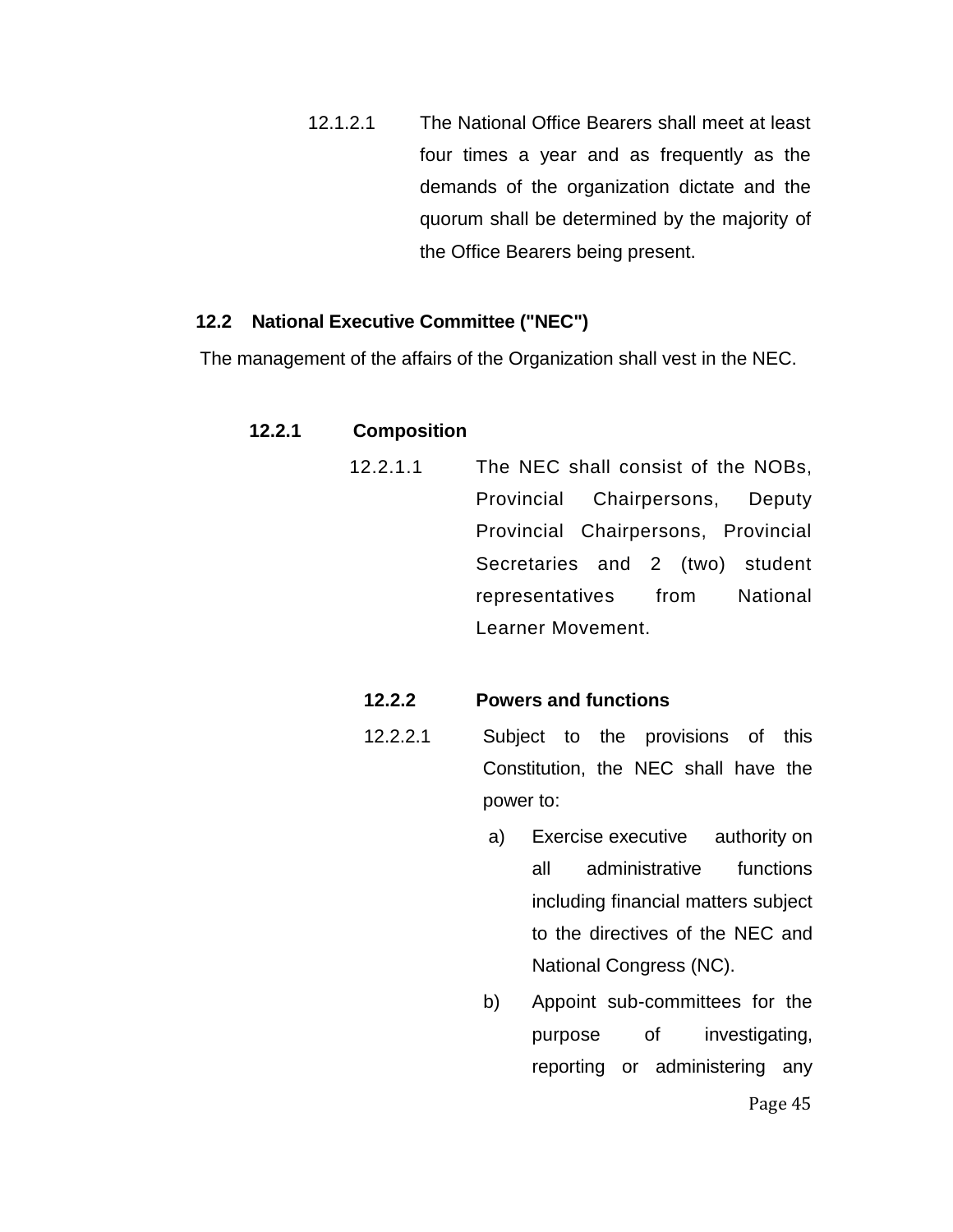12.1.2.1 The National Office Bearers shall meet at least four times a year and as frequently as the demands of the organization dictate and the quorum shall be determined by the majority of the Office Bearers being present.

#### **12.2 National Executive Committee ("NEC")**

The management of the affairs of the Organization shall vest in the NEC.

#### **12.2.1 Composition**

12.2.1.1 The NEC shall consist of the NOBs, Provincial Chairpersons, Deputy Provincial Chairpersons, Provincial Secretaries and 2 (two) student representatives from National Learner Movement.

#### **12.2.2 Powers and functions**

- 12.2.2.1 Subject to the provisions of this Constitution, the NEC shall have the power to:
	- a) Exercise executive authority on all administrative functions including financial matters subject to the directives of the NEC and National Congress (NC).
	- b) Appoint sub-committees for the purpose of investigating, reporting or administering any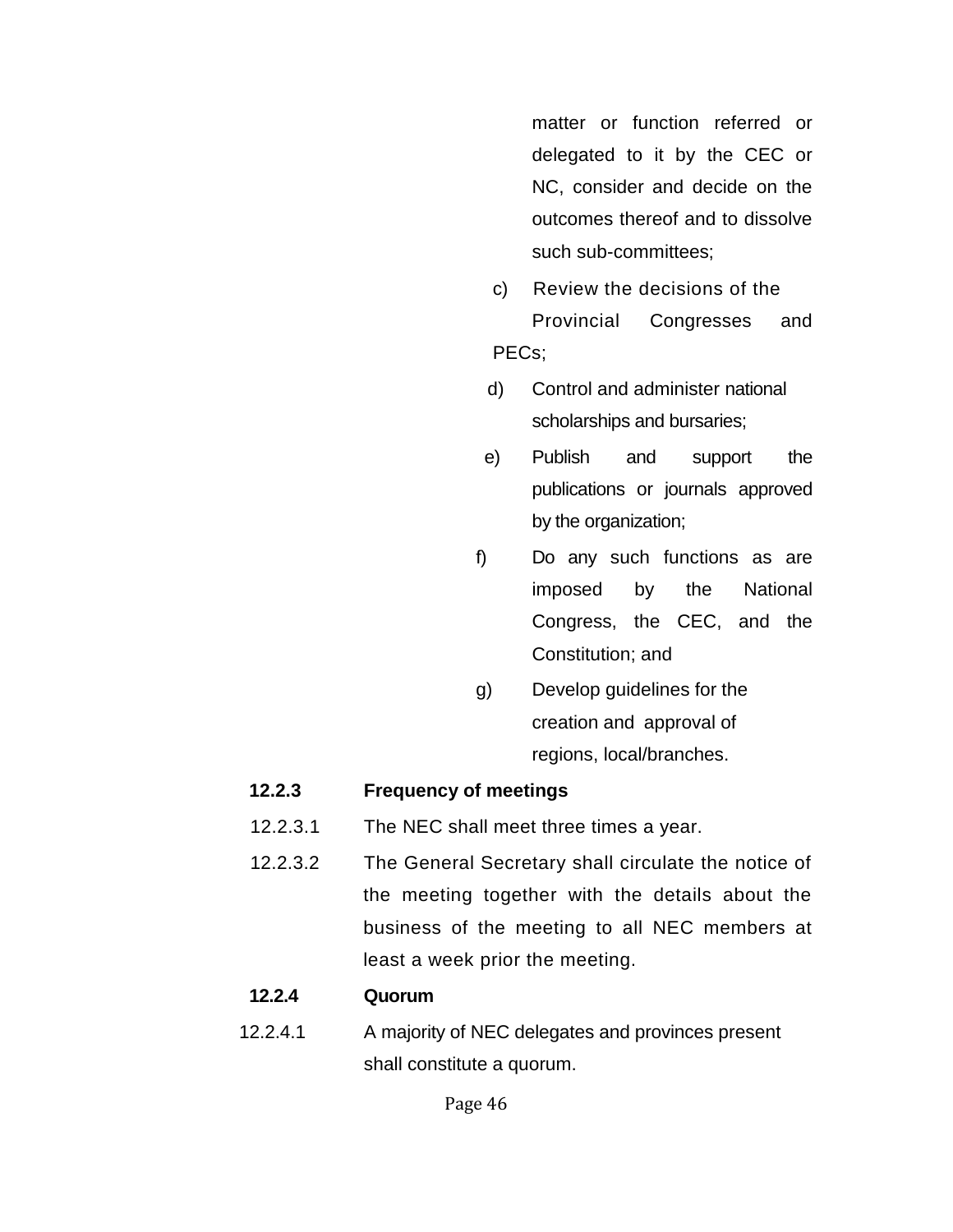matter or function referred or delegated to it by the CEC or NC, consider and decide on the outcomes thereof and to dissolve such sub-committees;

- c) Review the decisions of the Provincial Congresses and PECs;
- d) Control and administer national scholarships and bursaries;
- e) Publish and support the publications or journals approved by the organization;
	- f) Do any such functions as are imposed by the National Congress, the CEC, and the Constitution; and
	- g) Develop guidelines for the creation and approval of regions, local/branches.

#### **12.2.3 Frequency of meetings**

- 12.2.3.1 The NEC shall meet three times a year.
- 12.2.3.2 The General Secretary shall circulate the notice of the meeting together with the details about the business of the meeting to all NEC members at least a week prior the meeting.

#### **12.2.4 Quorum**

12.2.4.1 A majority of NEC delegates and provinces present shall constitute a quorum.

Page 46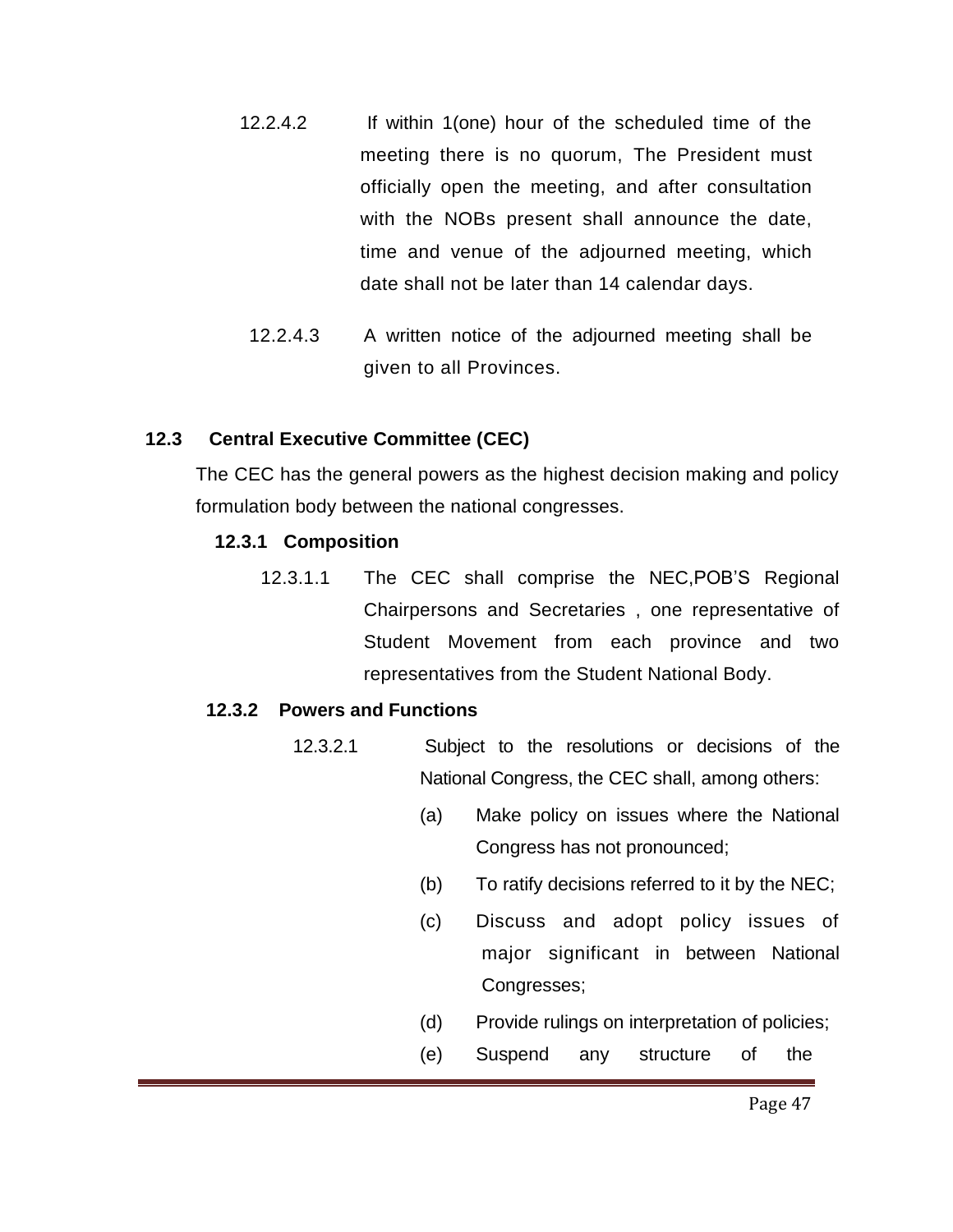- 12.2.4.2 If within 1(one) hour of the scheduled time of the meeting there is no quorum, The President must officially open the meeting, and after consultation with the NOBs present shall announce the date, time and venue of the adjourned meeting, which date shall not be later than 14 calendar days.
- 12.2.4.3 A written notice of the adjourned meeting shall be given to all Provinces.

#### **12.3 Central Executive Committee (CEC)**

The CEC has the general powers as the highest decision making and policy formulation body between the national congresses.

#### **12.3.1 Composition**

 12.3.1.1 The CEC shall comprise the NEC,POB'S Regional Chairpersons and Secretaries , one representative of Student Movement from each province and two representatives from the Student National Body.

#### **12.3.2 Powers and Functions**

- 12.3.2.1 Subject to the resolutions or decisions of the National Congress, the CEC shall, among others:
	- (a) Make policy on issues where the National Congress has not pronounced;
	- (b) To ratify decisions referred to it by the NEC;
	- (c) Discuss and adopt policy issues of major significant in between National Congresses;
	- (d) Provide rulings on interpretation of policies;
	- (e) Suspend any structure of the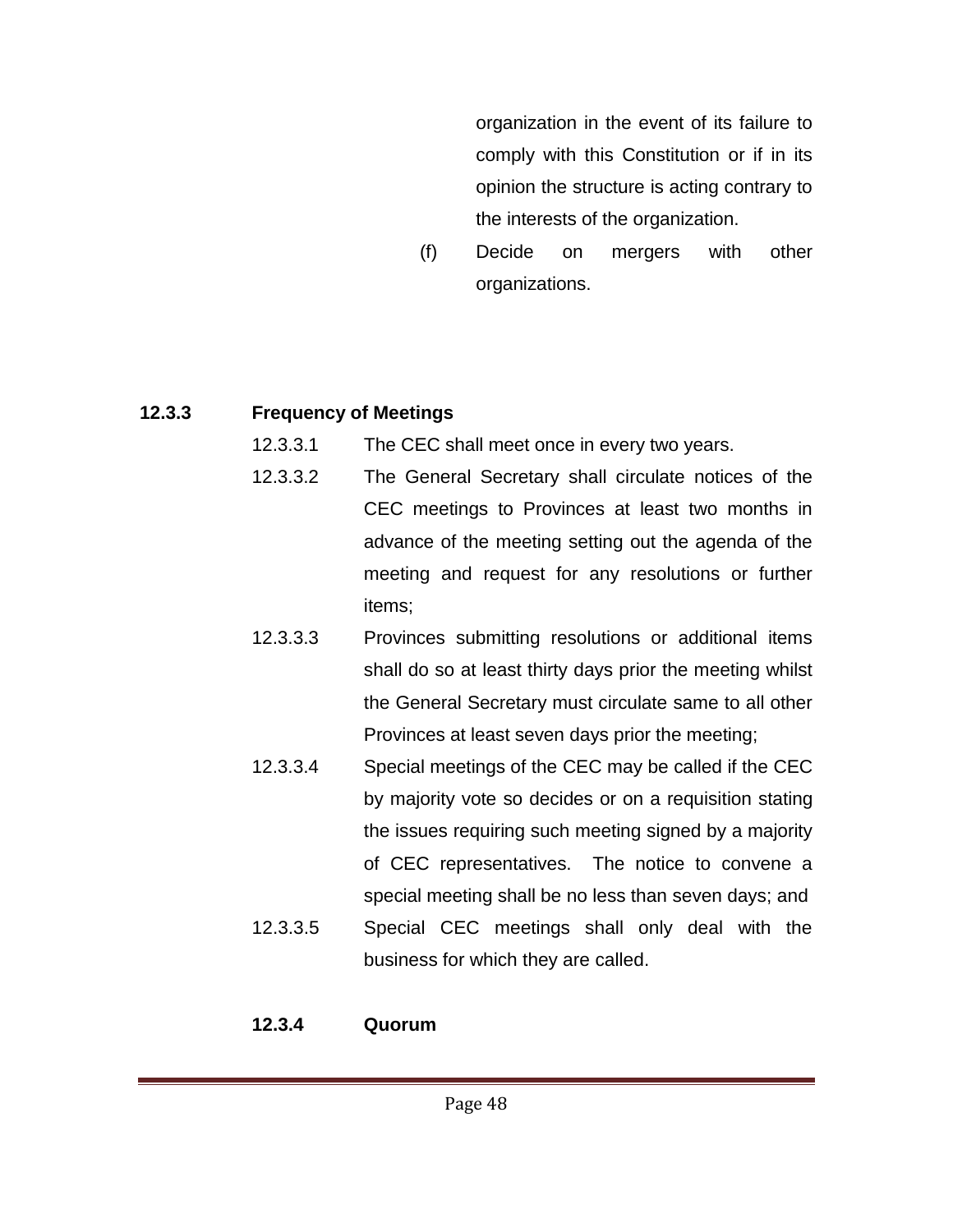organization in the event of its failure to comply with this Constitution or if in its opinion the structure is acting contrary to the interests of the organization.

(f) Decide on mergers with other organizations.

## **12.3.3 Frequency of Meetings**

- 12.3.3.1 The CEC shall meet once in every two years.
- 12.3.3.2 The General Secretary shall circulate notices of the CEC meetings to Provinces at least two months in advance of the meeting setting out the agenda of the meeting and request for any resolutions or further items;
- 12.3.3.3 Provinces submitting resolutions or additional items shall do so at least thirty days prior the meeting whilst the General Secretary must circulate same to all other Provinces at least seven days prior the meeting;
- 12.3.3.4 Special meetings of the CEC may be called if the CEC by majority vote so decides or on a requisition stating the issues requiring such meeting signed by a majority of CEC representatives. The notice to convene a special meeting shall be no less than seven days; and 12.3.3.5 Special CEC meetings shall only deal with the
- business for which they are called.

## **12.3.4 Quorum**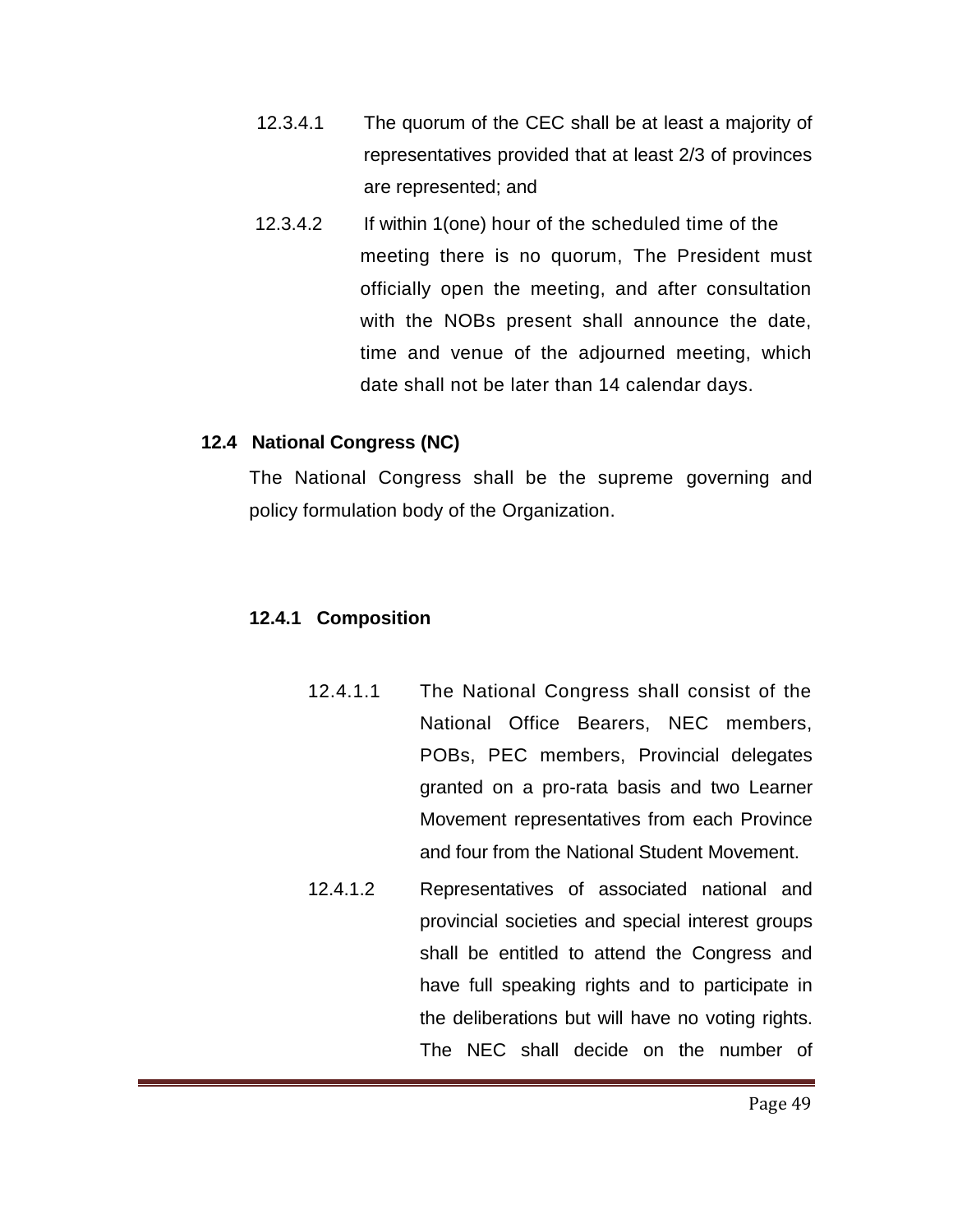- 12.3.4.1 The quorum of the CEC shall be at least a majority of representatives provided that at least 2/3 of provinces are represented; and
- 12.3.4.2 If within 1(one) hour of the scheduled time of the meeting there is no quorum, The President must officially open the meeting, and after consultation with the NOBs present shall announce the date, time and venue of the adjourned meeting, which date shall not be later than 14 calendar days.

#### **12.4 National Congress (NC)**

 The National Congress shall be the supreme governing and policy formulation body of the Organization.

#### **12.4.1 Composition**

- 12.4.1.1 The National Congress shall consist of the National Office Bearers, NEC members, POBs, PEC members, Provincial delegates granted on a pro-rata basis and two Learner Movement representatives from each Province and four from the National Student Movement.
- 12.4.1.2 Representatives of associated national and provincial societies and special interest groups shall be entitled to attend the Congress and have full speaking rights and to participate in the deliberations but will have no voting rights. The NEC shall decide on the number of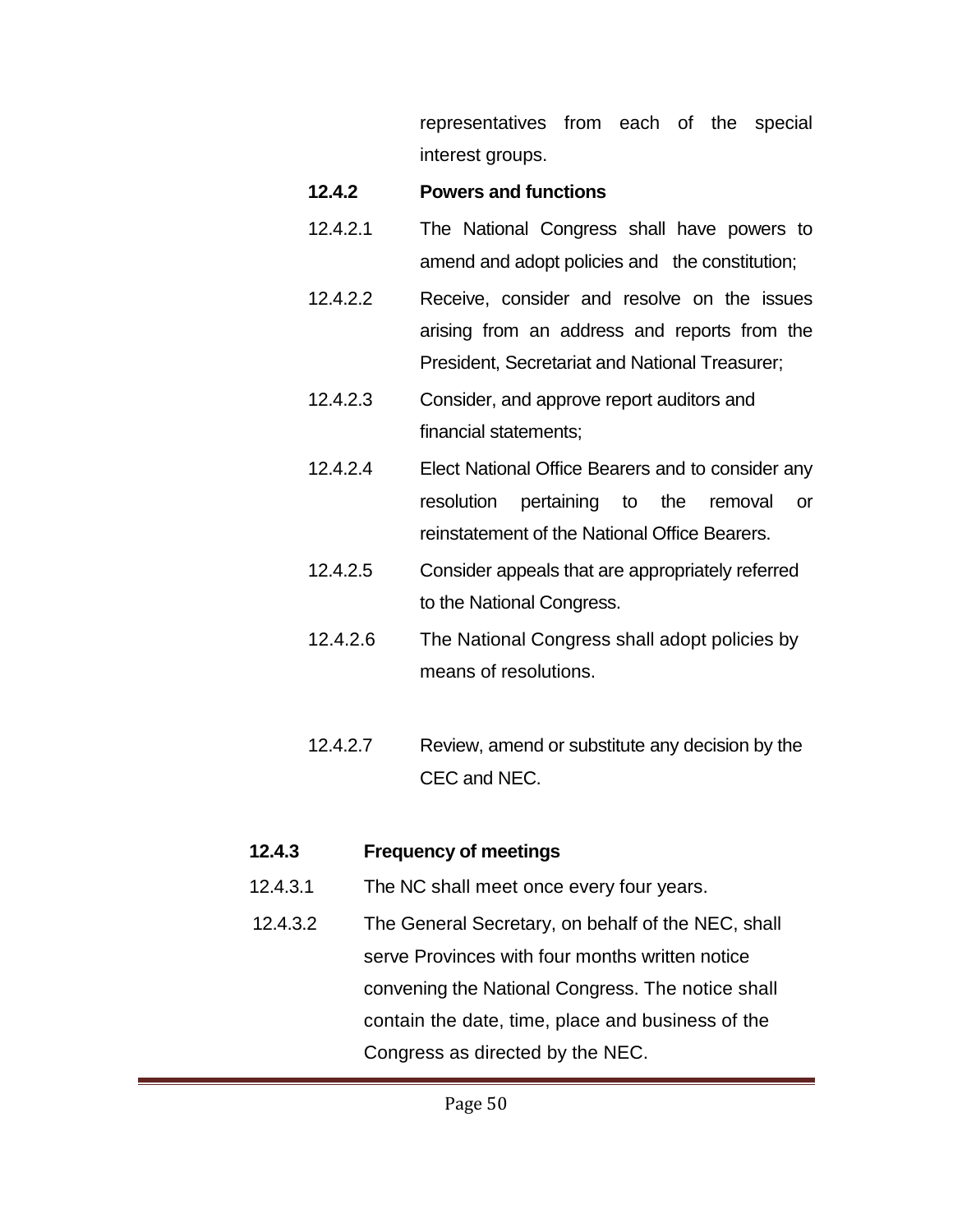representatives from each of the special interest groups.

#### **12.4.2 Powers and functions**

- 12.4.2.1 The National Congress shall have powers to amend and adopt policies and the constitution;
- 12.4.2.2 Receive, consider and resolve on the issues arising from an address and reports from the President, Secretariat and National Treasurer;
- 12.4.2.3 Consider, and approve report auditors and financial statements;
- 12.4.2.4 Elect National Office Bearers and to consider any resolution pertaining to the removal or reinstatement of the National Office Bearers.
- 12.4.2.5 Consider appeals that are appropriately referred to the National Congress.
- 12.4.2.6 The National Congress shall adopt policies by means of resolutions.
- 12.4.2.7 Review, amend or substitute any decision by the CEC and NEC.

## **12.4.3 Frequency of meetings**

- 12.4.3.1 The NC shall meet once every four years.
- 12.4.3.2 The General Secretary, on behalf of the NEC, shall serve Provinces with four months written notice convening the National Congress. The notice shall contain the date, time, place and business of the Congress as directed by the NEC.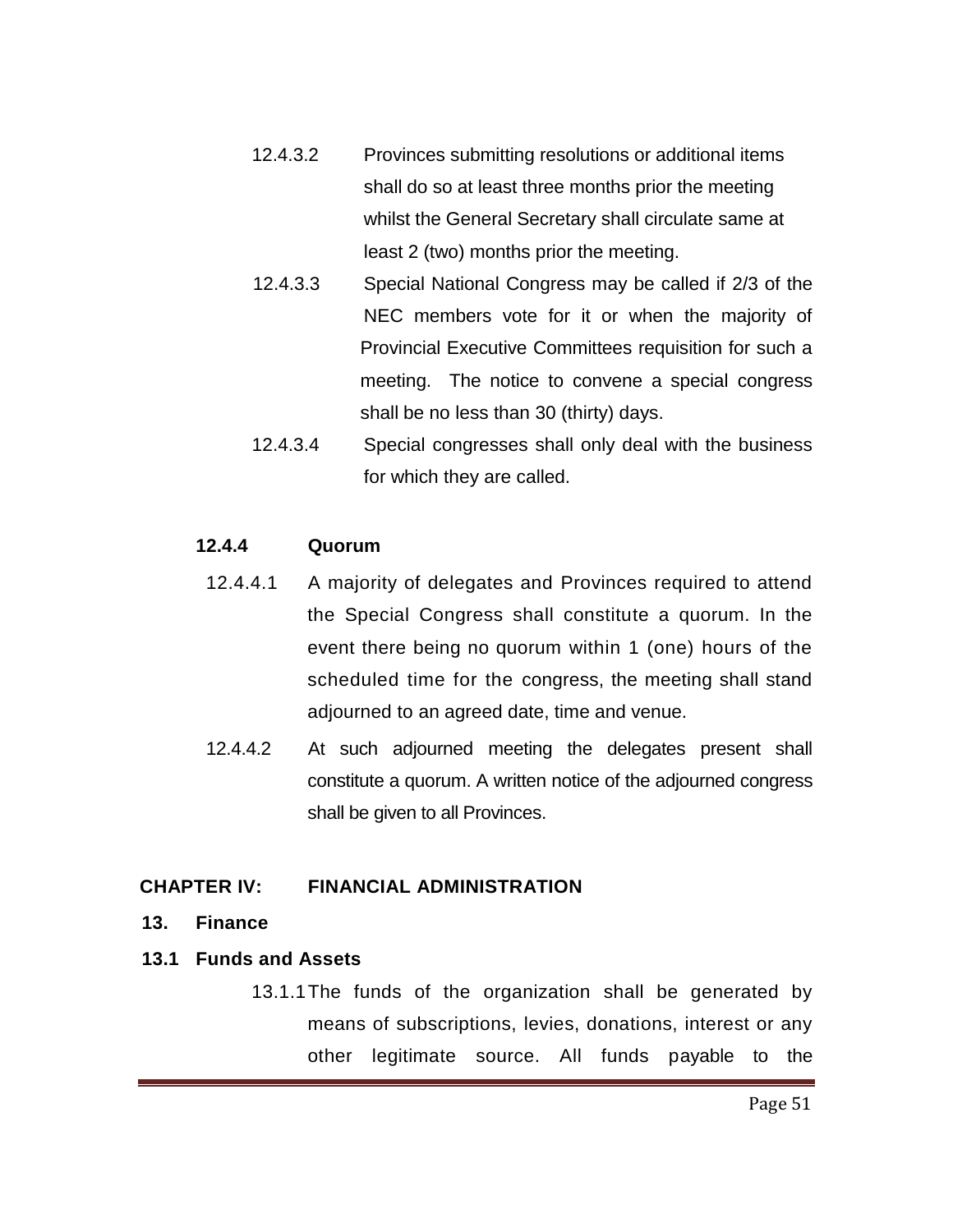- 12.4.3.2 Provinces submitting resolutions or additional items shall do so at least three months prior the meeting whilst the General Secretary shall circulate same at least 2 (two) months prior the meeting.
- 12.4.3.3 Special National Congress may be called if 2/3 of the NEC members vote for it or when the majority of Provincial Executive Committees requisition for such a meeting. The notice to convene a special congress shall be no less than 30 (thirty) days.
- 12.4.3.4 Special congresses shall only deal with the business for which they are called.

#### **12.4.4 Quorum**

- 12.4.4.1 A majority of delegates and Provinces required to attend the Special Congress shall constitute a quorum. In the event there being no quorum within 1 (one) hours of the scheduled time for the congress, the meeting shall stand adjourned to an agreed date, time and venue.
- 12.4.4.2 At such adjourned meeting the delegates present shall constitute a quorum. A written notice of the adjourned congress shall be given to all Provinces.

#### **CHAPTER IV: FINANCIAL ADMINISTRATION**

**13. Finance**

#### **13.1 Funds and Assets**

13.1.1The funds of the organization shall be generated by means of subscriptions, levies, donations, interest or any other legitimate source. All funds payable to the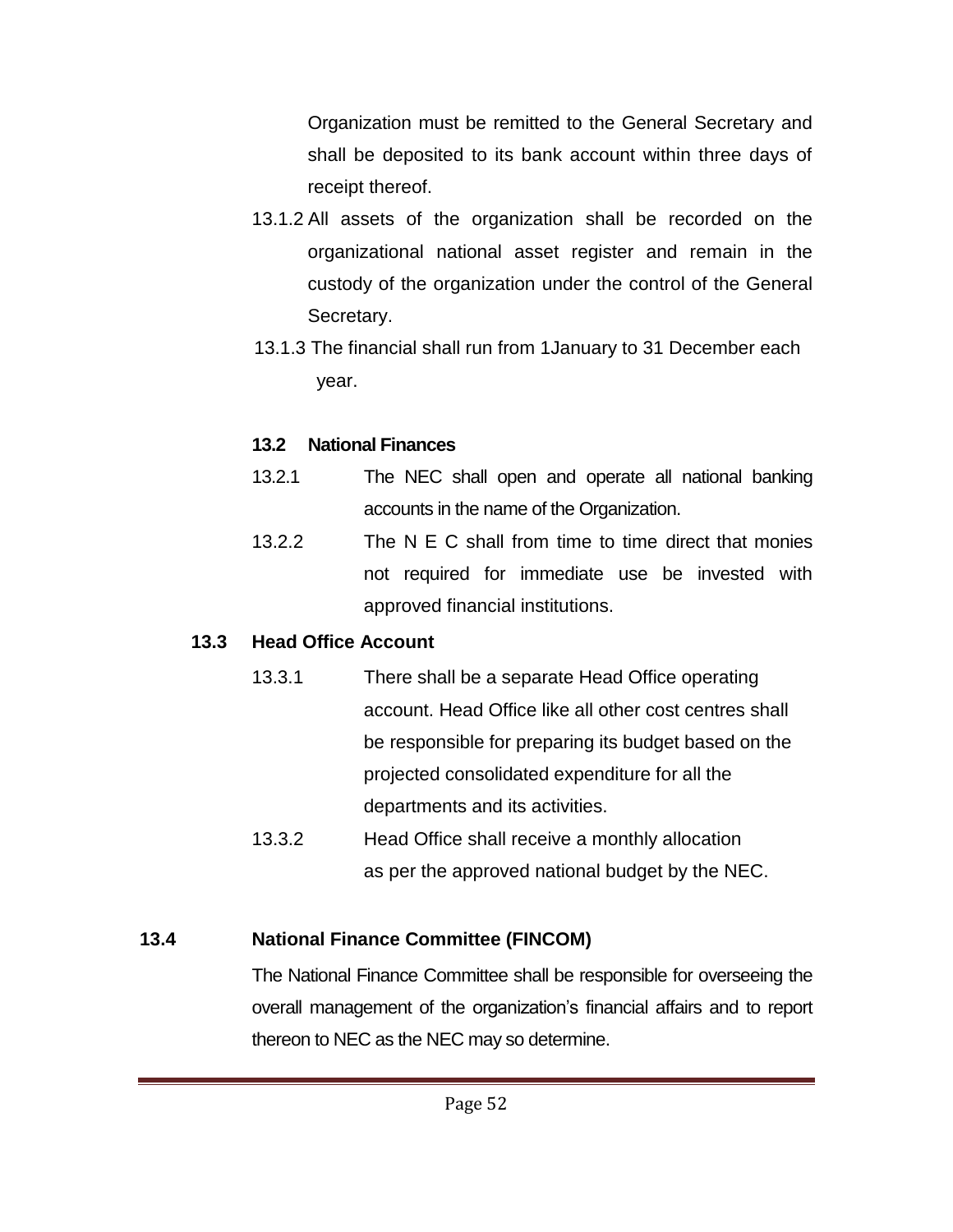Organization must be remitted to the General Secretary and shall be deposited to its bank account within three days of receipt thereof.

- 13.1.2 All assets of the organization shall be recorded on the organizational national asset register and remain in the custody of the organization under the control of the General Secretary.
- 13.1.3 The financial shall run from 1January to 31 December each year.

## **13.2 National Finances**

- 13.2.1 The NEC shall open and operate all national banking accounts in the name of the Organization.
- 13.2.2 The N E C shall from time to time direct that monies not required for immediate use be invested with approved financial institutions.

## **13.3 Head Office Account**

- 13.3.1 There shall be a separate Head Office operating account. Head Office like all other cost centres shall be responsible for preparing its budget based on the projected consolidated expenditure for all the departments and its activities.
- 13.3.2 Head Office shall receive a monthly allocation as per the approved national budget by the NEC.

# **13.4 National Finance Committee (FINCOM)**

The National Finance Committee shall be responsible for overseeing the overall management of the organization's financial affairs and to report thereon to NEC as the NEC may so determine.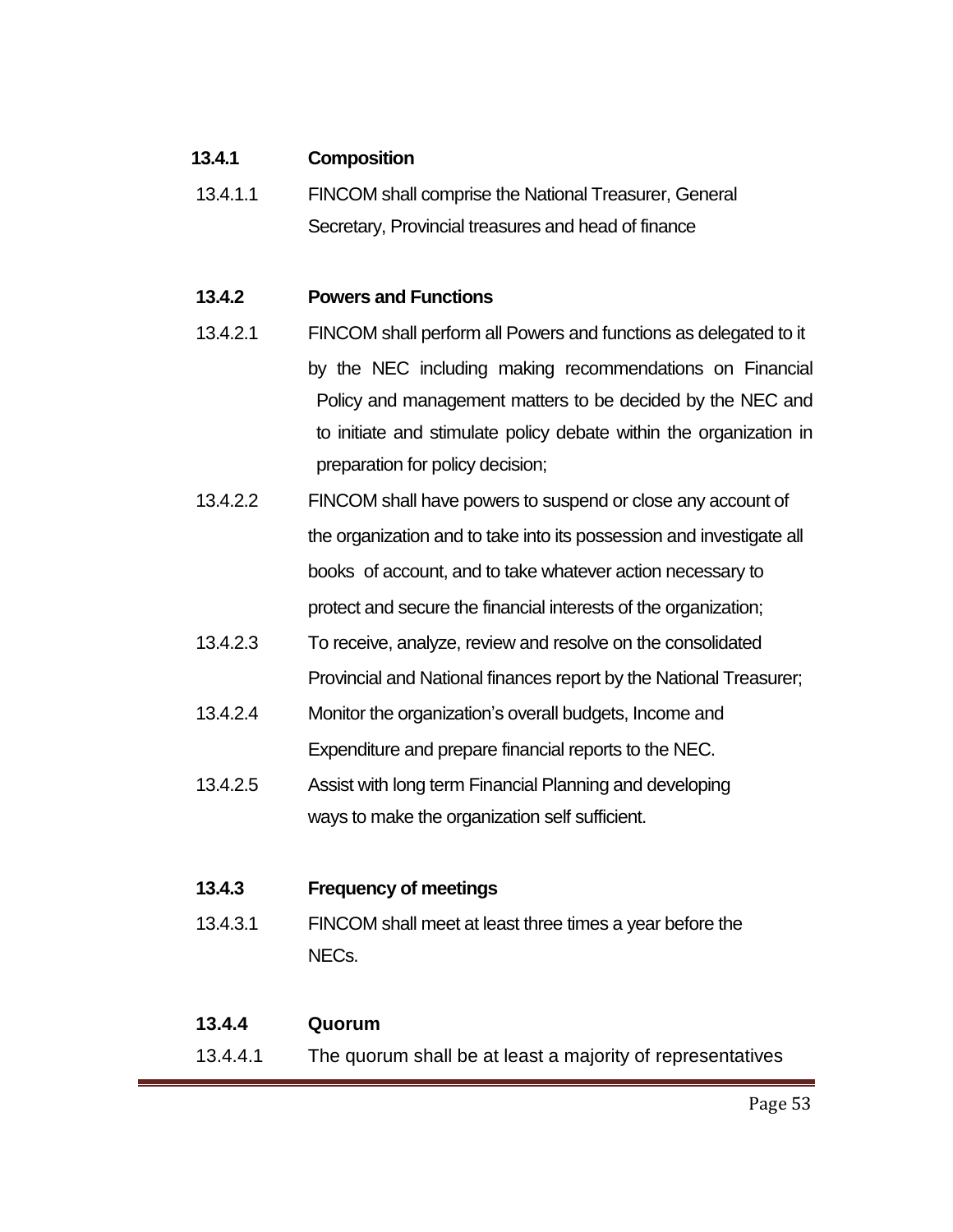#### **13.4.1 Composition**

13.4.1.1 FINCOM shall comprise the National Treasurer, General Secretary, Provincial treasures and head of finance

#### **13.4.2 Powers and Functions**

- 13.4.2.1 FINCOM shall perform all Powers and functions as delegated to it by the NEC including making recommendations on Financial Policy and management matters to be decided by the NEC and to initiate and stimulate policy debate within the organization in preparation for policy decision;
- 13.4.2.2 FINCOM shall have powers to suspend or close any account of the organization and to take into its possession and investigate all books of account, and to take whatever action necessary to protect and secure the financial interests of the organization;
- 13.4.2.3 To receive, analyze, review and resolve on the consolidated Provincial and National finances report by the National Treasurer;
- 13.4.2.4 Monitor the organization's overall budgets, Income and Expenditure and prepare financial reports to the NEC.
- 13.4.2.5 Assist with long term Financial Planning and developing ways to make the organization self sufficient.

#### **13.4.3 Frequency of meetings**

13.4.3.1 FINCOM shall meet at least three times a year before the NECs.

#### **13.4.4 Quorum**

13.4.4.1 The quorum shall be at least a majority of representatives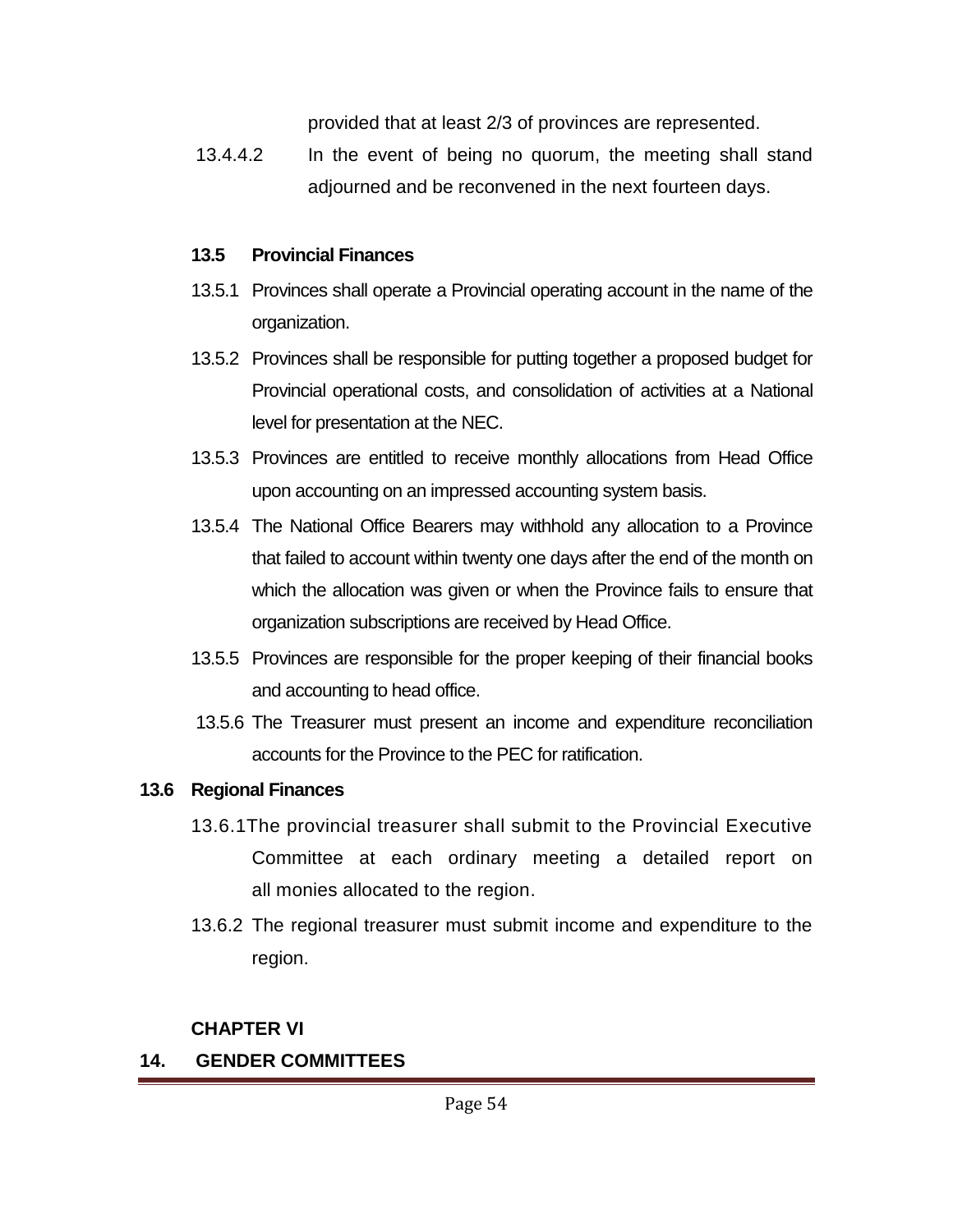provided that at least 2/3 of provinces are represented.

13.4.4.2 In the event of being no quorum, the meeting shall stand adjourned and be reconvened in the next fourteen days.

## **13.5 Provincial Finances**

- 13.5.1 Provinces shall operate a Provincial operating account in the name of the organization.
- 13.5.2 Provinces shall be responsible for putting together a proposed budget for Provincial operational costs, and consolidation of activities at a National level for presentation at the NEC.
- 13.5.3 Provinces are entitled to receive monthly allocations from Head Office upon accounting on an impressed accounting system basis.
- 13.5.4 The National Office Bearers may withhold any allocation to a Province that failed to account within twenty one days after the end of the month on which the allocation was given or when the Province fails to ensure that organization subscriptions are received by Head Office.
- 13.5.5 Provinces are responsible for the proper keeping of their financial books and accounting to head office.
- 13.5.6 The Treasurer must present an income and expenditure reconciliation accounts for the Province to the PEC for ratification.

## **13.6 Regional Finances**

- 13.6.1The provincial treasurer shall submit to the Provincial Executive Committee at each ordinary meeting a detailed report on all monies allocated to the region.
- 13.6.2 The regional treasurer must submit income and expenditure to the region.

## **CHAPTER VI**

# **14. GENDER COMMITTEES**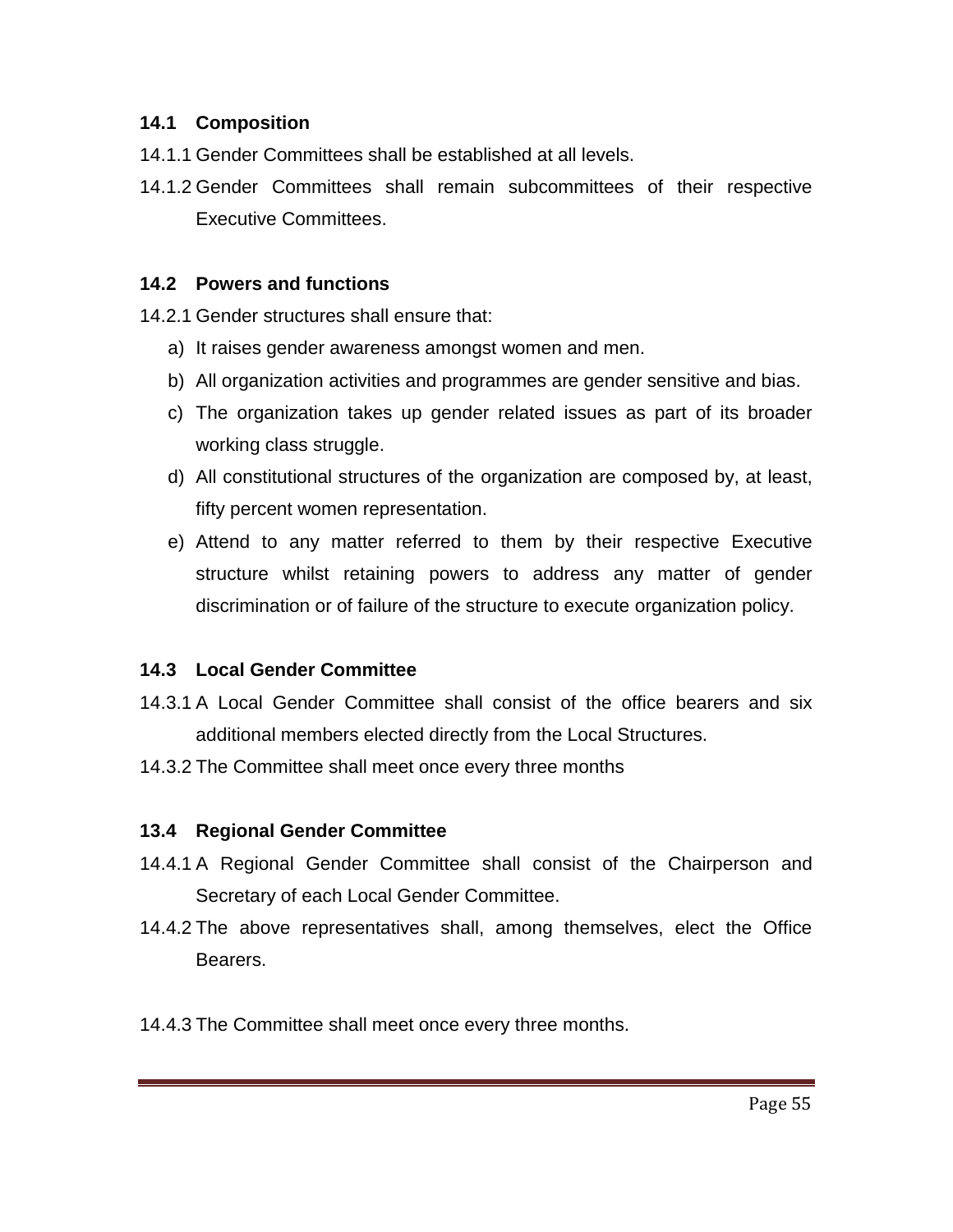#### **14.1 Composition**

- 14.1.1 Gender Committees shall be established at all levels.
- 14.1.2 Gender Committees shall remain subcommittees of their respective Executive Committees.

## **14.2 Powers and functions**

14.2.1 Gender structures shall ensure that:

- a) It raises gender awareness amongst women and men.
- b) All organization activities and programmes are gender sensitive and bias.
- c) The organization takes up gender related issues as part of its broader working class struggle.
- d) All constitutional structures of the organization are composed by, at least, fifty percent women representation.
- e) Attend to any matter referred to them by their respective Executive structure whilst retaining powers to address any matter of gender discrimination or of failure of the structure to execute organization policy.

## **14.3 Local Gender Committee**

- 14.3.1 A Local Gender Committee shall consist of the office bearers and six additional members elected directly from the Local Structures.
- 14.3.2 The Committee shall meet once every three months

## **13.4 Regional Gender Committee**

- 14.4.1 A Regional Gender Committee shall consist of the Chairperson and Secretary of each Local Gender Committee.
- 14.4.2 The above representatives shall, among themselves, elect the Office Bearers.
- 14.4.3 The Committee shall meet once every three months.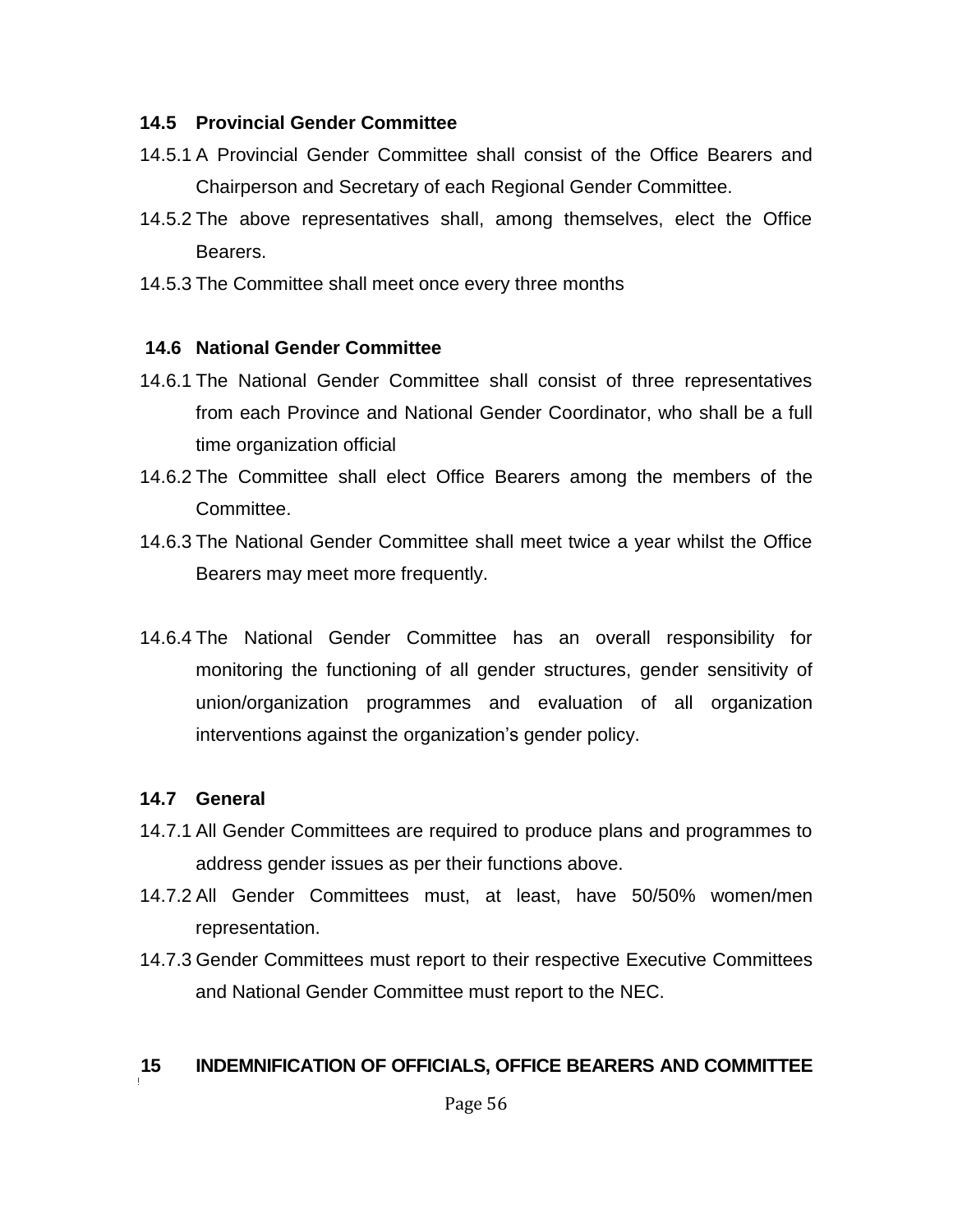#### **14.5 Provincial Gender Committee**

- 14.5.1 A Provincial Gender Committee shall consist of the Office Bearers and Chairperson and Secretary of each Regional Gender Committee.
- 14.5.2 The above representatives shall, among themselves, elect the Office **Bearers**
- 14.5.3 The Committee shall meet once every three months

#### **14.6 National Gender Committee**

- 14.6.1 The National Gender Committee shall consist of three representatives from each Province and National Gender Coordinator, who shall be a full time organization official
- 14.6.2 The Committee shall elect Office Bearers among the members of the Committee.
- 14.6.3 The National Gender Committee shall meet twice a year whilst the Office Bearers may meet more frequently.
- 14.6.4 The National Gender Committee has an overall responsibility for monitoring the functioning of all gender structures, gender sensitivity of union/organization programmes and evaluation of all organization interventions against the organization's gender policy.

#### **14.7 General**

- 14.7.1 All Gender Committees are required to produce plans and programmes to address gender issues as per their functions above.
- 14.7.2 All Gender Committees must, at least, have 50/50% women/men representation.
- 14.7.3 Gender Committees must report to their respective Executive Committees and National Gender Committee must report to the NEC.

#### **15 INDEMNIFICATION OF OFFICIALS, OFFICE BEARERS AND COMMITTEE**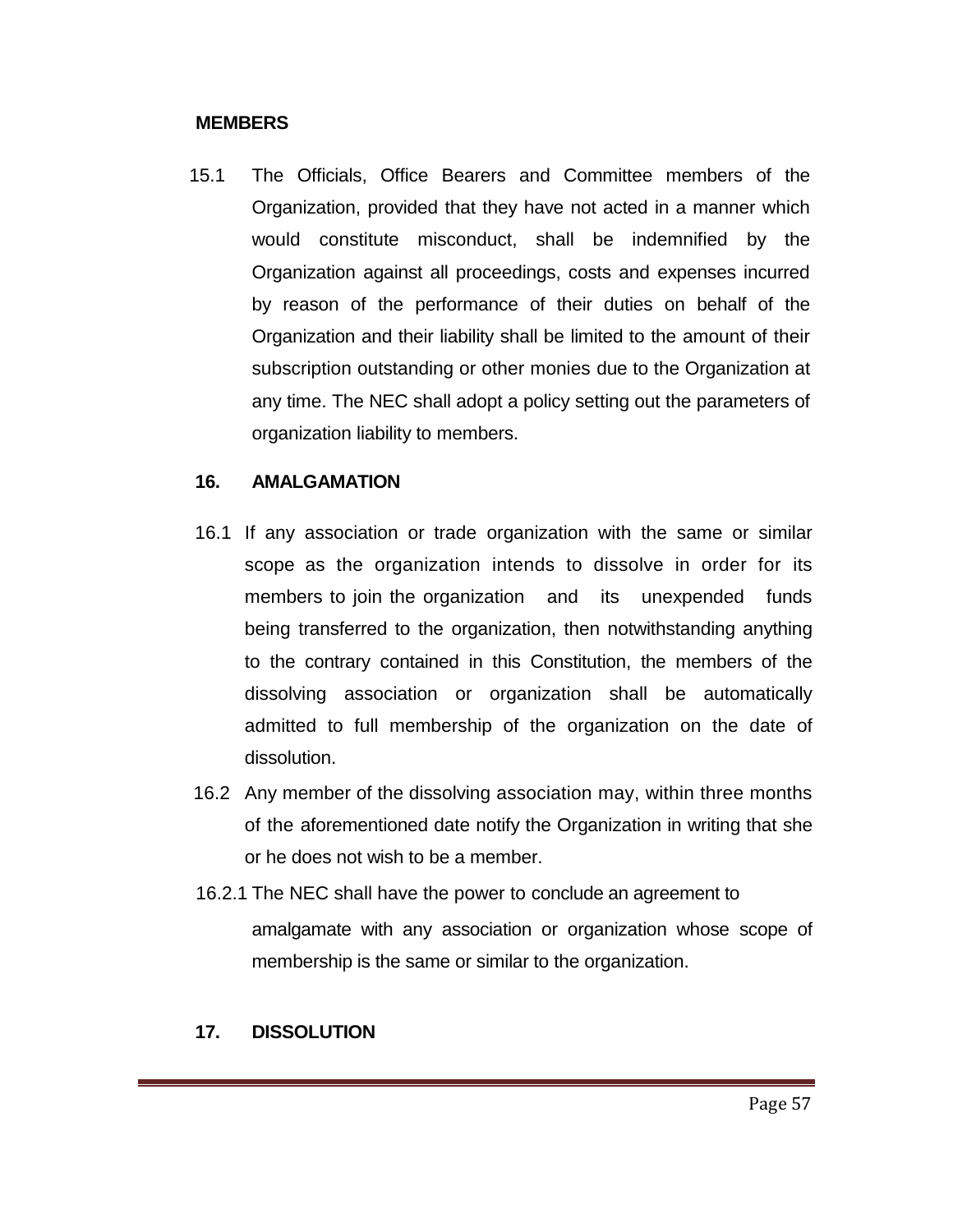#### **MEMBERS**

15.1 The Officials, Office Bearers and Committee members of the Organization, provided that they have not acted in a manner which would constitute misconduct, shall be indemnified by the Organization against all proceedings, costs and expenses incurred by reason of the performance of their duties on behalf of the Organization and their liability shall be limited to the amount of their subscription outstanding or other monies due to the Organization at any time. The NEC shall adopt a policy setting out the parameters of organization liability to members.

#### **16. AMALGAMATION**

- 16.1 If any association or trade organization with the same or similar scope as the organization intends to dissolve in order for its members to join the organization and its unexpended funds being transferred to the organization, then notwithstanding anything to the contrary contained in this Constitution, the members of the dissolving association or organization shall be automatically admitted to full membership of the organization on the date of dissolution.
- 16.2 Any member of the dissolving association may, within three months of the aforementioned date notify the Organization in writing that she or he does not wish to be a member.
- 16.2.1 The NEC shall have the power to conclude an agreement to amalgamate with any association or organization whose scope of membership is the same or similar to the organization.

#### **17. DISSOLUTION**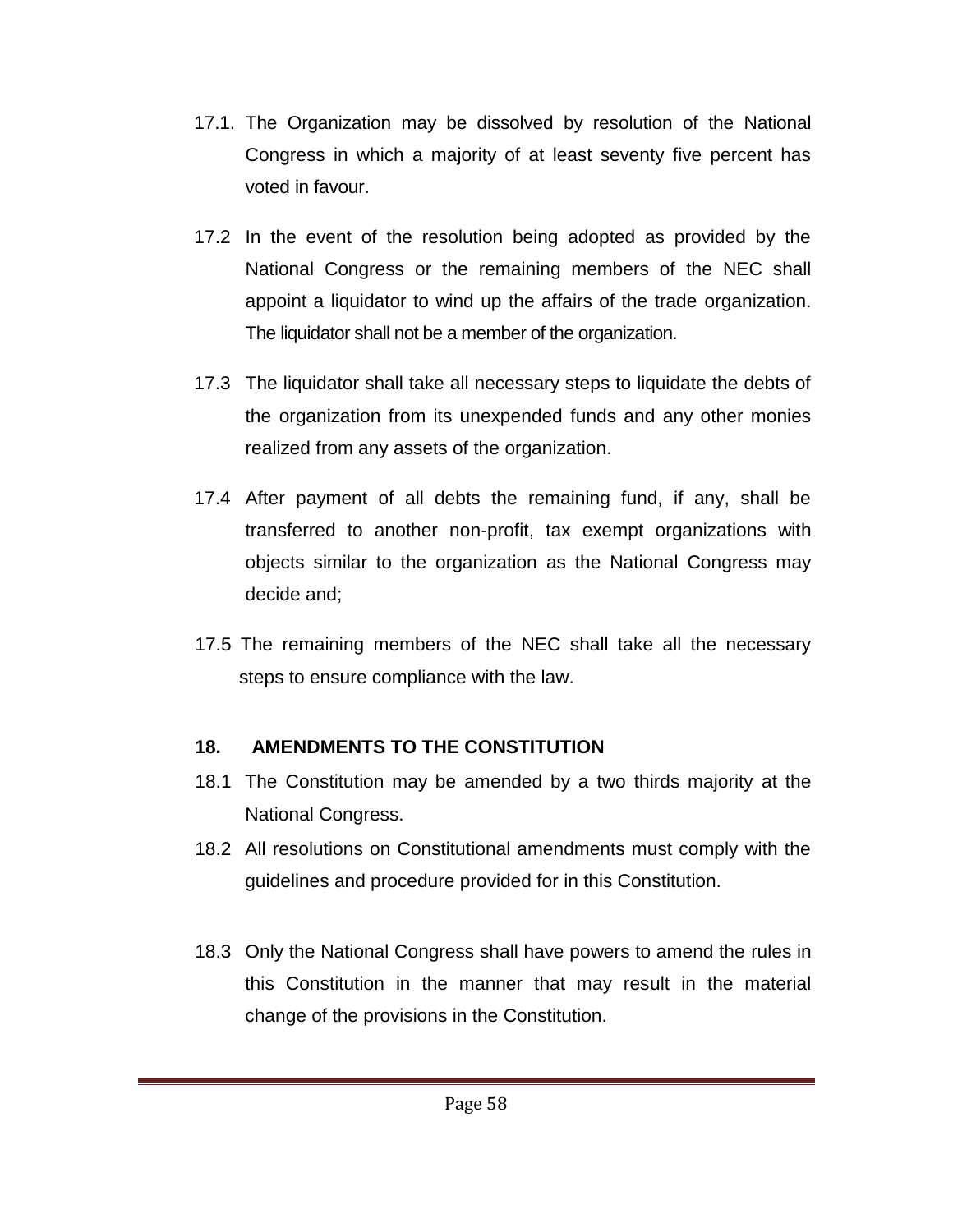- 17.1. The Organization may be dissolved by resolution of the National Congress in which a majority of at least seventy five percent has voted in favour.
- 17.2 In the event of the resolution being adopted as provided by the National Congress or the remaining members of the NEC shall appoint a liquidator to wind up the affairs of the trade organization. The liquidator shall not be a member of the organization.
- 17.3 The liquidator shall take all necessary steps to liquidate the debts of the organization from its unexpended funds and any other monies realized from any assets of the organization.
- 17.4 After payment of all debts the remaining fund, if any, shall be transferred to another non-profit, tax exempt organizations with objects similar to the organization as the National Congress may decide and;
- 17.5 The remaining members of the NEC shall take all the necessary steps to ensure compliance with the law.

# **18. AMENDMENTS TO THE CONSTITUTION**

- 18.1 The Constitution may be amended by a two thirds majority at the National Congress.
- 18.2 All resolutions on Constitutional amendments must comply with the guidelines and procedure provided for in this Constitution.
- 18.3 Only the National Congress shall have powers to amend the rules in this Constitution in the manner that may result in the material change of the provisions in the Constitution.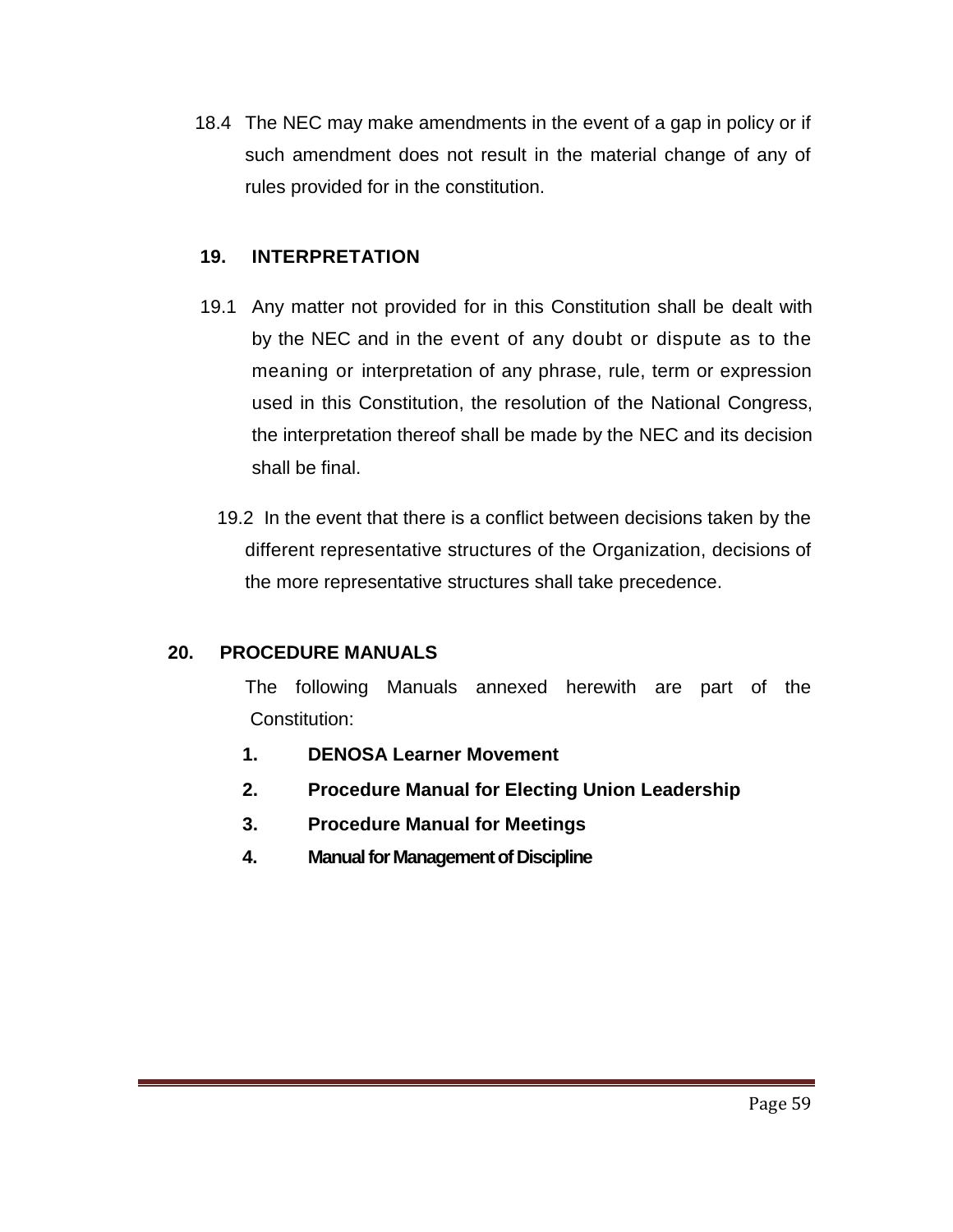18.4 The NEC may make amendments in the event of a gap in policy or if such amendment does not result in the material change of any of rules provided for in the constitution.

#### **19. INTERPRETATION**

- 19.1 Any matter not provided for in this Constitution shall be dealt with by the NEC and in the event of any doubt or dispute as to the meaning or interpretation of any phrase, rule, term or expression used in this Constitution, the resolution of the National Congress, the interpretation thereof shall be made by the NEC and its decision shall be final.
	- 19.2 In the event that there is a conflict between decisions taken by the different representative structures of the Organization, decisions of the more representative structures shall take precedence.

## **20. PROCEDURE MANUALS**

The following Manuals annexed herewith are part of the Constitution:

- **1. DENOSA Learner Movement**
- **2. Procedure Manual for Electing Union Leadership**
- **3. Procedure Manual for Meetings**
- **4. Manual for Management of Discipline**